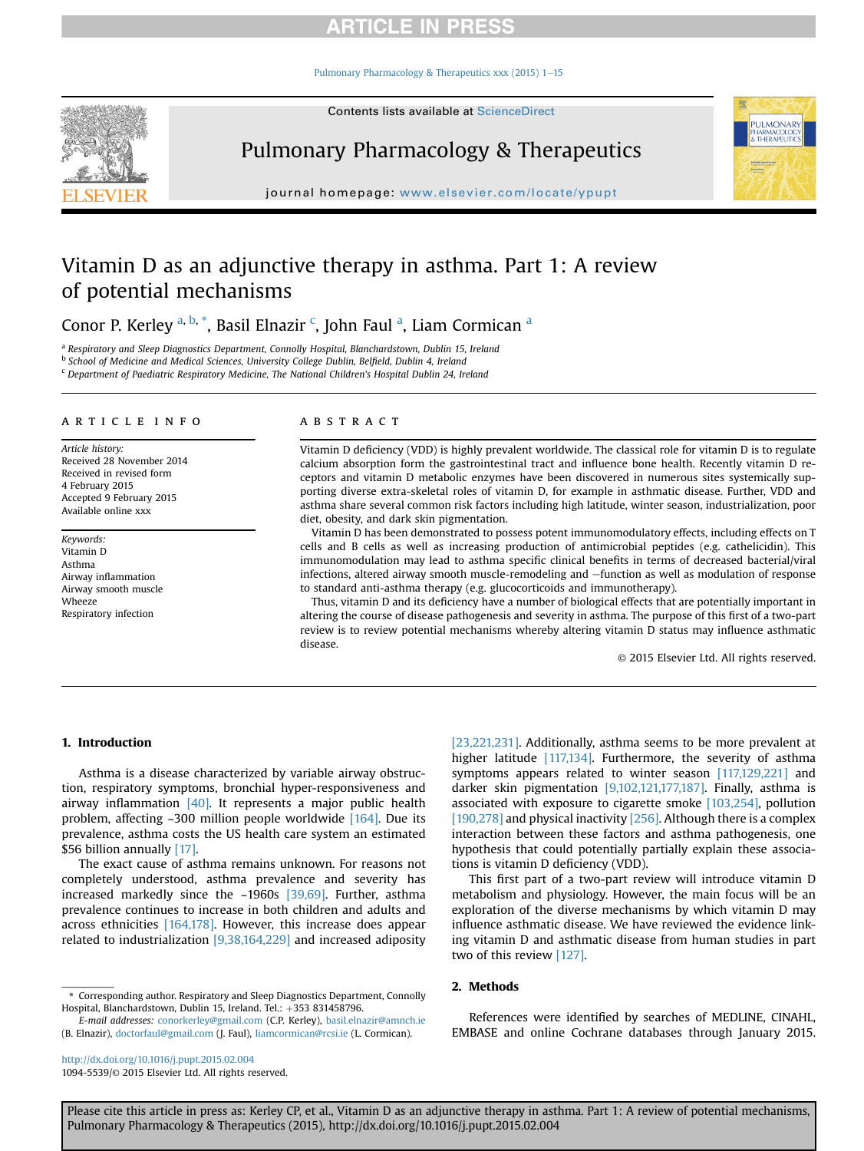[Pulmonary Pharmacology & Therapeutics xxx \(2015\) 1](http://dx.doi.org/10.1016/j.pupt.2015.02.004)-[15](http://dx.doi.org/10.1016/j.pupt.2015.02.004)



Pulmonary Pharmacology & Therapeutics

journal homepage: [www.elsevier.com/locate/ypupt](http://www.elsevier.com/locate/ypupt)

# Vitamin D as an adjunctive therapy in asthma. Part 1: A review of potential mechanisms

Conor P. Kerley <sup>a, b, \*</sup>, Basil Elnazir <sup>c</sup>, John Faul <sup>a</sup>, Liam Cormican <sup>a</sup>

<sup>a</sup> Respiratory and Sleep Diagnostics Department, Connolly Hospital, Blanchardstown, Dublin 15, Ireland

<sup>b</sup> School of Medicine and Medical Sciences, University College Dublin, Belfield, Dublin 4, Ireland

<sup>c</sup> Department of Paediatric Respiratory Medicine, The National Children's Hospital Dublin 24, Ireland

#### article info

Article history: Received 28 November 2014 Received in revised form 4 February 2015 Accepted 9 February 2015 Available online xxx

Keywords: Vitamin D Asthma Airway inflammation Airway smooth muscle Wheeze Respiratory infection

#### **ABSTRACT**

Vitamin D deficiency (VDD) is highly prevalent worldwide. The classical role for vitamin D is to regulate calcium absorption form the gastrointestinal tract and influence bone health. Recently vitamin D receptors and vitamin D metabolic enzymes have been discovered in numerous sites systemically supporting diverse extra-skeletal roles of vitamin D, for example in asthmatic disease. Further, VDD and asthma share several common risk factors including high latitude, winter season, industrialization, poor diet, obesity, and dark skin pigmentation.

Vitamin D has been demonstrated to possess potent immunomodulatory effects, including effects on T cells and B cells as well as increasing production of antimicrobial peptides (e.g. cathelicidin). This immunomodulation may lead to asthma specific clinical benefits in terms of decreased bacterial/viral infections, altered airway smooth muscle-remodeling and -function as well as modulation of response to standard anti-asthma therapy (e.g. glucocorticoids and immunotherapy).

Thus, vitamin D and its deficiency have a number of biological effects that are potentially important in altering the course of disease pathogenesis and severity in asthma. The purpose of this first of a two-part review is to review potential mechanisms whereby altering vitamin D status may influence asthmatic disease.

© 2015 Elsevier Ltd. All rights reserved.

**PULMONAR** HARMACOLOC

### 1. Introduction

Asthma is a disease characterized by variable airway obstruction, respiratory symptoms, bronchial hyper-responsiveness and airway inflammation  $[40]$ . It represents a major public health problem, affecting ~300 million people worldwide [\[164\].](#page-12-0) Due its prevalence, asthma costs the US health care system an estimated \$56 billion annually [\[17\].](#page-9-0)

The exact cause of asthma remains unknown. For reasons not completely understood, asthma prevalence and severity has increased markedly since the ~1960s [\[39,69\]](#page-9-0). Further, asthma prevalence continues to increase in both children and adults and across ethnicities [\[164,178\].](#page-12-0) However, this increase does appear related to industrialization [\[9,38,164,229\]](#page-13-0) and increased adiposity

[\[23,221,231\].](#page-9-0) Additionally, asthma seems to be more prevalent at higher latitude [\[117,134\]](#page-11-0). Furthermore, the severity of asthma symptoms appears related to winter season [\[117,129,221\]](#page-11-0) and darker skin pigmentation [\[9,102,121,177,187\].](#page-12-0) Finally, asthma is associated with exposure to cigarette smoke [\[103,254\],](#page-11-0) pollution [\[190,278\]](#page-12-0) and physical inactivity [\[256\]](#page-13-0). Although there is a complex interaction between these factors and asthma pathogenesis, one hypothesis that could potentially partially explain these associations is vitamin D deficiency (VDD).

This first part of a two-part review will introduce vitamin D metabolism and physiology. However, the main focus will be an exploration of the diverse mechanisms by which vitamin D may influence asthmatic disease. We have reviewed the evidence linking vitamin D and asthmatic disease from human studies in part two of this review [\[127\].](#page-11-0)

#### 2. Methods

E-mail addresses: [conorkerley@gmail.com](mailto:conorkerley@gmail.com) (C.P. Kerley), [basil.elnazir@amnch.ie](mailto:basil.elnazir@amnch.ie) (B. Elnazir), [doctorfaul@gmail.com](mailto:doctorfaul@gmail.com) (J. Faul), [liamcormican@rcsi.ie](mailto:liamcormican@rcsi.ie) (L. Cormican).

<http://dx.doi.org/10.1016/j.pupt.2015.02.004> 1094-5539/© 2015 Elsevier Ltd. All rights reserved.

References were identified by searches of MEDLINE, CINAHL, EMBASE and online Cochrane databases through January 2015.

<sup>\*</sup> Corresponding author. Respiratory and Sleep Diagnostics Department, Connolly Hospital, Blanchardstown, Dublin 15, Ireland. Tel.:  $+353831458796$ .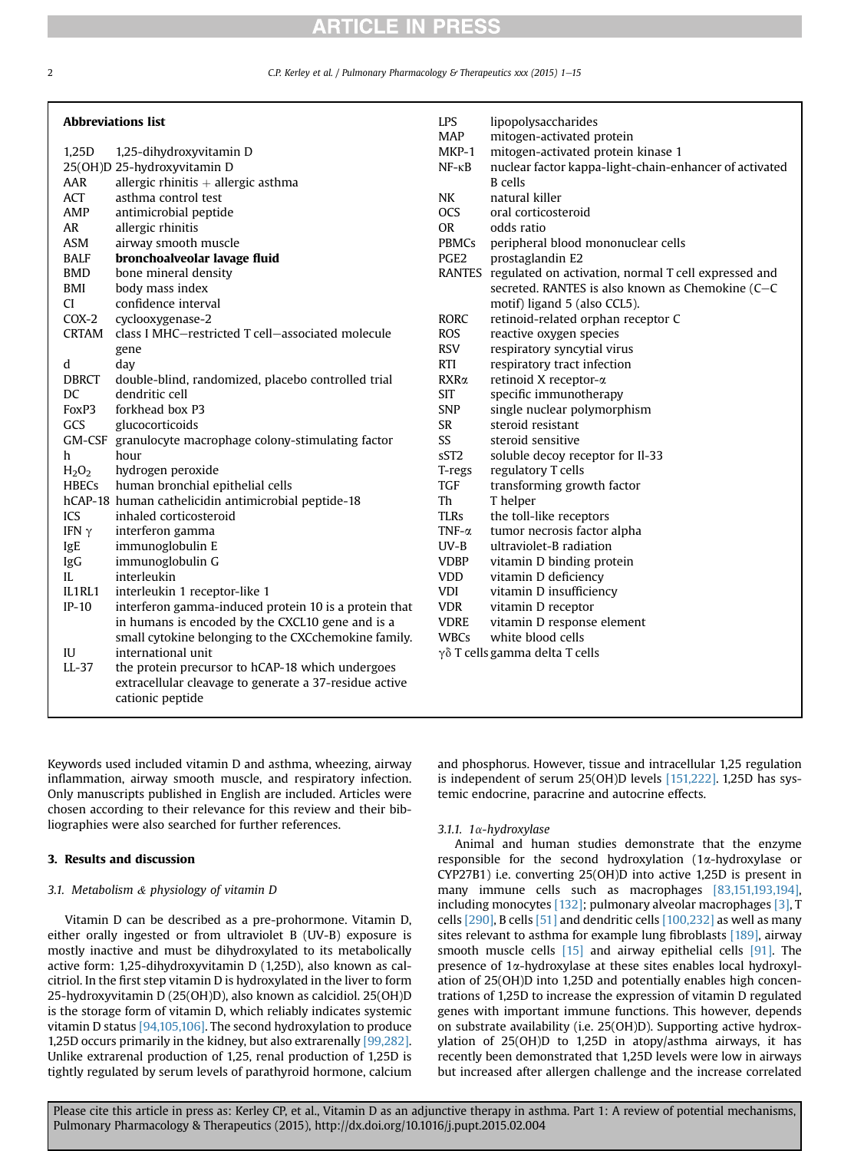C.P. Kerley et al. / Pulmonary Pharmacology & Therapeutics xxx (2015) 1-15

| <b>Abbreviations list</b> |                                                         | <b>LPS</b>       | lipopolysaccharides                                         |
|---------------------------|---------------------------------------------------------|------------------|-------------------------------------------------------------|
|                           |                                                         | <b>MAP</b>       | mitogen-activated protein                                   |
| 1,25D                     | 1,25-dihydroxyvitamin D                                 | MKP-1            | mitogen-activated protein kinase 1                          |
|                           | 25(OH)D 25-hydroxyvitamin D                             | $NF - \kappa B$  | nuclear factor kappa-light-chain-enhancer of activated      |
| AAR                       | allergic rhinitis $+$ allergic asthma                   |                  | <b>B</b> cells                                              |
| ACT                       | asthma control test                                     | <b>NK</b>        | natural killer                                              |
| AMP                       | antimicrobial peptide                                   | <b>OCS</b>       | oral corticosteroid                                         |
| <b>AR</b>                 | allergic rhinitis                                       | <b>OR</b>        | odds ratio                                                  |
| ASM                       | airway smooth muscle                                    | <b>PBMCs</b>     | peripheral blood mononuclear cells                          |
| <b>BALF</b>               | bronchoalveolar lavage fluid                            | PGE <sub>2</sub> | prostaglandin E2                                            |
| <b>BMD</b>                | bone mineral density                                    |                  | RANTES regulated on activation, normal T cell expressed and |
| BMI                       | body mass index                                         |                  | secreted. RANTES is also known as Chemokine (C-C            |
| CI.                       | confidence interval                                     |                  | motif) ligand 5 (also CCL5).                                |
| $COX-2$                   | cyclooxygenase-2                                        | <b>RORC</b>      | retinoid-related orphan receptor C                          |
| <b>CRTAM</b>              | class I MHC-restricted T cell-associated molecule       | <b>ROS</b>       | reactive oxygen species                                     |
|                           | gene                                                    | <b>RSV</b>       | respiratory syncytial virus                                 |
| d                         | day                                                     | <b>RTI</b>       | respiratory tract infection                                 |
| <b>DBRCT</b>              | double-blind, randomized, placebo controlled trial      | RXRa             | retinoid X receptor-α                                       |
| DC                        | dendritic cell                                          | <b>SIT</b>       | specific immunotherapy                                      |
| FoxP3                     | forkhead box P3                                         | <b>SNP</b>       | single nuclear polymorphism                                 |
| GCS                       | glucocorticoids                                         | <b>SR</b>        | steroid resistant                                           |
|                           | GM-CSF granulocyte macrophage colony-stimulating factor | SS               | steroid sensitive                                           |
| h                         | hour                                                    | sST <sub>2</sub> | soluble decoy receptor for Il-33                            |
| $H_2O_2$                  | hydrogen peroxide                                       | T-regs           | regulatory T cells                                          |
| <b>HBECs</b>              | human bronchial epithelial cells                        | <b>TGF</b>       | transforming growth factor                                  |
|                           | hCAP-18 human cathelicidin antimicrobial peptide-18     | Th               | T helper                                                    |
| ICS                       | inhaled corticosteroid                                  | <b>TLRs</b>      | the toll-like receptors                                     |
|                           |                                                         | TNF- $\alpha$    |                                                             |
| IFN $\gamma$              | interferon gamma                                        | $UV-B$           | tumor necrosis factor alpha<br>ultraviolet-B radiation      |
| IgE                       | immunoglobulin E                                        |                  |                                                             |
| IgG                       | immunoglobulin G                                        | <b>VDBP</b>      | vitamin D binding protein                                   |
| IL                        | interleukin                                             | <b>VDD</b>       | vitamin D deficiency                                        |
| IL1RL1                    | interleukin 1 receptor-like 1                           | <b>VDI</b>       | vitamin D insufficiency                                     |
| $IP-10$                   | interferon gamma-induced protein 10 is a protein that   | <b>VDR</b>       | vitamin D receptor                                          |
|                           | in humans is encoded by the CXCL10 gene and is a        | <b>VDRE</b>      | vitamin D response element                                  |
|                           | small cytokine belonging to the CXCchemokine family.    | <b>WBCs</b>      | white blood cells                                           |
| IU                        | international unit                                      |                  | γδ T cells gamma delta T cells                              |
| $LL-37$                   | the protein precursor to hCAP-18 which undergoes        |                  |                                                             |
|                           | extracellular cleavage to generate a 37-residue active  |                  |                                                             |
|                           | cationic peptide                                        |                  |                                                             |
|                           |                                                         |                  |                                                             |

Keywords used included vitamin D and asthma, wheezing, airway inflammation, airway smooth muscle, and respiratory infection. Only manuscripts published in English are included. Articles were chosen according to their relevance for this review and their bibliographies were also searched for further references.

### 3. Results and discussion

### 3.1. Metabolism & physiology of vitamin D

Vitamin D can be described as a pre-prohormone. Vitamin D, either orally ingested or from ultraviolet B (UV-B) exposure is mostly inactive and must be dihydroxylated to its metabolically active form: 1,25-dihydroxyvitamin D (1,25D), also known as calcitriol. In the first step vitamin D is hydroxylated in the liver to form 25-hydroxyvitamin D (25(OH)D), also known as calcidiol. 25(OH)D is the storage form of vitamin D, which reliably indicates systemic vitamin D status [\[94,105,106\]](#page-11-0). The second hydroxylation to produce 1,25D occurs primarily in the kidney, but also extrarenally [\[99,282\].](#page-14-0) Unlike extrarenal production of 1,25, renal production of 1,25D is tightly regulated by serum levels of parathyroid hormone, calcium and phosphorus. However, tissue and intracellular 1,25 regulation is independent of serum 25(OH)D levels [\[151,222\].](#page-11-0) 1,25D has systemic endocrine, paracrine and autocrine effects.

#### 3.1.1. 1a-hydroxylase

Animal and human studies demonstrate that the enzyme responsible for the second hydroxylation  $(1\alpha$ -hydroxylase or CYP27B1) i.e. converting 25(OH)D into active 1,25D is present in many immune cells such as macrophages [\[83,151,193,194\],](#page-10-0) including monocytes [\[132\];](#page-11-0) pulmonary alveolar macrophages [\[3\]](#page-9-0), T cells [\[290\]](#page-14-0), B cells [\[51\]](#page-10-0) and dendritic cells [\[100,232\]](#page-11-0) as well as many sites relevant to asthma for example lung fibroblasts [\[189\],](#page-12-0) airway smooth muscle cells  $[15]$  and airway epithelial cells  $[91]$ . The presence of 1a-hydroxylase at these sites enables local hydroxylation of 25(OH)D into 1,25D and potentially enables high concentrations of 1,25D to increase the expression of vitamin D regulated genes with important immune functions. This however, depends on substrate availability (i.e. 25(OH)D). Supporting active hydroxylation of 25(OH)D to 1,25D in atopy/asthma airways, it has recently been demonstrated that 1,25D levels were low in airways but increased after allergen challenge and the increase correlated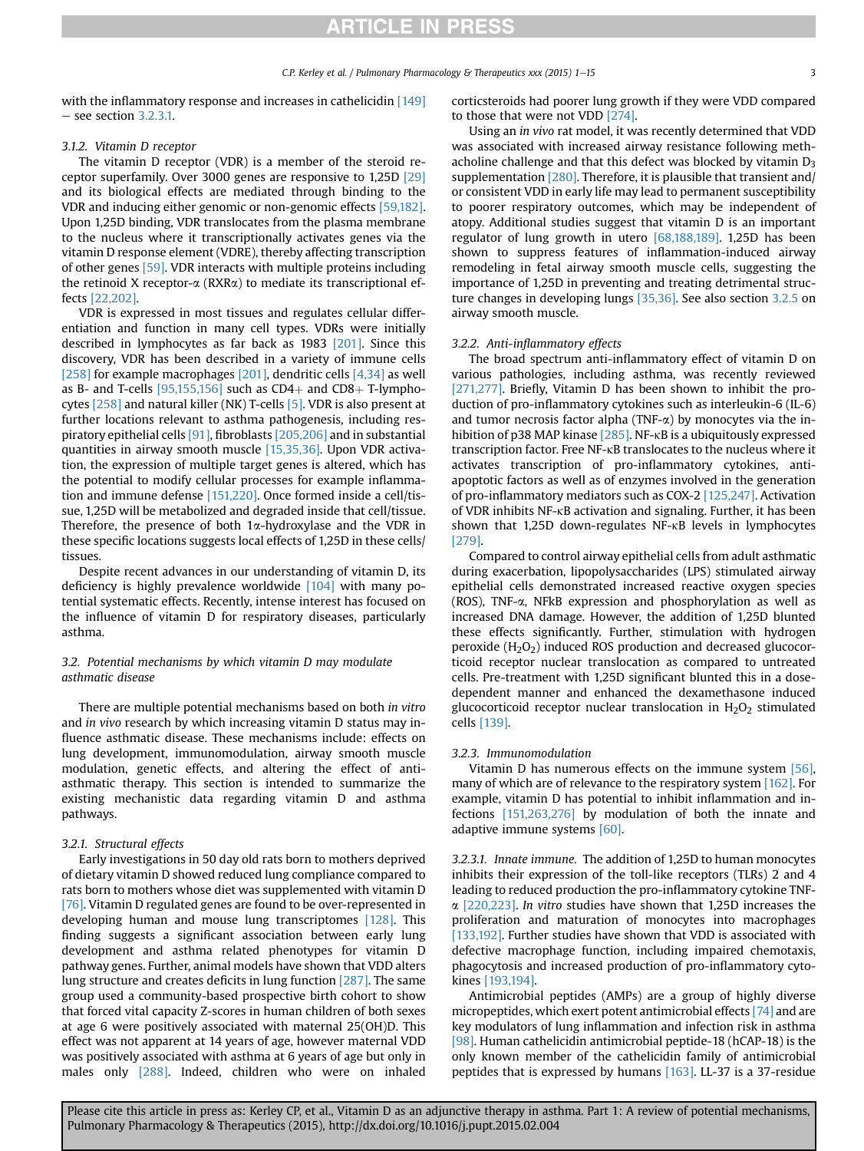with the inflammatory response and increases in cathelicidin [\[149\]](#page-11-0)  $-$  see section 3.2.3.1.

### 3.1.2. Vitamin D receptor

The vitamin D receptor (VDR) is a member of the steroid receptor superfamily. Over 3000 genes are responsive to 1,25D [\[29\]](#page-9-0) and its biological effects are mediated through binding to the VDR and inducing either genomic or non-genomic effects [\[59,182\].](#page-12-0) Upon 1,25D binding, VDR translocates from the plasma membrane to the nucleus where it transcriptionally activates genes via the vitamin D response element (VDRE), thereby affecting transcription of other genes [\[59\].](#page-10-0) VDR interacts with multiple proteins including the retinoid X receptor- $\alpha$  (RXR $\alpha$ ) to mediate its transcriptional effects [\[22,202\].](#page-12-0)

VDR is expressed in most tissues and regulates cellular differentiation and function in many cell types. VDRs were initially described in lymphocytes as far back as 1983 [\[201\]](#page-12-0). Since this discovery, VDR has been described in a variety of immune cells [\[258\]](#page-13-0) for example macrophages [\[201\],](#page-12-0) dendritic cells [\[4,34\]](#page-9-0) as well as B- and T-cells  $[95,155,156]$  such as CD4+ and CD8+ T-lymphocytes [\[258\]](#page-13-0) and natural killer (NK) T-cells [\[5\].](#page-9-0) VDR is also present at further locations relevant to asthma pathogenesis, including respiratory epithelial cells [\[91\],](#page-10-0) fibroblasts [\[205,206\]](#page-12-0) and in substantial quantities in airway smooth muscle [\[15,35,36\].](#page-9-0) Upon VDR activation, the expression of multiple target genes is altered, which has the potential to modify cellular processes for example inflammation and immune defense [\[151,220\]](#page-13-0). Once formed inside a cell/tissue, 1,25D will be metabolized and degraded inside that cell/tissue. Therefore, the presence of both  $1\alpha$ -hydroxylase and the VDR in these specific locations suggests local effects of 1,25D in these cells/ tissues.

Despite recent advances in our understanding of vitamin D, its deficiency is highly prevalence worldwide [\[104\]](#page-11-0) with many potential systematic effects. Recently, intense interest has focused on the influence of vitamin D for respiratory diseases, particularly asthma.

### 3.2. Potential mechanisms by which vitamin D may modulate asthmatic disease

There are multiple potential mechanisms based on both in vitro and in vivo research by which increasing vitamin D status may influence asthmatic disease. These mechanisms include: effects on lung development, immunomodulation, airway smooth muscle modulation, genetic effects, and altering the effect of antiasthmatic therapy. This section is intended to summarize the existing mechanistic data regarding vitamin D and asthma pathways.

### 3.2.1. Structural effects

Early investigations in 50 day old rats born to mothers deprived of dietary vitamin D showed reduced lung compliance compared to rats born to mothers whose diet was supplemented with vitamin D [\[76\].](#page-10-0) Vitamin D regulated genes are found to be over-represented in developing human and mouse lung transcriptomes [\[128\]](#page-11-0). This finding suggests a significant association between early lung development and asthma related phenotypes for vitamin D pathway genes. Further, animal models have shown that VDD alters lung structure and creates deficits in lung function [\[287\].](#page-14-0) The same group used a community-based prospective birth cohort to show that forced vital capacity Z-scores in human children of both sexes at age 6 were positively associated with maternal 25(OH)D. This effect was not apparent at 14 years of age, however maternal VDD was positively associated with asthma at 6 years of age but only in males only [\[288\].](#page-14-0) Indeed, children who were on inhaled corticsteroids had poorer lung growth if they were VDD compared to those that were not VDD [\[274\].](#page-14-0)

Using an in vivo rat model, it was recently determined that VDD was associated with increased airway resistance following methacholine challenge and that this defect was blocked by vitamin  $D_3$ supplementation [\[280\].](#page-14-0) Therefore, it is plausible that transient and/ or consistent VDD in early life may lead to permanent susceptibility to poorer respiratory outcomes, which may be independent of atopy. Additional studies suggest that vitamin D is an important regulator of lung growth in utero [\[68,188,189\].](#page-10-0) 1,25D has been shown to suppress features of inflammation-induced airway remodeling in fetal airway smooth muscle cells, suggesting the importance of 1,25D in preventing and treating detrimental structure changes in developing lungs [\[35,36\]](#page-9-0). See also section [3.2.5](#page-5-0) on airway smooth muscle.

#### 3.2.2. Anti-inflammatory effects

The broad spectrum anti-inflammatory effect of vitamin D on various pathologies, including asthma, was recently reviewed [\[271,277\]](#page-14-0). Briefly, Vitamin D has been shown to inhibit the production of pro-inflammatory cytokines such as interleukin-6 (IL-6) and tumor necrosis factor alpha (TNF- $\alpha$ ) by monocytes via the in-hibition of p38 MAP kinase [\[285\].](#page-14-0) NF-KB is a ubiquitously expressed transcription factor. Free NF-kB translocates to the nucleus where it activates transcription of pro-inflammatory cytokines, antiapoptotic factors as well as of enzymes involved in the generation of pro-inflammatory mediators such as COX-2 [\[125,247\].](#page-11-0) Activation of VDR inhibits NF-kB activation and signaling. Further, it has been shown that 1,25D down-regulates NF-<sub>KB</sub> levels in lymphocytes [\[279\]](#page-14-0).

Compared to control airway epithelial cells from adult asthmatic during exacerbation, lipopolysaccharides (LPS) stimulated airway epithelial cells demonstrated increased reactive oxygen species (ROS), TNF-a, NFkB expression and phosphorylation as well as increased DNA damage. However, the addition of 1,25D blunted these effects significantly. Further, stimulation with hydrogen peroxide  $(H<sub>2</sub>O<sub>2</sub>)$  induced ROS production and decreased glucocorticoid receptor nuclear translocation as compared to untreated cells. Pre-treatment with 1,25D significant blunted this in a dosedependent manner and enhanced the dexamethasone induced glucocorticoid receptor nuclear translocation in  $H_2O_2$  stimulated cells [\[139\]](#page-11-0).

#### 3.2.3. Immunomodulation

Vitamin D has numerous effects on the immune system [\[56\],](#page-10-0) many of which are of relevance to the respiratory system [\[162\].](#page-12-0) For example, vitamin D has potential to inhibit inflammation and infections [\[151,263,276\]](#page-14-0) by modulation of both the innate and adaptive immune systems [\[60\]](#page-10-0).

3.2.3.1. Innate immune. The addition of 1,25D to human monocytes inhibits their expression of the toll-like receptors (TLRs) 2 and 4 leading to reduced production the pro-inflammatory cytokine TNF- $\alpha$  [\[220,223\].](#page-13-0) In vitro studies have shown that 1,25D increases the proliferation and maturation of monocytes into macrophages [\[133,192\].](#page-12-0) Further studies have shown that VDD is associated with defective macrophage function, including impaired chemotaxis, phagocytosis and increased production of pro-inflammatory cytokines [\[193,194\].](#page-12-0)

Antimicrobial peptides (AMPs) are a group of highly diverse micropeptides, which exert potent antimicrobial effects [\[74\]](#page-10-0) and are key modulators of lung inflammation and infection risk in asthma [\[98\].](#page-11-0) Human cathelicidin antimicrobial peptide-18 (hCAP-18) is the only known member of the cathelicidin family of antimicrobial peptides that is expressed by humans [\[163\]](#page-12-0). LL-37 is a 37-residue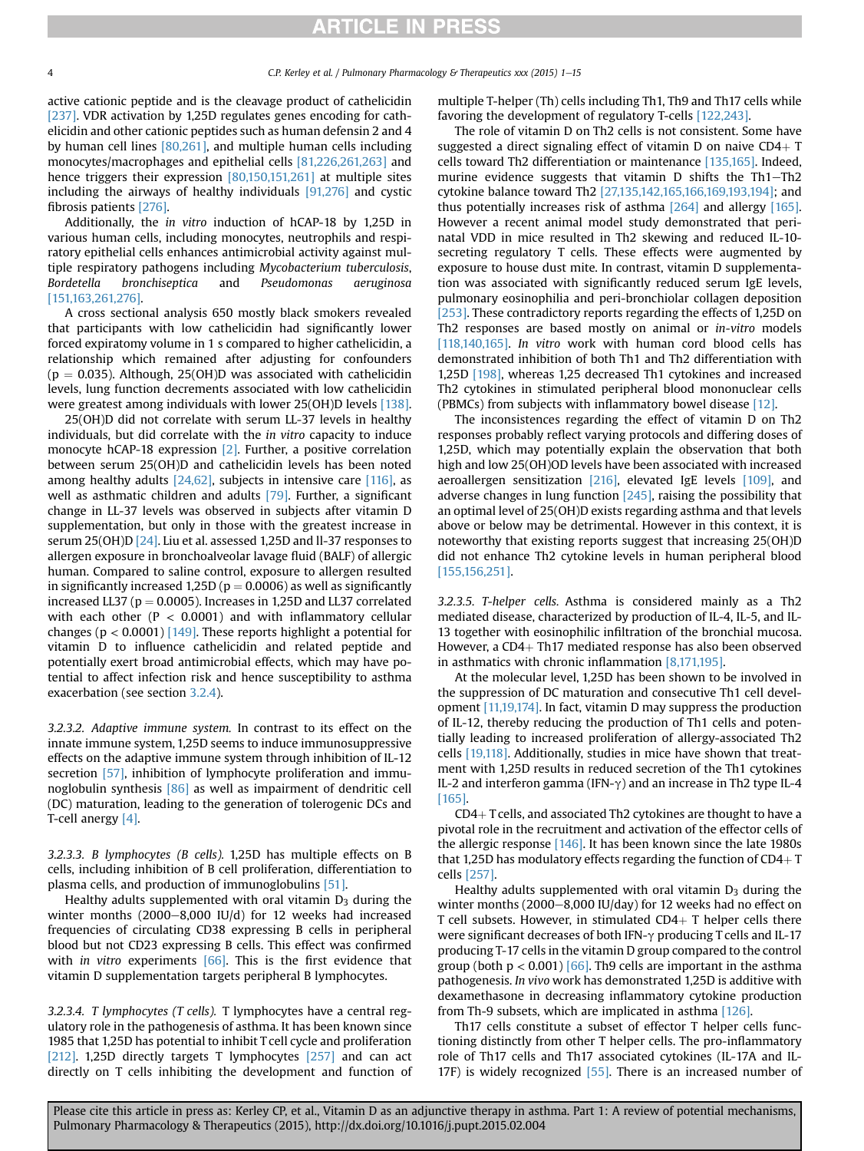active cationic peptide and is the cleavage product of cathelicidin [\[237\].](#page-13-0) VDR activation by 1,25D regulates genes encoding for cathelicidin and other cationic peptides such as human defensin 2 and 4 by human cell lines [\[80,261\]](#page-14-0), and multiple human cells including monocytes/macrophages and epithelial cells [\[81,226,261,263\]](#page-14-0) and hence triggers their expression [\[80,150,151,261\]](#page-14-0) at multiple sites including the airways of healthy individuals [\[91,276\]](#page-14-0) and cystic fibrosis patients [\[276\].](#page-14-0)

Additionally, the in vitro induction of hCAP-18 by 1,25D in various human cells, including monocytes, neutrophils and respiratory epithelial cells enhances antimicrobial activity against multiple respiratory pathogens including Mycobacterium tuberculosis, Bordetella bronchiseptica and Pseudomonas aeruginosa [\[151,163,261,276\].](#page-14-0)

A cross sectional analysis 650 mostly black smokers revealed that participants with low cathelicidin had significantly lower forced expiratomy volume in 1 s compared to higher cathelicidin, a relationship which remained after adjusting for confounders  $(p = 0.035)$ . Although, 25(OH)D was associated with cathelicidin levels, lung function decrements associated with low cathelicidin were greatest among individuals with lower 25(OH)D levels [\[138\].](#page-11-0)

25(OH)D did not correlate with serum LL-37 levels in healthy individuals, but did correlate with the in vitro capacity to induce monocyte hCAP-18 expression [\[2\].](#page-9-0) Further, a positive correlation between serum 25(OH)D and cathelicidin levels has been noted among healthy adults  $[24,62]$ , subjects in intensive care  $[116]$ , as well as asthmatic children and adults [\[79\].](#page-10-0) Further, a significant change in LL-37 levels was observed in subjects after vitamin D supplementation, but only in those with the greatest increase in serum 25(OH)D [\[24\].](#page-9-0) Liu et al. assessed 1,25D and ll-37 responses to allergen exposure in bronchoalveolar lavage fluid (BALF) of allergic human. Compared to saline control, exposure to allergen resulted in significantly increased 1,25D ( $p = 0.0006$ ) as well as significantly increased LL37 ( $p = 0.0005$ ). Increases in 1,25D and LL37 correlated with each other ( $P < 0.0001$ ) and with inflammatory cellular changes ( $p < 0.0001$ ) [\[149\]](#page-11-0). These reports highlight a potential for vitamin D to influence cathelicidin and related peptide and potentially exert broad antimicrobial effects, which may have potential to affect infection risk and hence susceptibility to asthma exacerbation (see section [3.2.4\)](#page-4-0).

3.2.3.2. Adaptive immune system. In contrast to its effect on the innate immune system, 1,25D seems to induce immunosuppressive effects on the adaptive immune system through inhibition of IL-12 secretion [\[57\],](#page-10-0) inhibition of lymphocyte proliferation and immunoglobulin synthesis [\[86\]](#page-10-0) as well as impairment of dendritic cell (DC) maturation, leading to the generation of tolerogenic DCs and T-cell anergy [\[4\].](#page-9-0)

3.2.3.3. B lymphocytes (B cells). 1,25D has multiple effects on B cells, including inhibition of B cell proliferation, differentiation to plasma cells, and production of immunoglobulins [\[51\]](#page-10-0).

Healthy adults supplemented with oral vitamin  $D_3$  during the winter months  $(2000-8,000 \text{ IU/d})$  for 12 weeks had increased frequencies of circulating CD38 expressing B cells in peripheral blood but not CD23 expressing B cells. This effect was confirmed with *in vitro* experiments [\[66\].](#page-10-0) This is the first evidence that vitamin D supplementation targets peripheral B lymphocytes.

3.2.3.4. T lymphocytes (T cells). T lymphocytes have a central regulatory role in the pathogenesis of asthma. It has been known since 1985 that 1,25D has potential to inhibit T cell cycle and proliferation [\[212\]](#page-13-0). 1,25D directly targets T lymphocytes [\[257\]](#page-13-0) and can act directly on T cells inhibiting the development and function of multiple T-helper (Th) cells including Th1, Th9 and Th17 cells while favoring the development of regulatory T-cells [\[122,243\]](#page-11-0).

The role of vitamin D on Th2 cells is not consistent. Some have suggested a direct signaling effect of vitamin  $D$  on naive  $CD4+T$ cells toward Th2 differentiation or maintenance [\[135,165\].](#page-12-0) Indeed, murine evidence suggests that vitamin  $D$  shifts the Th1-Th2 cytokine balance toward Th2 [\[27,135,142,165,166,169,193,194\]](#page-9-0); and thus potentially increases risk of asthma [\[264\]](#page-14-0) and allergy [\[165\].](#page-12-0) However a recent animal model study demonstrated that perinatal VDD in mice resulted in Th2 skewing and reduced IL-10 secreting regulatory T cells. These effects were augmented by exposure to house dust mite. In contrast, vitamin D supplementation was associated with significantly reduced serum IgE levels, pulmonary eosinophilia and peri-bronchiolar collagen deposition [\[253\].](#page-13-0) These contradictory reports regarding the effects of 1,25D on Th2 responses are based mostly on animal or in-vitro models [\[118,140,165\]](#page-11-0). In vitro work with human cord blood cells has demonstrated inhibition of both Th1 and Th2 differentiation with 1,25D [\[198\],](#page-12-0) whereas 1,25 decreased Th1 cytokines and increased Th2 cytokines in stimulated peripheral blood mononuclear cells (PBMCs) from subjects with inflammatory bowel disease [\[12\]](#page-9-0).

The inconsistences regarding the effect of vitamin D on Th2 responses probably reflect varying protocols and differing doses of 1,25D, which may potentially explain the observation that both high and low 25(OH)OD levels have been associated with increased aeroallergen sensitization [\[216\],](#page-13-0) elevated IgE levels [\[109\],](#page-11-0) and adverse changes in lung function [\[245\]](#page-13-0), raising the possibility that an optimal level of 25(OH)D exists regarding asthma and that levels above or below may be detrimental. However in this context, it is noteworthy that existing reports suggest that increasing 25(OH)D did not enhance Th2 cytokine levels in human peripheral blood [\[155,156,251\]](#page-12-0).

3.2.3.5. T-helper cells. Asthma is considered mainly as a Th2 mediated disease, characterized by production of IL-4, IL-5, and IL-13 together with eosinophilic infiltration of the bronchial mucosa. However, a  $CD4+Th17$  mediated response has also been observed in asthmatics with chronic inflammation [\[8,171,195\].](#page-12-0)

At the molecular level, 1,25D has been shown to be involved in the suppression of DC maturation and consecutive Th1 cell development [\[11,19,174\].](#page-9-0) In fact, vitamin D may suppress the production of IL-12, thereby reducing the production of Th1 cells and potentially leading to increased proliferation of allergy-associated Th2 cells [\[19,118\]](#page-11-0). Additionally, studies in mice have shown that treatment with 1,25D results in reduced secretion of the Th1 cytokines IL-2 and interferon gamma (IFN- $\gamma$ ) and an increase in Th2 type IL-4 [\[165\]](#page-12-0).

 $CD4+T$  cells, and associated Th2 cytokines are thought to have a pivotal role in the recruitment and activation of the effector cells of the allergic response [\[146\].](#page-11-0) It has been known since the late 1980s that 1,25D has modulatory effects regarding the function of  $CD4+T$ cells [\[257\].](#page-13-0)

Healthy adults supplemented with oral vitamin  $D_3$  during the winter months  $(2000-8,000$  IU/day) for 12 weeks had no effect on T cell subsets. However, in stimulated  $CD4+T$  helper cells there were significant decreases of both IFN- $\gamma$  producing T cells and IL-17 producing T-17 cells in the vitamin D group compared to the control group (both  $p < 0.001$ ) [\[66\]](#page-10-0). Th9 cells are important in the asthma pathogenesis. In vivo work has demonstrated 1,25D is additive with dexamethasone in decreasing inflammatory cytokine production from Th-9 subsets, which are implicated in asthma [\[126\]](#page-11-0).

Th17 cells constitute a subset of effector T helper cells functioning distinctly from other T helper cells. The pro-inflammatory role of Th17 cells and Th17 associated cytokines (IL-17A and IL-17F) is widely recognized [\[55\].](#page-10-0) There is an increased number of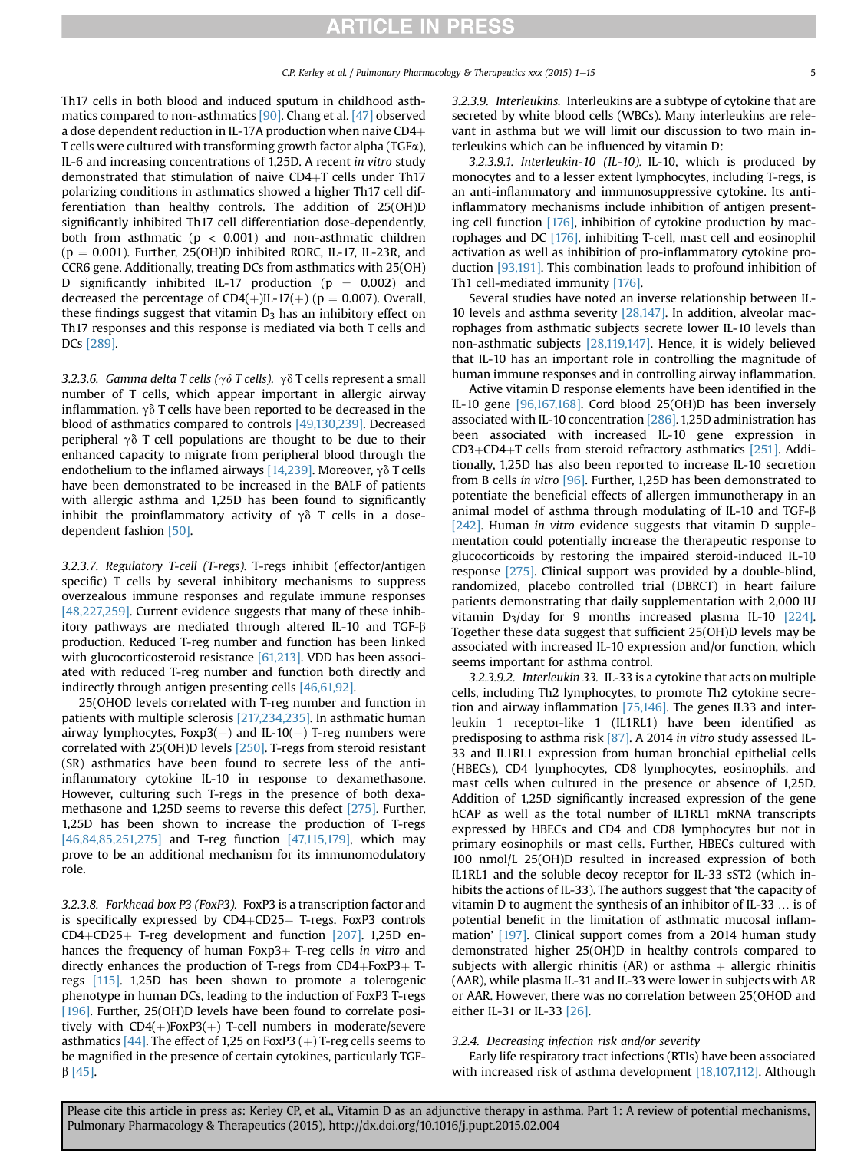<span id="page-4-0"></span>Th17 cells in both blood and induced sputum in childhood asthmatics compared to non-asthmatics [\[90\].](#page-10-0) Chang et al. [\[47\]](#page-10-0) observed a dose dependent reduction in IL-17A production when naive  $CD4+$ T cells were cultured with transforming growth factor alpha (TGF $\alpha$ ), IL-6 and increasing concentrations of 1,25D. A recent in vitro study demonstrated that stimulation of naive  $CD4+T$  cells under Th17 polarizing conditions in asthmatics showed a higher Th17 cell differentiation than healthy controls. The addition of 25(OH)D significantly inhibited Th17 cell differentiation dose-dependently, both from asthmatic ( $p < 0.001$ ) and non-asthmatic children  $(p = 0.001)$ . Further, 25(OH)D inhibited RORC, IL-17, IL-23R, and CCR6 gene. Additionally, treating DCs from asthmatics with 25(OH) D significantly inhibited IL-17 production ( $p = 0.002$ ) and decreased the percentage of  $CD4(+)$ IL-17(+) (p = 0.007). Overall, these findings suggest that vitamin  $D_3$  has an inhibitory effect on Th17 responses and this response is mediated via both T cells and DCs [\[289\]](#page-14-0).

3.2.3.6. Gamma delta T cells ( $\gamma \delta$  T cells).  $\gamma \delta$  T cells represent a small number of T cells, which appear important in allergic airway inflammation.  $\gamma \delta$  T cells have been reported to be decreased in the blood of asthmatics compared to controls [\[49,130,239\]](#page-13-0). Decreased peripheral  $\gamma\delta$  T cell populations are thought to be due to their enhanced capacity to migrate from peripheral blood through the endothelium to the inflamed airways [\[14,239\]](#page-13-0). Moreover,  $\gamma \delta$  T cells have been demonstrated to be increased in the BALF of patients with allergic asthma and 1,25D has been found to significantly inhibit the proinflammatory activity of  $\gamma \delta$  T cells in a dosedependent fashion [\[50\]](#page-10-0).

3.2.3.7. Regulatory T-cell (T-regs). T-regs inhibit (effector/antigen specific) T cells by several inhibitory mechanisms to suppress overzealous immune responses and regulate immune responses [\[48,227,259\]](#page-10-0). Current evidence suggests that many of these inhibitory pathways are mediated through altered IL-10 and TGF- $\beta$ production. Reduced T-reg number and function has been linked with glucocorticosteroid resistance [\[61,213\]](#page-13-0). VDD has been associated with reduced T-reg number and function both directly and indirectly through antigen presenting cells [\[46,61,92\].](#page-10-0)

25(OHOD levels correlated with T-reg number and function in patients with multiple sclerosis [\[217,234,235\].](#page-13-0) In asthmatic human airway lymphocytes, Foxp3(+) and IL-10(+) T-reg numbers were correlated with 25(OH)D levels [\[250\]](#page-13-0). T-regs from steroid resistant (SR) asthmatics have been found to secrete less of the antiinflammatory cytokine IL-10 in response to dexamethasone. However, culturing such T-regs in the presence of both dexamethasone and 1,25D seems to reverse this defect [\[275\]](#page-14-0). Further, 1,25D has been shown to increase the production of T-regs [\[46,84,85,251,275\]](#page-10-0) and T-reg function [\[47,115,179\]](#page-11-0), which may prove to be an additional mechanism for its immunomodulatory role.

3.2.3.8. Forkhead box P3 (FoxP3). FoxP3 is a transcription factor and is specifically expressed by  $CD4+CD25+$  T-regs. FoxP3 controls  $CD4+CD25+$  T-reg development and function [\[207\]](#page-13-0). 1,25D enhances the frequency of human Foxp3+ T-reg cells in vitro and directly enhances the production of T-regs from  $CD4+FoxP3+T$ regs [\[115\].](#page-11-0) 1,25D has been shown to promote a tolerogenic phenotype in human DCs, leading to the induction of FoxP3 T-regs [\[196\]](#page-12-0). Further, 25(OH)D levels have been found to correlate positively with  $CD4(+)$ FoxP3(+) T-cell numbers in moderate/severe asthmatics  $[44]$ . The effect of 1,25 on FoxP3 (+) T-reg cells seems to be magnified in the presence of certain cytokines, particularly TGF- $\beta$  [\[45\].](#page-10-0)

3.2.3.9. Interleukins. Interleukins are a subtype of cytokine that are secreted by white blood cells (WBCs). Many interleukins are relevant in asthma but we will limit our discussion to two main interleukins which can be influenced by vitamin D:

3.2.3.9.1. Interleukin-10 (IL-10). IL-10, which is produced by monocytes and to a lesser extent lymphocytes, including T-regs, is an anti-inflammatory and immunosuppressive cytokine. Its antiinflammatory mechanisms include inhibition of antigen presenting cell function [\[176\]](#page-12-0), inhibition of cytokine production by macrophages and DC [\[176\],](#page-12-0) inhibiting T-cell, mast cell and eosinophil activation as well as inhibition of pro-inflammatory cytokine production [\[93,191\].](#page-10-0) This combination leads to profound inhibition of Th1 cell-mediated immunity [\[176\].](#page-12-0)

Several studies have noted an inverse relationship between IL-10 levels and asthma severity [\[28,147\].](#page-9-0) In addition, alveolar macrophages from asthmatic subjects secrete lower IL-10 levels than non-asthmatic subjects [\[28,119,147\]](#page-9-0). Hence, it is widely believed that IL-10 has an important role in controlling the magnitude of human immune responses and in controlling airway inflammation.

Active vitamin D response elements have been identified in the IL-10 gene [\[96,167,168\].](#page-10-0) Cord blood 25(OH)D has been inversely associated with IL-10 concentration [\[286\]](#page-14-0). 1,25D administration has been associated with increased IL-10 gene expression in  $CD3+CD4+T$  cells from steroid refractory asthmatics [\[251\].](#page-13-0) Additionally, 1,25D has also been reported to increase IL-10 secretion from B cells in vitro [\[96\]](#page-10-0). Further, 1,25D has been demonstrated to potentiate the beneficial effects of allergen immunotherapy in an animal model of asthma through modulating of IL-10 and TGF- $\beta$ [\[242\].](#page-13-0) Human in vitro evidence suggests that vitamin D supplementation could potentially increase the therapeutic response to glucocorticoids by restoring the impaired steroid-induced IL-10 response [\[275\]](#page-14-0). Clinical support was provided by a double-blind, randomized, placebo controlled trial (DBRCT) in heart failure patients demonstrating that daily supplementation with 2,000 IU vitamin  $D_3$ /day for 9 months increased plasma IL-10 [\[224\].](#page-13-0) Together these data suggest that sufficient 25(OH)D levels may be associated with increased IL-10 expression and/or function, which seems important for asthma control.

3.2.3.9.2. Interleukin 33. IL-33 is a cytokine that acts on multiple cells, including Th2 lymphocytes, to promote Th2 cytokine secretion and airway inflammation [\[75,146\]](#page-11-0). The genes IL33 and interleukin 1 receptor-like 1 (IL1RL1) have been identified as predisposing to asthma risk [\[87\].](#page-10-0) A 2014 in vitro study assessed IL-33 and IL1RL1 expression from human bronchial epithelial cells (HBECs), CD4 lymphocytes, CD8 lymphocytes, eosinophils, and mast cells when cultured in the presence or absence of 1,25D. Addition of 1,25D significantly increased expression of the gene hCAP as well as the total number of IL1RL1 mRNA transcripts expressed by HBECs and CD4 and CD8 lymphocytes but not in primary eosinophils or mast cells. Further, HBECs cultured with 100 nmol/L 25(OH)D resulted in increased expression of both IL1RL1 and the soluble decoy receptor for IL-33 sST2 (which inhibits the actions of IL-33). The authors suggest that 'the capacity of vitamin D to augment the synthesis of an inhibitor of IL-33 … is of potential benefit in the limitation of asthmatic mucosal inflammation' [\[197\]](#page-12-0). Clinical support comes from a 2014 human study demonstrated higher 25(OH)D in healthy controls compared to subjects with allergic rhinitis (AR) or asthma  $+$  allergic rhinitis (AAR), while plasma IL-31 and IL-33 were lower in subjects with AR or AAR. However, there was no correlation between 25(OHOD and either IL-31 or IL-33 [\[26\].](#page-9-0)

#### 3.2.4. Decreasing infection risk and/or severity

Early life respiratory tract infections (RTIs) have been associated with increased risk of asthma development [\[18,107,112\]](#page-11-0). Although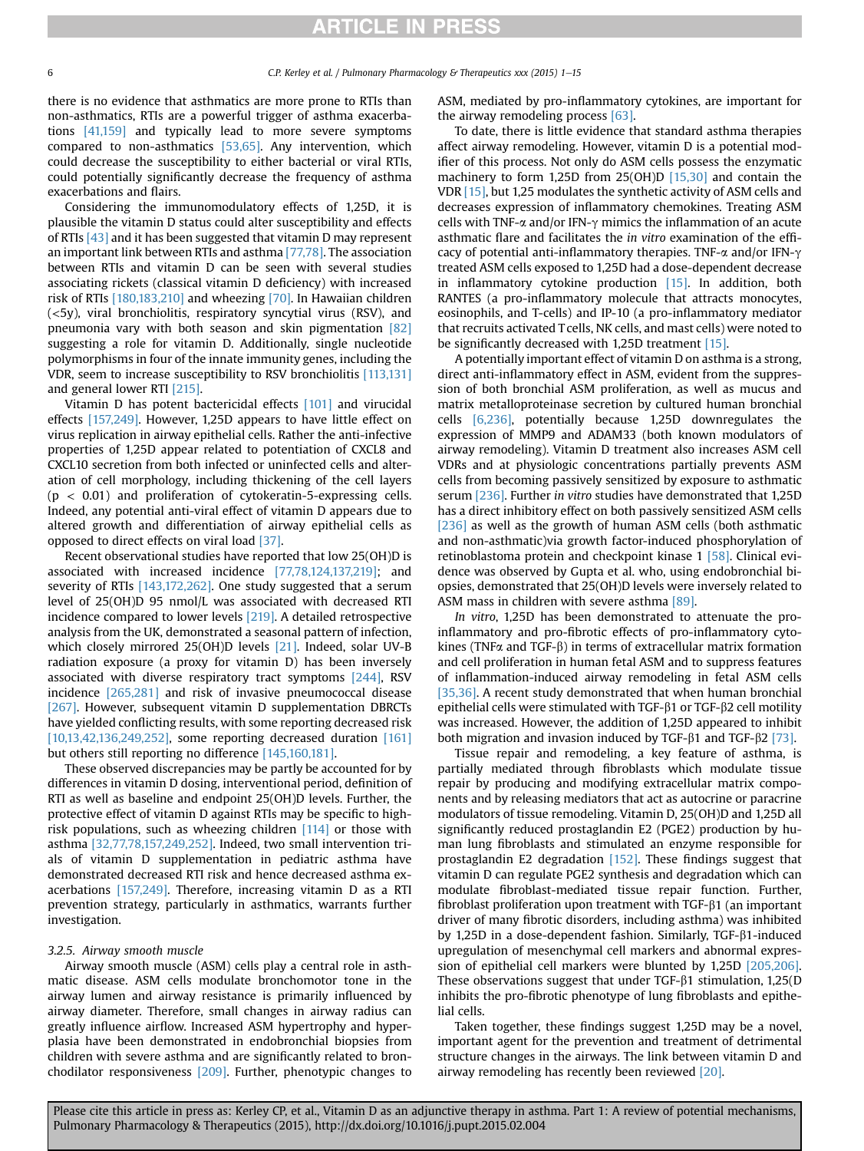<span id="page-5-0"></span>there is no evidence that asthmatics are more prone to RTIs than non-asthmatics, RTIs are a powerful trigger of asthma exacerbations [\[41,159\]](#page-12-0) and typically lead to more severe symptoms compared to non-asthmatics [\[53,65\]](#page-10-0). Any intervention, which could decrease the susceptibility to either bacterial or viral RTIs, could potentially significantly decrease the frequency of asthma exacerbations and flairs.

Considering the immunomodulatory effects of 1,25D, it is plausible the vitamin D status could alter susceptibility and effects of RTIs [\[43\]](#page-10-0) and it has been suggested that vitamin D may represent an important link between RTIs and asthma [\[77,78\].](#page-10-0) The association between RTIs and vitamin D can be seen with several studies associating rickets (classical vitamin D deficiency) with increased risk of RTIs [\[180,183,210\]](#page-13-0) and wheezing [\[70\]](#page-10-0). In Hawaiian children (<5y), viral bronchiolitis, respiratory syncytial virus (RSV), and pneumonia vary with both season and skin pigmentation [\[82\]](#page-10-0) suggesting a role for vitamin D. Additionally, single nucleotide polymorphisms in four of the innate immunity genes, including the VDR, seem to increase susceptibility to RSV bronchiolitis [\[113,131\]](#page-11-0) and general lower RTI [\[215\].](#page-13-0)

Vitamin D has potent bactericidal effects [\[101\]](#page-11-0) and virucidal effects [\[157,249\]](#page-13-0). However, 1,25D appears to have little effect on virus replication in airway epithelial cells. Rather the anti-infective properties of 1,25D appear related to potentiation of CXCL8 and CXCL10 secretion from both infected or uninfected cells and alteration of cell morphology, including thickening of the cell layers  $(p < 0.01)$  and proliferation of cytokeratin-5-expressing cells. Indeed, any potential anti-viral effect of vitamin D appears due to altered growth and differentiation of airway epithelial cells as opposed to direct effects on viral load [\[37\].](#page-9-0)

Recent observational studies have reported that low 25(OH)D is associated with increased incidence [\[77,78,124,137,219\];](#page-10-0) and severity of RTIs [\[143,172,262\].](#page-14-0) One study suggested that a serum level of 25(OH)D 95 nmol/L was associated with decreased RTI incidence compared to lower levels [\[219\]](#page-13-0). A detailed retrospective analysis from the UK, demonstrated a seasonal pattern of infection, which closely mirrored 25(OH)D levels [\[21\].](#page-9-0) Indeed, solar UV-B radiation exposure (a proxy for vitamin D) has been inversely associated with diverse respiratory tract symptoms [\[244\],](#page-13-0) RSV incidence [\[265,281\]](#page-14-0) and risk of invasive pneumococcal disease [\[267\].](#page-14-0) However, subsequent vitamin D supplementation DBRCTs have yielded conflicting results, with some reporting decreased risk [\[10,13,42,136,249,252\],](#page-9-0) some reporting decreased duration [\[161\]](#page-12-0) but others still reporting no difference [\[145,160,181\]](#page-11-0).

These observed discrepancies may be partly be accounted for by differences in vitamin D dosing, interventional period, definition of RTI as well as baseline and endpoint 25(OH)D levels. Further, the protective effect of vitamin D against RTIs may be specific to highrisk populations, such as wheezing children [\[114\]](#page-11-0) or those with asthma [\[32,77,78,157,249,252\].](#page-9-0) Indeed, two small intervention trials of vitamin D supplementation in pediatric asthma have demonstrated decreased RTI risk and hence decreased asthma exacerbations [\[157,249\]](#page-13-0). Therefore, increasing vitamin D as a RTI prevention strategy, particularly in asthmatics, warrants further investigation.

#### 3.2.5. Airway smooth muscle

Airway smooth muscle (ASM) cells play a central role in asthmatic disease. ASM cells modulate bronchomotor tone in the airway lumen and airway resistance is primarily influenced by airway diameter. Therefore, small changes in airway radius can greatly influence airflow. Increased ASM hypertrophy and hyperplasia have been demonstrated in endobronchial biopsies from children with severe asthma and are significantly related to bronchodilator responsiveness [\[209\]](#page-13-0). Further, phenotypic changes to

ASM, mediated by pro-inflammatory cytokines, are important for the airway remodeling process  $[63]$ .

To date, there is little evidence that standard asthma therapies affect airway remodeling. However, vitamin D is a potential modifier of this process. Not only do ASM cells possess the enzymatic machinery to form 1,25D from 25(OH)D [\[15,30\]](#page-9-0) and contain the VDR [\[15\],](#page-9-0) but 1,25 modulates the synthetic activity of ASM cells and decreases expression of inflammatory chemokines. Treating ASM cells with TNF- $\alpha$  and/or IFN- $\gamma$  mimics the inflammation of an acute asthmatic flare and facilitates the in vitro examination of the efficacy of potential anti-inflammatory therapies. TNF- $\alpha$  and/or IFN- $\gamma$ treated ASM cells exposed to 1,25D had a dose-dependent decrease in inflammatory cytokine production [\[15\]](#page-9-0). In addition, both RANTES (a pro-inflammatory molecule that attracts monocytes, eosinophils, and T-cells) and IP-10 (a pro-inflammatory mediator that recruits activated T cells, NK cells, and mast cells) were noted to be significantly decreased with 1,25D treatment [\[15\].](#page-9-0)

A potentially important effect of vitamin D on asthma is a strong, direct anti-inflammatory effect in ASM, evident from the suppression of both bronchial ASM proliferation, as well as mucus and matrix metalloproteinase secretion by cultured human bronchial cells [\[6,236\],](#page-13-0) potentially because 1,25D downregulates the expression of MMP9 and ADAM33 (both known modulators of airway remodeling). Vitamin D treatment also increases ASM cell VDRs and at physiologic concentrations partially prevents ASM cells from becoming passively sensitized by exposure to asthmatic serum [\[236\].](#page-13-0) Further in vitro studies have demonstrated that 1,25D has a direct inhibitory effect on both passively sensitized ASM cells [\[236\]](#page-13-0) as well as the growth of human ASM cells (both asthmatic and non-asthmatic)via growth factor-induced phosphorylation of retinoblastoma protein and checkpoint kinase 1 [\[58\]](#page-10-0). Clinical evidence was observed by Gupta et al. who, using endobronchial biopsies, demonstrated that 25(OH)D levels were inversely related to ASM mass in children with severe asthma [\[89\].](#page-10-0)

In vitro, 1,25D has been demonstrated to attenuate the proinflammatory and pro-fibrotic effects of pro-inflammatory cytokines (TNF $\alpha$  and TGF- $\beta$ ) in terms of extracellular matrix formation and cell proliferation in human fetal ASM and to suppress features of inflammation-induced airway remodeling in fetal ASM cells [\[35,36\]](#page-9-0). A recent study demonstrated that when human bronchial epithelial cells were stimulated with TGF- $\beta$ 1 or TGF- $\beta$ 2 cell motility was increased. However, the addition of 1,25D appeared to inhibit both migration and invasion induced by TGF- $\beta$ 1 and TGF- $\beta$ 2 [\[73\]](#page-10-0).

Tissue repair and remodeling, a key feature of asthma, is partially mediated through fibroblasts which modulate tissue repair by producing and modifying extracellular matrix components and by releasing mediators that act as autocrine or paracrine modulators of tissue remodeling. Vitamin D, 25(OH)D and 1,25D all significantly reduced prostaglandin E2 (PGE2) production by human lung fibroblasts and stimulated an enzyme responsible for prostaglandin E2 degradation [\[152\].](#page-11-0) These findings suggest that vitamin D can regulate PGE2 synthesis and degradation which can modulate fibroblast-mediated tissue repair function. Further, fibroblast proliferation upon treatment with  $TGF-\beta1$  (an important driver of many fibrotic disorders, including asthma) was inhibited by 1,25D in a dose-dependent fashion. Similarly,  $TGF-\beta1$ -induced upregulation of mesenchymal cell markers and abnormal expression of epithelial cell markers were blunted by 1,25D [\[205,206\].](#page-12-0) These observations suggest that under  $TGF-\beta1$  stimulation, 1,25(D inhibits the pro-fibrotic phenotype of lung fibroblasts and epithelial cells.

Taken together, these findings suggest 1,25D may be a novel, important agent for the prevention and treatment of detrimental structure changes in the airways. The link between vitamin D and airway remodeling has recently been reviewed [\[20\].](#page-9-0)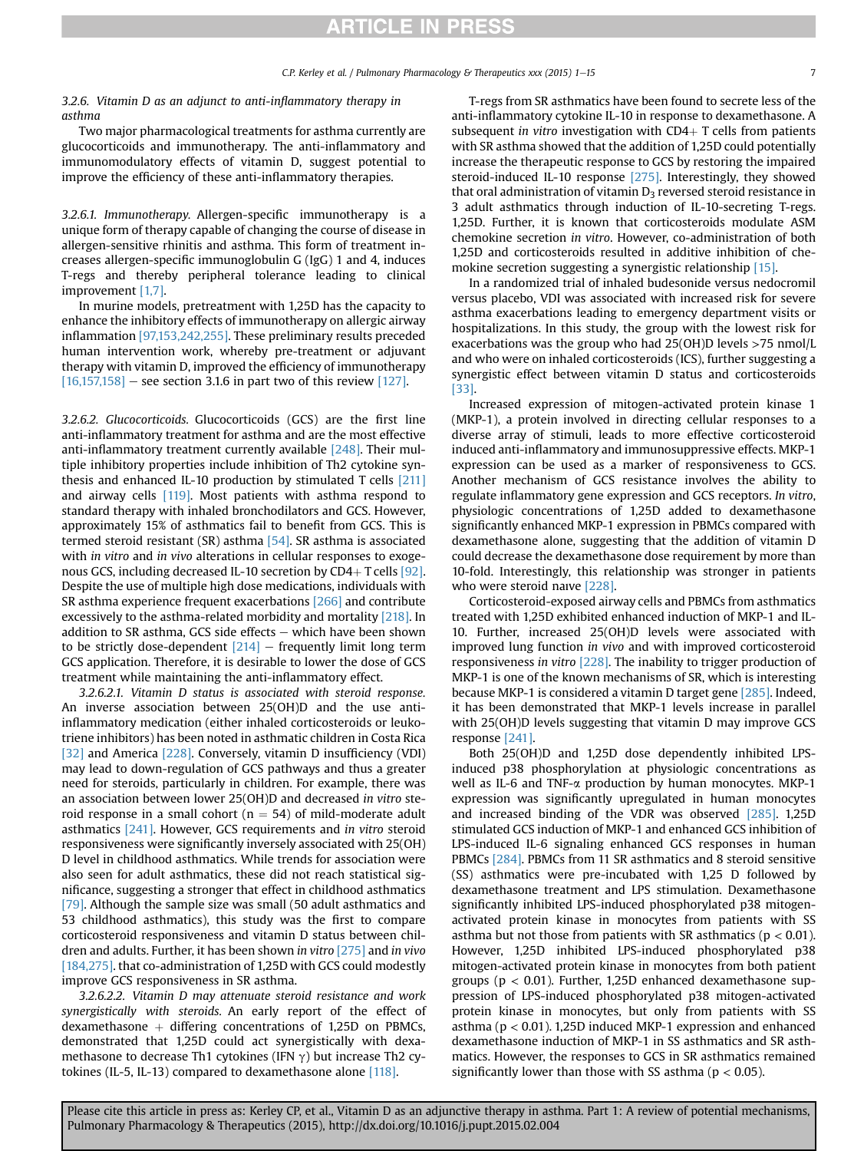#### 3.2.6. Vitamin D as an adjunct to anti-inflammatory therapy in asthma

Two major pharmacological treatments for asthma currently are glucocorticoids and immunotherapy. The anti-inflammatory and immunomodulatory effects of vitamin D, suggest potential to improve the efficiency of these anti-inflammatory therapies.

3.2.6.1. Immunotherapy. Allergen-specific immunotherapy is a unique form of therapy capable of changing the course of disease in allergen-sensitive rhinitis and asthma. This form of treatment increases allergen-specific immunoglobulin G (IgG) 1 and 4, induces T-regs and thereby peripheral tolerance leading to clinical improvement [\[1,7\].](#page-9-0)

In murine models, pretreatment with 1,25D has the capacity to enhance the inhibitory effects of immunotherapy on allergic airway inflammation [\[97,153,242,255\]](#page-13-0). These preliminary results preceded human intervention work, whereby pre-treatment or adjuvant therapy with vitamin D, improved the efficiency of immunotherapy  $[16,157,158]$  – see section 3.1.6 in part two of this review [\[127\]](#page-11-0).

3.2.6.2. Glucocorticoids. Glucocorticoids (GCS) are the first line anti-inflammatory treatment for asthma and are the most effective anti-inflammatory treatment currently available [\[248\]](#page-13-0). Their multiple inhibitory properties include inhibition of Th2 cytokine synthesis and enhanced IL-10 production by stimulated T cells [\[211\]](#page-13-0) and airway cells [\[119\]](#page-11-0). Most patients with asthma respond to standard therapy with inhaled bronchodilators and GCS. However, approximately 15% of asthmatics fail to benefit from GCS. This is termed steroid resistant (SR) asthma [\[54\].](#page-10-0) SR asthma is associated with *in vitro* and *in vivo* alterations in cellular responses to exogenous GCS, including decreased IL-10 secretion by  $CD4+T$  cells [\[92\].](#page-10-0) Despite the use of multiple high dose medications, individuals with SR asthma experience frequent exacerbations [\[266\]](#page-14-0) and contribute excessively to the asthma-related morbidity and mortality [\[218\]](#page-13-0). In addition to SR asthma, GCS side effects  $-$  which have been shown to be strictly dose-dependent  $[214]$  – frequently limit long term GCS application. Therefore, it is desirable to lower the dose of GCS treatment while maintaining the anti-inflammatory effect.

3.2.6.2.1. Vitamin D status is associated with steroid response. An inverse association between 25(OH)D and the use antiinflammatory medication (either inhaled corticosteroids or leukotriene inhibitors) has been noted in asthmatic children in Costa Rica [\[32\]](#page-9-0) and America [\[228\].](#page-13-0) Conversely, vitamin D insufficiency (VDI) may lead to down-regulation of GCS pathways and thus a greater need for steroids, particularly in children. For example, there was an association between lower 25(OH)D and decreased in vitro steroid response in a small cohort ( $n = 54$ ) of mild-moderate adult asthmatics [\[241\].](#page-13-0) However, GCS requirements and in vitro steroid responsiveness were significantly inversely associated with 25(OH) D level in childhood asthmatics. While trends for association were also seen for adult asthmatics, these did not reach statistical significance, suggesting a stronger that effect in childhood asthmatics [\[79\].](#page-10-0) Although the sample size was small (50 adult asthmatics and 53 childhood asthmatics), this study was the first to compare corticosteroid responsiveness and vitamin D status between children and adults. Further, it has been shown in vitro [\[275\]](#page-14-0) and in vivo [\[184,275\].](#page-14-0) that co-administration of 1,25D with GCS could modestly improve GCS responsiveness in SR asthma.

3.2.6.2.2. Vitamin D may attenuate steroid resistance and work synergistically with steroids. An early report of the effect of dexamethasone  $+$  differing concentrations of 1,25D on PBMCs, demonstrated that 1,25D could act synergistically with dexamethasone to decrease Th1 cytokines (IFN  $\gamma$ ) but increase Th2 cytokines (IL-5, IL-13) compared to dexamethasone alone [\[118\]](#page-11-0).

T-regs from SR asthmatics have been found to secrete less of the anti-inflammatory cytokine IL-10 in response to dexamethasone. A subsequent in vitro investigation with  $CD4+T$  cells from patients with SR asthma showed that the addition of 1,25D could potentially increase the therapeutic response to GCS by restoring the impaired steroid-induced IL-10 response [\[275\].](#page-14-0) Interestingly, they showed that oral administration of vitamin  $D_3$  reversed steroid resistance in 3 adult asthmatics through induction of IL-10-secreting T-regs. 1,25D. Further, it is known that corticosteroids modulate ASM chemokine secretion in vitro. However, co-administration of both 1,25D and corticosteroids resulted in additive inhibition of chemokine secretion suggesting a synergistic relationship [\[15\].](#page-9-0)

In a randomized trial of inhaled budesonide versus nedocromil versus placebo, VDI was associated with increased risk for severe asthma exacerbations leading to emergency department visits or hospitalizations. In this study, the group with the lowest risk for exacerbations was the group who had 25(OH)D levels >75 nmol/L and who were on inhaled corticosteroids (ICS), further suggesting a synergistic effect between vitamin D status and corticosteroids [\[33\].](#page-9-0)

Increased expression of mitogen-activated protein kinase 1 (MKP-1), a protein involved in directing cellular responses to a diverse array of stimuli, leads to more effective corticosteroid induced anti-inflammatory and immunosuppressive effects. MKP-1 expression can be used as a marker of responsiveness to GCS. Another mechanism of GCS resistance involves the ability to regulate inflammatory gene expression and GCS receptors. In vitro, physiologic concentrations of 1,25D added to dexamethasone significantly enhanced MKP-1 expression in PBMCs compared with dexamethasone alone, suggesting that the addition of vitamin D could decrease the dexamethasone dose requirement by more than 10-fold. Interestingly, this relationship was stronger in patients who were steroid naıve [\[228\]](#page-13-0).

Corticosteroid-exposed airway cells and PBMCs from asthmatics treated with 1,25D exhibited enhanced induction of MKP-1 and IL-10. Further, increased 25(OH)D levels were associated with improved lung function in vivo and with improved corticosteroid responsiveness in vitro [\[228\].](#page-13-0) The inability to trigger production of MKP-1 is one of the known mechanisms of SR, which is interesting because MKP-1 is considered a vitamin D target gene [\[285\].](#page-14-0) Indeed, it has been demonstrated that MKP-1 levels increase in parallel with 25(OH)D levels suggesting that vitamin D may improve GCS response [\[241\]](#page-13-0).

Both 25(OH)D and 1,25D dose dependently inhibited LPSinduced p38 phosphorylation at physiologic concentrations as well as IL-6 and TNF-a production by human monocytes. MKP-1 expression was significantly upregulated in human monocytes and increased binding of the VDR was observed [\[285\]](#page-14-0). 1,25D stimulated GCS induction of MKP-1 and enhanced GCS inhibition of LPS-induced IL-6 signaling enhanced GCS responses in human PBMCs [\[284\].](#page-14-0) PBMCs from 11 SR asthmatics and 8 steroid sensitive (SS) asthmatics were pre-incubated with 1,25 D followed by dexamethasone treatment and LPS stimulation. Dexamethasone significantly inhibited LPS-induced phosphorylated p38 mitogenactivated protein kinase in monocytes from patients with SS asthma but not those from patients with SR asthmatics ( $p < 0.01$ ). However, 1,25D inhibited LPS-induced phosphorylated p38 mitogen-activated protein kinase in monocytes from both patient groups ( $p < 0.01$ ). Further, 1,25D enhanced dexamethasone suppression of LPS-induced phosphorylated p38 mitogen-activated protein kinase in monocytes, but only from patients with SS asthma (p < 0.01). 1,25D induced MKP-1 expression and enhanced dexamethasone induction of MKP-1 in SS asthmatics and SR asthmatics. However, the responses to GCS in SR asthmatics remained significantly lower than those with SS asthma ( $p < 0.05$ ).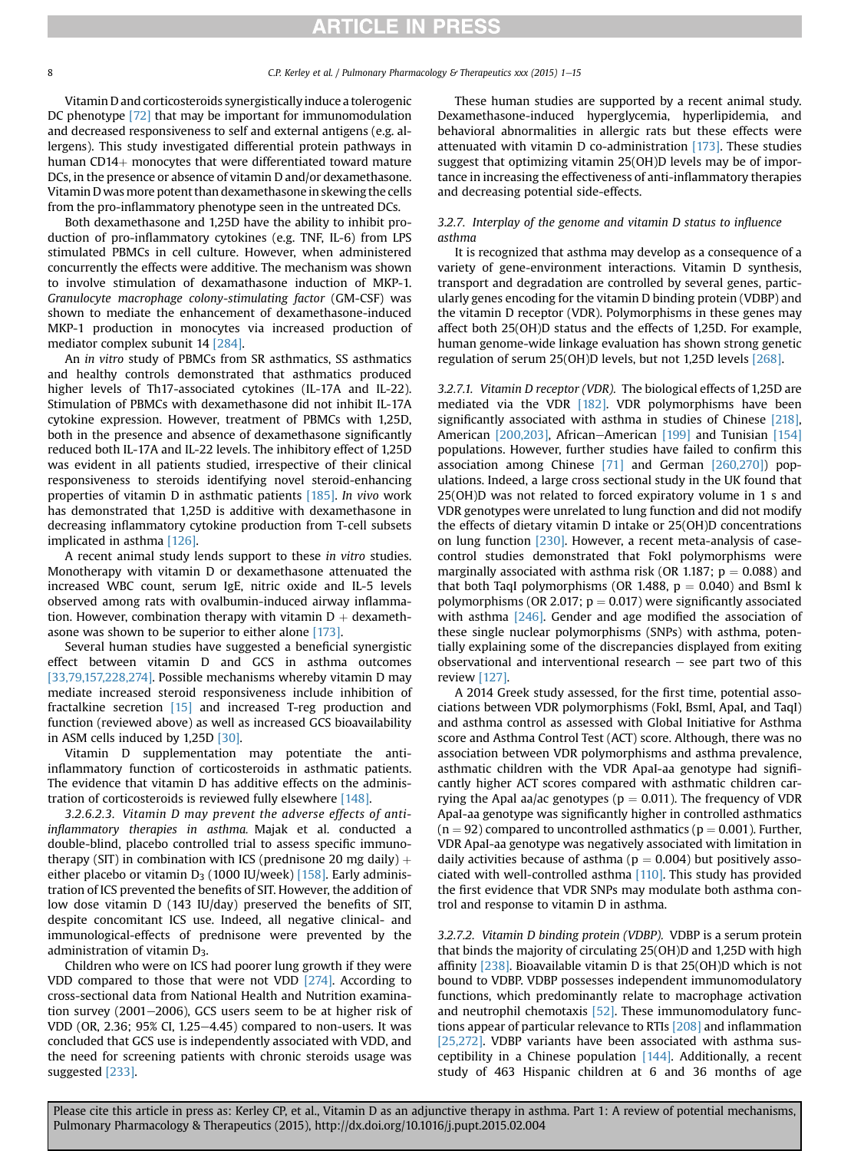Vitamin D and corticosteroids synergistically induce a tolerogenic DC phenotype [\[72\]](#page-10-0) that may be important for immunomodulation and decreased responsiveness to self and external antigens (e.g. allergens). This study investigated differential protein pathways in human CD14 $+$  monocytes that were differentiated toward mature DCs, in the presence or absence of vitamin D and/or dexamethasone. Vitamin D was more potent than dexamethasone in skewing the cells from the pro-inflammatory phenotype seen in the untreated DCs.

Both dexamethasone and 1,25D have the ability to inhibit production of pro-inflammatory cytokines (e.g. TNF, IL-6) from LPS stimulated PBMCs in cell culture. However, when administered concurrently the effects were additive. The mechanism was shown to involve stimulation of dexamathasone induction of MKP-1. Granulocyte macrophage colony-stimulating factor (GM-CSF) was shown to mediate the enhancement of dexamethasone-induced MKP-1 production in monocytes via increased production of mediator complex subunit 14 [\[284\].](#page-14-0)

An in vitro study of PBMCs from SR asthmatics, SS asthmatics and healthy controls demonstrated that asthmatics produced higher levels of Th17-associated cytokines (IL-17A and IL-22). Stimulation of PBMCs with dexamethasone did not inhibit IL-17A cytokine expression. However, treatment of PBMCs with 1,25D, both in the presence and absence of dexamethasone significantly reduced both IL-17A and IL-22 levels. The inhibitory effect of 1,25D was evident in all patients studied, irrespective of their clinical responsiveness to steroids identifying novel steroid-enhancing properties of vitamin D in asthmatic patients [\[185\].](#page-12-0) In vivo work has demonstrated that 1,25D is additive with dexamethasone in decreasing inflammatory cytokine production from T-cell subsets implicated in asthma [\[126\]](#page-11-0).

A recent animal study lends support to these in vitro studies. Monotherapy with vitamin D or dexamethasone attenuated the increased WBC count, serum IgE, nitric oxide and IL-5 levels observed among rats with ovalbumin-induced airway inflammation. However, combination therapy with vitamin  $D +$  dexamethasone was shown to be superior to either alone [\[173\].](#page-12-0)

Several human studies have suggested a beneficial synergistic effect between vitamin D and GCS in asthma outcomes [\[33,79,157,228,274\].](#page-9-0) Possible mechanisms whereby vitamin D may mediate increased steroid responsiveness include inhibition of fractalkine secretion [\[15\]](#page-9-0) and increased T-reg production and function (reviewed above) as well as increased GCS bioavailability in ASM cells induced by 1,25D [\[30\]](#page-9-0).

Vitamin D supplementation may potentiate the antiinflammatory function of corticosteroids in asthmatic patients. The evidence that vitamin D has additive effects on the administration of corticosteroids is reviewed fully elsewhere [\[148\].](#page-11-0)

3.2.6.2.3. Vitamin D may prevent the adverse effects of antiinflammatory therapies in asthma. Majak et al. conducted a double-blind, placebo controlled trial to assess specific immunotherapy (SIT) in combination with ICS (prednisone 20 mg daily)  $+$ either placebo or vitamin  $D_3$  (1000 IU/week) [\[158\].](#page-12-0) Early administration of ICS prevented the benefits of SIT. However, the addition of low dose vitamin D (143 IU/day) preserved the benefits of SIT, despite concomitant ICS use. Indeed, all negative clinical- and immunological-effects of prednisone were prevented by the administration of vitamin  $D_3$ .

Children who were on ICS had poorer lung growth if they were VDD compared to those that were not VDD [\[274\]](#page-14-0). According to cross-sectional data from National Health and Nutrition examination survey  $(2001-2006)$ , GCS users seem to be at higher risk of VDD (OR, 2.36; 95% CI, 1.25 $-4.45$ ) compared to non-users. It was concluded that GCS use is independently associated with VDD, and the need for screening patients with chronic steroids usage was suggested [\[233\].](#page-13-0)

These human studies are supported by a recent animal study. Dexamethasone-induced hyperglycemia, hyperlipidemia, and behavioral abnormalities in allergic rats but these effects were attenuated with vitamin D co-administration  $[173]$ . These studies suggest that optimizing vitamin 25(OH)D levels may be of importance in increasing the effectiveness of anti-inflammatory therapies and decreasing potential side-effects.

### 3.2.7. Interplay of the genome and vitamin D status to influence asthma

It is recognized that asthma may develop as a consequence of a variety of gene-environment interactions. Vitamin D synthesis, transport and degradation are controlled by several genes, particularly genes encoding for the vitamin D binding protein (VDBP) and the vitamin D receptor (VDR). Polymorphisms in these genes may affect both 25(OH)D status and the effects of 1,25D. For example, human genome-wide linkage evaluation has shown strong genetic regulation of serum 25(OH)D levels, but not 1,25D levels [\[268\].](#page-14-0)

3.2.7.1. Vitamin D receptor (VDR). The biological effects of 1,25D are mediated via the VDR [\[182\].](#page-12-0) VDR polymorphisms have been significantly associated with asthma in studies of Chinese [\[218\],](#page-13-0) American [\[200,203\]](#page-12-0), African-American [\[199\]](#page-12-0) and Tunisian [\[154\]](#page-11-0) populations. However, further studies have failed to confirm this association among Chinese [\[71\]](#page-10-0) and German [\[260,270\]\)](#page-14-0) populations. Indeed, a large cross sectional study in the UK found that 25(OH)D was not related to forced expiratory volume in 1 s and VDR genotypes were unrelated to lung function and did not modify the effects of dietary vitamin D intake or 25(OH)D concentrations on lung function [\[230\]](#page-13-0). However, a recent meta-analysis of casecontrol studies demonstrated that FokI polymorphisms were marginally associated with asthma risk (OR 1.187;  $p = 0.088$ ) and that both TaqI polymorphisms (OR 1.488,  $p = 0.040$ ) and BsmI k polymorphisms (OR 2.017;  $p = 0.017$ ) were significantly associated with asthma  $[246]$ . Gender and age modified the association of these single nuclear polymorphisms (SNPs) with asthma, potentially explaining some of the discrepancies displayed from exiting observational and interventional research  $-$  see part two of this review [\[127\].](#page-11-0)

A 2014 Greek study assessed, for the first time, potential associations between VDR polymorphisms (FokI, BsmI, ApaI, and TaqI) and asthma control as assessed with Global Initiative for Asthma score and Asthma Control Test (ACT) score. Although, there was no association between VDR polymorphisms and asthma prevalence, asthmatic children with the VDR ApaI-aa genotype had significantly higher ACT scores compared with asthmatic children carrying the Apal aa/ac genotypes ( $p = 0.011$ ). The frequency of VDR ApaI-aa genotype was significantly higher in controlled asthmatics  $(n = 92)$  compared to uncontrolled asthmatics ( $p = 0.001$ ). Further, VDR ApaI-aa genotype was negatively associated with limitation in daily activities because of asthma ( $p = 0.004$ ) but positively associated with well-controlled asthma [\[110\]](#page-11-0). This study has provided the first evidence that VDR SNPs may modulate both asthma control and response to vitamin D in asthma.

3.2.7.2. Vitamin D binding protein (VDBP). VDBP is a serum protein that binds the majority of circulating 25(OH)D and 1,25D with high affinity [\[238\]](#page-13-0). Bioavailable vitamin D is that 25(OH)D which is not bound to VDBP. VDBP possesses independent immunomodulatory functions, which predominantly relate to macrophage activation and neutrophil chemotaxis [\[52\].](#page-10-0) These immunomodulatory functions appear of particular relevance to RTIs [\[208\]](#page-13-0) and inflammation [\[25,272\].](#page-9-0) VDBP variants have been associated with asthma susceptibility in a Chinese population  $[144]$ . Additionally, a recent study of 463 Hispanic children at 6 and 36 months of age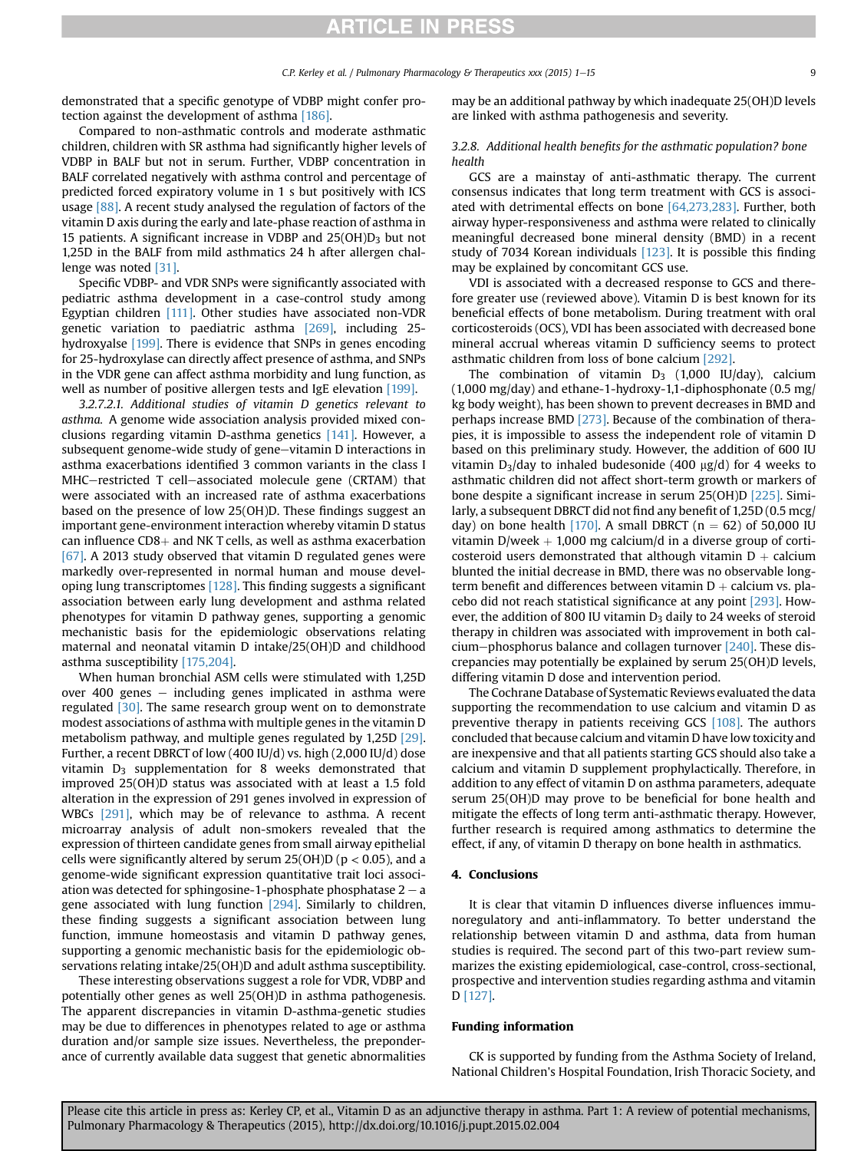demonstrated that a specific genotype of VDBP might confer protection against the development of asthma [\[186\]](#page-12-0).

Compared to non-asthmatic controls and moderate asthmatic children, children with SR asthma had significantly higher levels of VDBP in BALF but not in serum. Further, VDBP concentration in BALF correlated negatively with asthma control and percentage of predicted forced expiratory volume in 1 s but positively with ICS usage [\[88\].](#page-10-0) A recent study analysed the regulation of factors of the vitamin D axis during the early and late-phase reaction of asthma in 15 patients. A significant increase in VDBP and  $25(OH)D_3$  but not 1,25D in the BALF from mild asthmatics 24 h after allergen challenge was noted [\[31\].](#page-9-0)

Specific VDBP- and VDR SNPs were significantly associated with pediatric asthma development in a case-control study among Egyptian children [\[111\]](#page-11-0). Other studies have associated non-VDR genetic variation to paediatric asthma [\[269\]](#page-14-0), including 25 hydroxyalse [\[199\]](#page-12-0). There is evidence that SNPs in genes encoding for 25-hydroxylase can directly affect presence of asthma, and SNPs in the VDR gene can affect asthma morbidity and lung function, as well as number of positive allergen tests and IgE elevation [\[199\]](#page-12-0).

3.2.7.2.1. Additional studies of vitamin D genetics relevant to asthma. A genome wide association analysis provided mixed conclusions regarding vitamin D-asthma genetics [\[141\]](#page-11-0). However, a subsequent genome-wide study of gene-vitamin D interactions in asthma exacerbations identified 3 common variants in the class I MHC-restricted T cell-associated molecule gene (CRTAM) that were associated with an increased rate of asthma exacerbations based on the presence of low 25(OH)D. These findings suggest an important gene-environment interaction whereby vitamin D status can influence  $CD8+$  and NK T cells, as well as asthma exacerbation [\[67\].](#page-10-0) A 2013 study observed that vitamin D regulated genes were markedly over-represented in normal human and mouse developing lung transcriptomes [\[128\].](#page-11-0) This finding suggests a significant association between early lung development and asthma related phenotypes for vitamin D pathway genes, supporting a genomic mechanistic basis for the epidemiologic observations relating maternal and neonatal vitamin D intake/25(OH)D and childhood asthma susceptibility [\[175,204\].](#page-12-0)

When human bronchial ASM cells were stimulated with 1,25D over 400 genes  $-$  including genes implicated in asthma were regulated [\[30\].](#page-9-0) The same research group went on to demonstrate modest associations of asthma with multiple genes in the vitamin D metabolism pathway, and multiple genes regulated by 1,25D [\[29\].](#page-9-0) Further, a recent DBRCT of low (400 IU/d) vs. high (2,000 IU/d) dose vitamin  $D_3$  supplementation for 8 weeks demonstrated that improved 25(OH)D status was associated with at least a 1.5 fold alteration in the expression of 291 genes involved in expression of WBCs [\[291\]](#page-14-0), which may be of relevance to asthma. A recent microarray analysis of adult non-smokers revealed that the expression of thirteen candidate genes from small airway epithelial cells were significantly altered by serum  $25(OH)D$  ( $p < 0.05$ ), and a genome-wide significant expression quantitative trait loci association was detected for sphingosine-1-phosphate phosphatase  $2 - a$ gene associated with lung function [\[294\]](#page-14-0). Similarly to children, these finding suggests a significant association between lung function, immune homeostasis and vitamin D pathway genes, supporting a genomic mechanistic basis for the epidemiologic observations relating intake/25(OH)D and adult asthma susceptibility.

These interesting observations suggest a role for VDR, VDBP and potentially other genes as well 25(OH)D in asthma pathogenesis. The apparent discrepancies in vitamin D-asthma-genetic studies may be due to differences in phenotypes related to age or asthma duration and/or sample size issues. Nevertheless, the preponderance of currently available data suggest that genetic abnormalities may be an additional pathway by which inadequate 25(OH)D levels are linked with asthma pathogenesis and severity.

### 3.2.8. Additional health benefits for the asthmatic population? bone health

GCS are a mainstay of anti-asthmatic therapy. The current consensus indicates that long term treatment with GCS is associated with detrimental effects on bone [\[64,273,283\].](#page-10-0) Further, both airway hyper-responsiveness and asthma were related to clinically meaningful decreased bone mineral density (BMD) in a recent study of 7034 Korean individuals [\[123\]](#page-11-0). It is possible this finding may be explained by concomitant GCS use.

VDI is associated with a decreased response to GCS and therefore greater use (reviewed above). Vitamin D is best known for its beneficial effects of bone metabolism. During treatment with oral corticosteroids (OCS), VDI has been associated with decreased bone mineral accrual whereas vitamin D sufficiency seems to protect asthmatic children from loss of bone calcium [\[292\]](#page-14-0).

The combination of vitamin  $D_3$  (1,000 IU/day), calcium (1,000 mg/day) and ethane-1-hydroxy-1,1-diphosphonate (0.5 mg/ kg body weight), has been shown to prevent decreases in BMD and perhaps increase BMD [\[273\]](#page-14-0). Because of the combination of therapies, it is impossible to assess the independent role of vitamin D based on this preliminary study. However, the addition of 600 IU vitamin  $D_3$ /day to inhaled budesonide (400 µg/d) for 4 weeks to asthmatic children did not affect short-term growth or markers of bone despite a significant increase in serum 25(OH)D [\[225\].](#page-13-0) Similarly, a subsequent DBRCT did not find any benefit of 1,25D (0.5 mcg/ day) on bone health [\[170\]](#page-12-0). A small DBRCT ( $n = 62$ ) of 50,000 IU vitamin D/week  $+$  1,000 mg calcium/d in a diverse group of corticosteroid users demonstrated that although vitamin  $D +$  calcium blunted the initial decrease in BMD, there was no observable longterm benefit and differences between vitamin  $D +$  calcium vs. placebo did not reach statistical significance at any point [\[293\]](#page-14-0). However, the addition of 800 IU vitamin  $D_3$  daily to 24 weeks of steroid therapy in children was associated with improvement in both calcium-phosphorus balance and collagen turnover  $[240]$ . These discrepancies may potentially be explained by serum 25(OH)D levels, differing vitamin D dose and intervention period.

The Cochrane Database of Systematic Reviews evaluated the data supporting the recommendation to use calcium and vitamin D as preventive therapy in patients receiving GCS [\[108\]](#page-11-0). The authors concluded that because calcium and vitamin D have low toxicity and are inexpensive and that all patients starting GCS should also take a calcium and vitamin D supplement prophylactically. Therefore, in addition to any effect of vitamin D on asthma parameters, adequate serum 25(OH)D may prove to be beneficial for bone health and mitigate the effects of long term anti-asthmatic therapy. However, further research is required among asthmatics to determine the effect, if any, of vitamin D therapy on bone health in asthmatics.

### 4. Conclusions

It is clear that vitamin D influences diverse influences immunoregulatory and anti-inflammatory. To better understand the relationship between vitamin D and asthma, data from human studies is required. The second part of this two-part review summarizes the existing epidemiological, case-control, cross-sectional, prospective and intervention studies regarding asthma and vitamin D [\[127\]](#page-11-0).

#### Funding information

CK is supported by funding from the Asthma Society of Ireland, National Children's Hospital Foundation, Irish Thoracic Society, and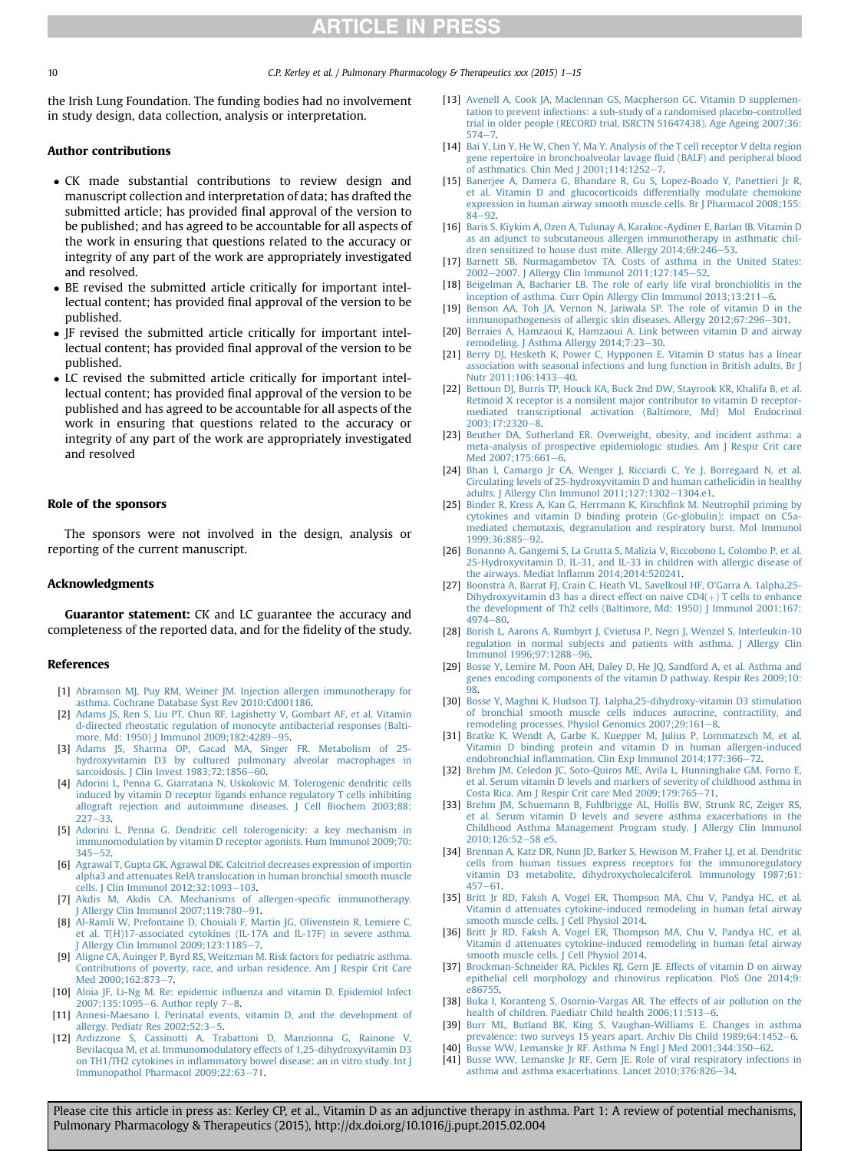<span id="page-9-0"></span>10 C.P. Kerley et al. / Pulmonary Pharmacology & Therapeutics xxx (2015) 1–15

the Irish Lung Foundation. The funding bodies had no involvement in study design, data collection, analysis or interpretation.

#### Author contributions

- CK made substantial contributions to review design and manuscript collection and interpretation of data; has drafted the submitted article; has provided final approval of the version to be published; and has agreed to be accountable for all aspects of the work in ensuring that questions related to the accuracy or integrity of any part of the work are appropriately investigated and resolved.
- BE revised the submitted article critically for important intellectual content; has provided final approval of the version to be published.
- JF revised the submitted article critically for important intellectual content; has provided final approval of the version to be published.
- LC revised the submitted article critically for important intellectual content; has provided final approval of the version to be published and has agreed to be accountable for all aspects of the work in ensuring that questions related to the accuracy or integrity of any part of the work are appropriately investigated and resolved

#### Role of the sponsors

The sponsors were not involved in the design, analysis or reporting of the current manuscript.

#### Acknowledgments

Guarantor statement: CK and LC guarantee the accuracy and completeness of the reported data, and for the fidelity of the study.

#### References

- [1] [Abramson MJ, Puy RM, Weiner JM. Injection allergen immunotherapy for](http://refhub.elsevier.com/S1094-5539(15)00023-1/sref1) [asthma. Cochrane Database Syst Rev 2010:Cd001186](http://refhub.elsevier.com/S1094-5539(15)00023-1/sref1).
- [2] [Adams JS, Ren S, Liu PT, Chun RF, Lagishetty V, Gombart AF, et al. Vitamin](http://refhub.elsevier.com/S1094-5539(15)00023-1/sref2) [d-directed rheostatic regulation of monocyte antibacterial responses \(Balti-](http://refhub.elsevier.com/S1094-5539(15)00023-1/sref2)more, Md: 1950) J Immunol 2009:182:4289-[95.](http://refhub.elsevier.com/S1094-5539(15)00023-1/sref2)
- [3] Adams JS, Sharma OP, Gacad MA, Singer FR, Metabolism of 25[hydroxyvitamin D3 by cultured pulmonary alveolar macrophages in](http://refhub.elsevier.com/S1094-5539(15)00023-1/sref3) sarcoidosis. J Clin Invest  $1983:72:1856-60$  $1983:72:1856-60$ .
- [4] [Adorini L, Penna G, Giarratana N, Uskokovic M. Tolerogenic dendritic cells](http://refhub.elsevier.com/S1094-5539(15)00023-1/sref4) [induced by vitamin D receptor ligands enhance regulatory T cells inhibiting](http://refhub.elsevier.com/S1094-5539(15)00023-1/sref4) [allograft rejection and autoimmune diseases. J Cell Biochem 2003;88:](http://refhub.elsevier.com/S1094-5539(15)00023-1/sref4)  $227 - 33$  $227 - 33$  $227 - 33$ .
- [5] [Adorini L, Penna G. Dendritic cell tolerogenicity: a key mechanism in](http://refhub.elsevier.com/S1094-5539(15)00023-1/sref5) [immunomodulation by vitamin D receptor agonists. Hum Immunol 2009;70:](http://refhub.elsevier.com/S1094-5539(15)00023-1/sref5)  $345 - 52.$  $345 - 52.$  $345 - 52.$  $345 - 52.$
- [6] [Agrawal T, Gupta GK, Agrawal DK. Calcitriol decreases expression of importin](http://refhub.elsevier.com/S1094-5539(15)00023-1/sref6) [alpha3 and attenuates RelA translocation in human bronchial smooth muscle](http://refhub.elsevier.com/S1094-5539(15)00023-1/sref6) [cells. J Clin Immunol 2012;32:1093](http://refhub.elsevier.com/S1094-5539(15)00023-1/sref6)-[103](http://refhub.elsevier.com/S1094-5539(15)00023-1/sref6).
- [7] [Akdis M, Akdis CA. Mechanisms of allergen-speci](http://refhub.elsevier.com/S1094-5539(15)00023-1/sref7)fic immunotherapy.<br> [J Allergy Clin Immunol 2007;119:780](http://refhub.elsevier.com/S1094-5539(15)00023-1/sref7)–[91](http://refhub.elsevier.com/S1094-5539(15)00023-1/sref7).
- [8] [Al-Ramli W, Prefontaine D, Chouiali F, Martin JG, Olivenstein R, Lemiere C,](http://refhub.elsevier.com/S1094-5539(15)00023-1/sref8) [et al. T\(H\)17-associated cytokines \(IL-17A and IL-17F\) in severe asthma.](http://refhub.elsevier.com/S1094-5539(15)00023-1/sref8) Allergy Clin Immunol 2009;123:1185-[7](http://refhub.elsevier.com/S1094-5539(15)00023-1/sref8).
- [9] [Aligne CA, Auinger P, Byrd RS, Weitzman M. Risk factors for pediatric asthma.](http://refhub.elsevier.com/S1094-5539(15)00023-1/sref9) [Contributions of poverty, race, and urban residence. Am J Respir Crit Care](http://refhub.elsevier.com/S1094-5539(15)00023-1/sref9) Med 2000:162:8[7](http://refhub.elsevier.com/S1094-5539(15)00023-1/sref9)3-7.
- [10] Aloia JF, Li-Ng M. Re: epidemic infl[uenza and vitamin D. Epidemiol Infect](http://refhub.elsevier.com/S1094-5539(15)00023-1/sref10) [2007;135:1095](http://refhub.elsevier.com/S1094-5539(15)00023-1/sref10)-[6. Author reply 7](http://refhub.elsevier.com/S1094-5539(15)00023-1/sref10)-[8](http://refhub.elsevier.com/S1094-5539(15)00023-1/sref10).
- [11] [Annesi-Maesano I. Perinatal events, vitamin D, and the development of](http://refhub.elsevier.com/S1094-5539(15)00023-1/sref11) [allergy. Pediatr Res 2002;52:3](http://refhub.elsevier.com/S1094-5539(15)00023-1/sref11)-[5](http://refhub.elsevier.com/S1094-5539(15)00023-1/sref11).
- [12] [Ardizzone S, Cassinotti A, Trabattoni D, Manzionna G, Rainone V,](http://refhub.elsevier.com/S1094-5539(15)00023-1/sref12) [Bevilacqua M, et al. Immunomodulatory effects of 1,25-dihydroxyvitamin D3](http://refhub.elsevier.com/S1094-5539(15)00023-1/sref12) on TH1/TH2 cytokines in infl[ammatory bowel disease: an in vitro study. Int J](http://refhub.elsevier.com/S1094-5539(15)00023-1/sref12) [Immunopathol Pharmacol 2009;22:63](http://refhub.elsevier.com/S1094-5539(15)00023-1/sref12)-[71.](http://refhub.elsevier.com/S1094-5539(15)00023-1/sref12)
- [13] [Avenell A, Cook JA, Maclennan GS, Macpherson GC. Vitamin D supplemen](http://refhub.elsevier.com/S1094-5539(15)00023-1/sref13)[tation to prevent infections: a sub-study of a randomised placebo-controlled](http://refhub.elsevier.com/S1094-5539(15)00023-1/sref13) [trial in older people \(RECORD trial, ISRCTN 51647438\). Age Ageing 2007;36:](http://refhub.elsevier.com/S1094-5539(15)00023-1/sref13)  $574 - 7.$  $574 - 7.$  $574 - 7.$
- [14] [Bai Y, Lin Y, He W, Chen Y, Ma Y. Analysis of the T cell receptor V delta region](http://refhub.elsevier.com/S1094-5539(15)00023-1/sref14) [gene repertoire in bronchoalveolar lavage](http://refhub.elsevier.com/S1094-5539(15)00023-1/sref14) fluid (BALF) and peripheral blood of asthmatics. Chin Med  $[2001;114:1252-7]$  $[2001;114:1252-7]$  $[2001;114:1252-7]$ .
- [15] [Banerjee A, Damera G, Bhandare R, Gu S, Lopez-Boado Y, Panettieri Jr R,](http://refhub.elsevier.com/S1094-5539(15)00023-1/sref15) [et al. Vitamin D and glucocorticoids differentially modulate chemokine](http://refhub.elsevier.com/S1094-5539(15)00023-1/sref15) [expression in human airway smooth muscle cells. Br J Pharmacol 2008;155:](http://refhub.elsevier.com/S1094-5539(15)00023-1/sref15) [84](http://refhub.elsevier.com/S1094-5539(15)00023-1/sref15)-[92.](http://refhub.elsevier.com/S1094-5539(15)00023-1/sref15)
- [16] [Baris S, Kiykim A, Ozen A, Tulunay A, Karakoc-Aydiner E, Barlan IB. Vitamin D](http://refhub.elsevier.com/S1094-5539(15)00023-1/sref16) [as an adjunct to subcutaneous allergen immunotherapy in asthmatic chil](http://refhub.elsevier.com/S1094-5539(15)00023-1/sref16)dren sensitized to house dust mite. Allergy  $2014;69:246-53$ .
- [17] [Barnett SB, Nurmagambetov TA. Costs of asthma in the United States:](http://refhub.elsevier.com/S1094-5539(15)00023-1/sref17) [2002](http://refhub.elsevier.com/S1094-5539(15)00023-1/sref17)-[2007. J Allergy Clin Immunol 2011;127:145](http://refhub.elsevier.com/S1094-5539(15)00023-1/sref17)-[52.](http://refhub.elsevier.com/S1094-5539(15)00023-1/sref17)
- [18] [Beigelman A, Bacharier LB. The role of early life viral bronchiolitis in the](http://refhub.elsevier.com/S1094-5539(15)00023-1/sref18) [inception of asthma. Curr Opin Allergy Clin Immunol 2013;13:211](http://refhub.elsevier.com/S1094-5539(15)00023-1/sref18)-[6.](http://refhub.elsevier.com/S1094-5539(15)00023-1/sref18)
- [19] [Benson AA, Toh JA, Vernon N, Jariwala SP. The role of vitamin D in the](http://refhub.elsevier.com/S1094-5539(15)00023-1/sref19) [immunopathogenesis of allergic skin diseases. Allergy 2012;67:296](http://refhub.elsevier.com/S1094-5539(15)00023-1/sref19)-[301.](http://refhub.elsevier.com/S1094-5539(15)00023-1/sref19)
- [20] [Berraies A, Hamzaoui K, Hamzaoui A. Link between vitamin D and airway](http://refhub.elsevier.com/S1094-5539(15)00023-1/sref20) [remodeling. J Asthma Allergy 2014;7:23](http://refhub.elsevier.com/S1094-5539(15)00023-1/sref20)-[30](http://refhub.elsevier.com/S1094-5539(15)00023-1/sref20).
- [21] [Berry DJ, Hesketh K, Power C, Hypponen E. Vitamin D status has a linear](http://refhub.elsevier.com/S1094-5539(15)00023-1/sref21) [association with seasonal infections and lung function in British adults. Br J](http://refhub.elsevier.com/S1094-5539(15)00023-1/sref21) [Nutr 2011;106:1433](http://refhub.elsevier.com/S1094-5539(15)00023-1/sref21)-[40.](http://refhub.elsevier.com/S1094-5539(15)00023-1/sref21)
- [22] [Bettoun DJ, Burris TP, Houck KA, Buck 2nd DW, Stayrook KR, Khalifa B, et al.](http://refhub.elsevier.com/S1094-5539(15)00023-1/sref22) [Retinoid X receptor is a nonsilent major contributor to vitamin D receptor](http://refhub.elsevier.com/S1094-5539(15)00023-1/sref22)[mediated transcriptional activation \(Baltimore, Md\) Mol Endocrinol](http://refhub.elsevier.com/S1094-5539(15)00023-1/sref22)  $2003:17:2320 - 8$
- [23] [Beuther DA, Sutherland ER. Overweight, obesity, and incident asthma: a](http://refhub.elsevier.com/S1094-5539(15)00023-1/sref23) [meta-analysis of prospective epidemiologic studies. Am J Respir Crit care](http://refhub.elsevier.com/S1094-5539(15)00023-1/sref23) [Med 2007;175:661](http://refhub.elsevier.com/S1094-5539(15)00023-1/sref23)-[6.](http://refhub.elsevier.com/S1094-5539(15)00023-1/sref23)
- [24] [Bhan I, Camargo Jr CA, Wenger J, Ricciardi C, Ye J, Borregaard N, et al.](http://refhub.elsevier.com/S1094-5539(15)00023-1/sref24) [Circulating levels of 25-hydroxyvitamin D and human cathelicidin in healthy](http://refhub.elsevier.com/S1094-5539(15)00023-1/sref24) [adults. J Allergy Clin Immunol 2011;127:1302](http://refhub.elsevier.com/S1094-5539(15)00023-1/sref24)-[1304.e1](http://refhub.elsevier.com/S1094-5539(15)00023-1/sref24).
- [25] [Binder R, Kress A, Kan G, Herrmann K, Kirsch](http://refhub.elsevier.com/S1094-5539(15)00023-1/sref25)fink M. Neutrophil priming by [cytokines and vitamin D binding protein \(Gc-globulin\): impact on C5a](http://refhub.elsevier.com/S1094-5539(15)00023-1/sref25)[mediated chemotaxis, degranulation and respiratory burst. Mol Immunol](http://refhub.elsevier.com/S1094-5539(15)00023-1/sref25) 1999:36:885-[92.](http://refhub.elsevier.com/S1094-5539(15)00023-1/sref25)
- [26] [Bonanno A, Gangemi S, La Grutta S, Malizia V, Riccobono L, Colombo P, et al.](http://refhub.elsevier.com/S1094-5539(15)00023-1/sref26) [25-Hydroxyvitamin D, IL-31, and IL-33 in children with allergic disease of](http://refhub.elsevier.com/S1094-5539(15)00023-1/sref26) the airways. Mediat Infl[amm 2014;2014:520241.](http://refhub.elsevier.com/S1094-5539(15)00023-1/sref26)
- [27] [Boonstra A, Barrat FJ, Crain C, Heath VL, Savelkoul HF, O'Garra A. 1alpha,25-](http://refhub.elsevier.com/S1094-5539(15)00023-1/sref27) Dihydroxyvitamin d3 has a direct effect on naive  $CD4(+)$  T cells to enhance [the development of Th2 cells \(Baltimore, Md: 1950\) J Immunol 2001;167:](http://refhub.elsevier.com/S1094-5539(15)00023-1/sref27) [4974](http://refhub.elsevier.com/S1094-5539(15)00023-1/sref27)-[80](http://refhub.elsevier.com/S1094-5539(15)00023-1/sref27).
- [28] [Borish L, Aarons A, Rumbyrt J, Cvietusa P, Negri J, Wenzel S. Interleukin-10](http://refhub.elsevier.com/S1094-5539(15)00023-1/sref28) [regulation in normal subjects and patients with asthma. J Allergy Clin](http://refhub.elsevier.com/S1094-5539(15)00023-1/sref28) [Immunol 1996;97:1288](http://refhub.elsevier.com/S1094-5539(15)00023-1/sref28)-[96.](http://refhub.elsevier.com/S1094-5539(15)00023-1/sref28)
- [29] [Bosse Y, Lemire M, Poon AH, Daley D, He JQ, Sandford A, et al. Asthma and](http://refhub.elsevier.com/S1094-5539(15)00023-1/sref29) [genes encoding components of the vitamin D pathway. Respir Res 2009;10:](http://refhub.elsevier.com/S1094-5539(15)00023-1/sref29) [98](http://refhub.elsevier.com/S1094-5539(15)00023-1/sref29).
- [30] [Bosse Y, Maghni K, Hudson TJ. 1alpha,25-dihydroxy-vitamin D3 stimulation](http://refhub.elsevier.com/S1094-5539(15)00023-1/sref30) [of bronchial smooth muscle cells induces autocrine, contractility, and](http://refhub.elsevier.com/S1094-5539(15)00023-1/sref30) [remodeling processes. Physiol Genomics 2007;29:161](http://refhub.elsevier.com/S1094-5539(15)00023-1/sref30)-[8.](http://refhub.elsevier.com/S1094-5539(15)00023-1/sref30)
- [31] [Bratke K, Wendt A, Garbe K, Kuepper M, Julius P, Lommatzsch M, et al.](http://refhub.elsevier.com/S1094-5539(15)00023-1/sref31) [Vitamin D binding protein and vitamin D in human allergen-induced](http://refhub.elsevier.com/S1094-5539(15)00023-1/sref31) endobronchial infl[ammation. Clin Exp Immunol 2014;177:366](http://refhub.elsevier.com/S1094-5539(15)00023-1/sref31)-72
- [32] [Brehm JM, Celedon JC, Soto-Quiros ME, Avila L, Hunninghake GM, Forno E,](http://refhub.elsevier.com/S1094-5539(15)00023-1/sref32) [et al. Serum vitamin D levels and markers of severity of childhood asthma in](http://refhub.elsevier.com/S1094-5539(15)00023-1/sref32) [Costa Rica. Am J Respir Crit care Med 2009;179:765](http://refhub.elsevier.com/S1094-5539(15)00023-1/sref32)-[71](http://refhub.elsevier.com/S1094-5539(15)00023-1/sref32).
- [33] [Brehm JM, Schuemann B, Fuhlbrigge AL, Hollis BW, Strunk RC, Zeiger RS,](http://refhub.elsevier.com/S1094-5539(15)00023-1/sref33) [et al. Serum vitamin D levels and severe asthma exacerbations in the](http://refhub.elsevier.com/S1094-5539(15)00023-1/sref33) [Childhood Asthma Management Program study. J Allergy Clin Immunol](http://refhub.elsevier.com/S1094-5539(15)00023-1/sref33) [2010;126:52](http://refhub.elsevier.com/S1094-5539(15)00023-1/sref33)-[58 e5](http://refhub.elsevier.com/S1094-5539(15)00023-1/sref33).
- [34] [Brennan A, Katz DR, Nunn JD, Barker S, Hewison M, Fraher LJ, et al. Dendritic](http://refhub.elsevier.com/S1094-5539(15)00023-1/sref34) [cells from human tissues express receptors for the immunoregulatory](http://refhub.elsevier.com/S1094-5539(15)00023-1/sref34) [vitamin D3 metabolite, dihydroxycholecalciferol. Immunology 1987;61:](http://refhub.elsevier.com/S1094-5539(15)00023-1/sref34)  $457 - 61$  $457 - 61$ .
- [35] [Britt Jr RD, Faksh A, Vogel ER, Thompson MA, Chu V, Pandya HC, et al.](http://refhub.elsevier.com/S1094-5539(15)00023-1/sref35) [Vitamin d attenuates cytokine-induced remodeling in human fetal airway](http://refhub.elsevier.com/S1094-5539(15)00023-1/sref35) [smooth muscle cells. J Cell Physiol 2014](http://refhub.elsevier.com/S1094-5539(15)00023-1/sref35).
- [36] [Britt Jr RD, Faksh A, Vogel ER, Thompson MA, Chu V, Pandya HC, et al.](http://refhub.elsevier.com/S1094-5539(15)00023-1/sref36) [Vitamin d attenuates cytokine-induced remodeling in human fetal airway](http://refhub.elsevier.com/S1094-5539(15)00023-1/sref36) [smooth muscle cells. J Cell Physiol 2014](http://refhub.elsevier.com/S1094-5539(15)00023-1/sref36).
- [37] [Brockman-Schneider RA, Pickles RJ, Gern JE. Effects of vitamin D on airway](http://refhub.elsevier.com/S1094-5539(15)00023-1/sref37) [epithelial cell morphology and rhinovirus replication. PloS One 2014;9:](http://refhub.elsevier.com/S1094-5539(15)00023-1/sref37) [e86755](http://refhub.elsevier.com/S1094-5539(15)00023-1/sref37).
- [38] [Buka I, Koranteng S, Osornio-Vargas AR. The effects of air pollution on the](http://refhub.elsevier.com/S1094-5539(15)00023-1/sref38) [health of children. Paediatr Child health 2006;11:513](http://refhub.elsevier.com/S1094-5539(15)00023-1/sref38)-[6.](http://refhub.elsevier.com/S1094-5539(15)00023-1/sref38)
- [39] [Burr ML, Butland BK, King S, Vaughan-Williams E. Changes in asthma](http://refhub.elsevier.com/S1094-5539(15)00023-1/sref39) [prevalence: two surveys 15 years apart. Archiv Dis Child 1989;64:1452](http://refhub.elsevier.com/S1094-5539(15)00023-1/sref39)-[6.](http://refhub.elsevier.com/S1094-5539(15)00023-1/sref39) [40] Busse WW, Lemanske Jr RF. Asthma N Engl J Med  $2001;344:350-62$ .
- 
- [41] [Busse WW, Lemanske Jr RF, Gern JE. Role of viral respiratory infections in](http://refhub.elsevier.com/S1094-5539(15)00023-1/sref41) asthma and asthma exacerbations. Lancet  $2010;376:826-34$  $2010;376:826-34$ .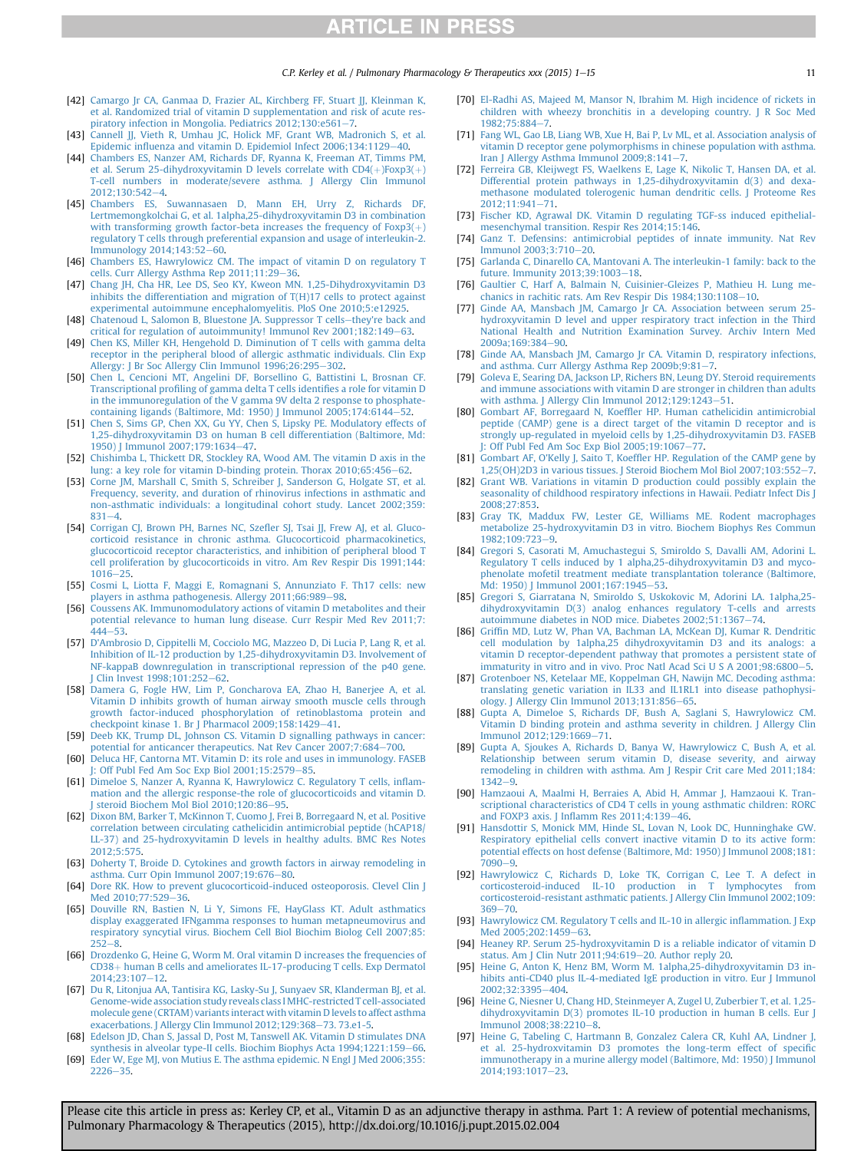C.P. Kerley et al. / Pulmonary Pharmacology & Therapeutics xxx (2015) 1–15  $\qquad$  11

- <span id="page-10-0"></span>[42] [Camargo Jr CA, Ganmaa D, Frazier AL, Kirchberg FF, Stuart JJ, Kleinman K,](http://refhub.elsevier.com/S1094-5539(15)00023-1/sref42) [et al. Randomized trial of vitamin D supplementation and risk of acute res](http://refhub.elsevier.com/S1094-5539(15)00023-1/sref42)[piratory infection in Mongolia. Pediatrics 2012;130:e561](http://refhub.elsevier.com/S1094-5539(15)00023-1/sref42)-[7.](http://refhub.elsevier.com/S1094-5539(15)00023-1/sref42)
- [43] [Cannell JJ, Vieth R, Umhau JC, Holick MF, Grant WB, Madronich S, et al.](http://refhub.elsevier.com/S1094-5539(15)00023-1/sref43) Epidemic infl[uenza and vitamin D. Epidemiol Infect 2006;134:1129](http://refhub.elsevier.com/S1094-5539(15)00023-1/sref43)-[40](http://refhub.elsevier.com/S1094-5539(15)00023-1/sref43).
- [44] [Chambers ES, Nanzer AM, Richards DF, Ryanna K, Freeman AT, Timms PM,](http://refhub.elsevier.com/S1094-5539(15)00023-1/sref44) et al. Serum 25-dihydroxyvitamin D levels correlate with  $CD4(+)$  $CD4(+)$ Foxp3( $+$ [T-cell numbers in moderate/severe asthma. J Allergy Clin Immunol](http://refhub.elsevier.com/S1094-5539(15)00023-1/sref44) [2012;130:542](http://refhub.elsevier.com/S1094-5539(15)00023-1/sref44)-[4.](http://refhub.elsevier.com/S1094-5539(15)00023-1/sref44)
- [45] [Chambers ES, Suwannasaen D, Mann EH, Urry Z, Richards DF,](http://refhub.elsevier.com/S1094-5539(15)00023-1/sref45) [Lertmemongkolchai G, et al. 1alpha,25-dihydroxyvitamin D3 in combination](http://refhub.elsevier.com/S1094-5539(15)00023-1/sref45) with transforming growth factor-beta increases the frequency of  $F(x)$  $F(x)$ [regulatory T cells through preferential expansion and usage of interleukin-2.](http://refhub.elsevier.com/S1094-5539(15)00023-1/sref45) Immunology 2014:143:52-[60](http://refhub.elsevier.com/S1094-5539(15)00023-1/sref45).
- [46] [Chambers ES, Hawrylowicz CM. The impact of vitamin D on regulatory T](http://refhub.elsevier.com/S1094-5539(15)00023-1/sref46) [cells. Curr Allergy Asthma Rep 2011;11:29](http://refhub.elsevier.com/S1094-5539(15)00023-1/sref46)-[36](http://refhub.elsevier.com/S1094-5539(15)00023-1/sref46).
- [47] [Chang JH, Cha HR, Lee DS, Seo KY, Kweon MN. 1,25-Dihydroxyvitamin D3](http://refhub.elsevier.com/S1094-5539(15)00023-1/sref47) [inhibits the differentiation and migration of T\(H\)17 cells to protect against](http://refhub.elsevier.com/S1094-5539(15)00023-1/sref47) [experimental autoimmune encephalomyelitis. PloS One 2010;5:e12925](http://refhub.elsevier.com/S1094-5539(15)00023-1/sref47).
- [48] [Chatenoud L, Salomon B, Bluestone JA. Suppressor T cells](http://refhub.elsevier.com/S1094-5539(15)00023-1/sref48)-[they're back and](http://refhub.elsevier.com/S1094-5539(15)00023-1/sref48) [critical for regulation of autoimmunity! Immunol Rev 2001;182:149](http://refhub.elsevier.com/S1094-5539(15)00023-1/sref48)-[63](http://refhub.elsevier.com/S1094-5539(15)00023-1/sref48).
- [49] [Chen KS, Miller KH, Hengehold D. Diminution of T cells with gamma delta](http://refhub.elsevier.com/S1094-5539(15)00023-1/sref49) [receptor in the peripheral blood of allergic asthmatic individuals. Clin Exp](http://refhub.elsevier.com/S1094-5539(15)00023-1/sref49) [Allergy: J Br Soc Allergy Clin Immunol 1996;26:295](http://refhub.elsevier.com/S1094-5539(15)00023-1/sref49)-[302.](http://refhub.elsevier.com/S1094-5539(15)00023-1/sref49)
- [50] [Chen L, Cencioni MT, Angelini DF, Borsellino G, Battistini L, Brosnan CF.](http://refhub.elsevier.com/S1094-5539(15)00023-1/sref50) Transcriptional profi[ling of gamma delta T cells identi](http://refhub.elsevier.com/S1094-5539(15)00023-1/sref50)fies a role for vitamin D [in the immunoregulation of the V gamma 9V delta 2 response to phosphate](http://refhub.elsevier.com/S1094-5539(15)00023-1/sref50)containing ligands (Baltimore, Md: 1950) J Immunol  $2005;174:6144-52$ .
- [51] [Chen S, Sims GP, Chen XX, Gu YY, Chen S, Lipsky PE. Modulatory effects of](http://refhub.elsevier.com/S1094-5539(15)00023-1/sref51) [1,25-dihydroxyvitamin D3 on human B cell differentiation \(Baltimore, Md:](http://refhub.elsevier.com/S1094-5539(15)00023-1/sref51) 1950) J Immunol 2007:179:1634-[47](http://refhub.elsevier.com/S1094-5539(15)00023-1/sref51).
- [52] [Chishimba L, Thickett DR, Stockley RA, Wood AM. The vitamin D axis in the](http://refhub.elsevier.com/S1094-5539(15)00023-1/sref52) [lung: a key role for vitamin D-binding protein. Thorax 2010;65:456](http://refhub.elsevier.com/S1094-5539(15)00023-1/sref52)-[62](http://refhub.elsevier.com/S1094-5539(15)00023-1/sref52).
- [53] [Corne JM, Marshall C, Smith S, Schreiber J, Sanderson G, Holgate ST, et al.](http://refhub.elsevier.com/S1094-5539(15)00023-1/sref53) [Frequency, severity, and duration of rhinovirus infections in asthmatic and](http://refhub.elsevier.com/S1094-5539(15)00023-1/sref53) [non-asthmatic individuals: a longitudinal cohort study. Lancet 2002;359:](http://refhub.elsevier.com/S1094-5539(15)00023-1/sref53)  $831 - 4$  $831 - 4$  $831 - 4$
- [54] [Corrigan CJ, Brown PH, Barnes NC, Sze](http://refhub.elsevier.com/S1094-5539(15)00023-1/sref54)fler SJ, Tsai JJ, Frew AJ, et al. Gluco[corticoid resistance in chronic asthma. Glucocorticoid pharmacokinetics,](http://refhub.elsevier.com/S1094-5539(15)00023-1/sref54) [glucocorticoid receptor characteristics, and inhibition of peripheral blood T](http://refhub.elsevier.com/S1094-5539(15)00023-1/sref54) [cell proliferation by glucocorticoids in vitro. Am Rev Respir Dis 1991;144:](http://refhub.elsevier.com/S1094-5539(15)00023-1/sref54)  $1016 - 25$  $1016 - 25$  $1016 - 25$ .
- [55] [Cosmi L, Liotta F, Maggi E, Romagnani S, Annunziato F. Th17 cells: new](http://refhub.elsevier.com/S1094-5539(15)00023-1/sref55) [players in asthma pathogenesis. Allergy 2011;66:989](http://refhub.elsevier.com/S1094-5539(15)00023-1/sref55)-[98](http://refhub.elsevier.com/S1094-5539(15)00023-1/sref55).
- [56] [Coussens AK. Immunomodulatory actions of vitamin D metabolites and their](http://refhub.elsevier.com/S1094-5539(15)00023-1/sref56) [potential relevance to human lung disease. Curr Respir Med Rev 2011;7:](http://refhub.elsevier.com/S1094-5539(15)00023-1/sref56)  $444 - 53$  $444 - 53$  $444 - 53$
- [57] [D'Ambrosio D, Cippitelli M, Cocciolo MG, Mazzeo D, Di Lucia P, Lang R, et al.](http://refhub.elsevier.com/S1094-5539(15)00023-1/sref57) [Inhibition of IL-12 production by 1,25-dihydroxyvitamin D3. Involvement of](http://refhub.elsevier.com/S1094-5539(15)00023-1/sref57) [NF-kappaB downregulation in transcriptional repression of the p40 gene.](http://refhub.elsevier.com/S1094-5539(15)00023-1/sref57) [J Clin Invest 1998;101:252](http://refhub.elsevier.com/S1094-5539(15)00023-1/sref57)-[62](http://refhub.elsevier.com/S1094-5539(15)00023-1/sref57).
- [58] [Damera G, Fogle HW, Lim P, Goncharova EA, Zhao H, Banerjee A, et al.](http://refhub.elsevier.com/S1094-5539(15)00023-1/sref58) [Vitamin D inhibits growth of human airway smooth muscle cells through](http://refhub.elsevier.com/S1094-5539(15)00023-1/sref58) [growth factor-induced phosphorylation of retinoblastoma protein and](http://refhub.elsevier.com/S1094-5539(15)00023-1/sref58) [checkpoint kinase 1. Br J Pharmacol 2009;158:1429](http://refhub.elsevier.com/S1094-5539(15)00023-1/sref58)-[41](http://refhub.elsevier.com/S1094-5539(15)00023-1/sref58).
- [59] [Deeb KK, Trump DL, Johnson CS. Vitamin D signalling pathways in cancer:](http://refhub.elsevier.com/S1094-5539(15)00023-1/sref59) [potential for anticancer therapeutics. Nat Rev Cancer 2007;7:684](http://refhub.elsevier.com/S1094-5539(15)00023-1/sref59)-[700.](http://refhub.elsevier.com/S1094-5539(15)00023-1/sref59)
- [60] [Deluca HF, Cantorna MT. Vitamin D: its role and uses in immunology. FASEB](http://refhub.elsevier.com/S1094-5539(15)00023-1/sref60) [J: Off Publ Fed Am Soc Exp Biol 2001;15:2579](http://refhub.elsevier.com/S1094-5539(15)00023-1/sref60)-[85.](http://refhub.elsevier.com/S1094-5539(15)00023-1/sref60)
- [61] [Dimeloe S, Nanzer A, Ryanna K, Hawrylowicz C. Regulatory T cells, in](http://refhub.elsevier.com/S1094-5539(15)00023-1/sref61)flam[mation and the allergic response-the role of glucocorticoids and vitamin D.](http://refhub.elsevier.com/S1094-5539(15)00023-1/sref61) steroid Biochem Mol Biol 2010:120:86-[95](http://refhub.elsevier.com/S1094-5539(15)00023-1/sref61).
- [62] [Dixon BM, Barker T, McKinnon T, Cuomo J, Frei B, Borregaard N, et al. Positive](http://refhub.elsevier.com/S1094-5539(15)00023-1/sref62) [correlation between circulating cathelicidin antimicrobial peptide \(hCAP18/](http://refhub.elsevier.com/S1094-5539(15)00023-1/sref62) [LL-37\) and 25-hydroxyvitamin D levels in healthy adults. BMC Res Notes](http://refhub.elsevier.com/S1094-5539(15)00023-1/sref62) [2012;5:575](http://refhub.elsevier.com/S1094-5539(15)00023-1/sref62).
- [63] [Doherty T, Broide D. Cytokines and growth factors in airway remodeling in](http://refhub.elsevier.com/S1094-5539(15)00023-1/sref63) [asthma. Curr Opin Immunol 2007;19:676](http://refhub.elsevier.com/S1094-5539(15)00023-1/sref63)-[80.](http://refhub.elsevier.com/S1094-5539(15)00023-1/sref63)
- [64] [Dore RK. How to prevent glucocorticoid-induced osteoporosis. Clevel Clin J](http://refhub.elsevier.com/S1094-5539(15)00023-1/sref64) Med 2010:77:529-[36](http://refhub.elsevier.com/S1094-5539(15)00023-1/sref64).
- [65] [Douville RN, Bastien N, Li Y, Simons FE, HayGlass KT. Adult asthmatics](http://refhub.elsevier.com/S1094-5539(15)00023-1/sref65) [display exaggerated IFNgamma responses to human metapneumovirus and](http://refhub.elsevier.com/S1094-5539(15)00023-1/sref65) [respiratory syncytial virus. Biochem Cell Biol Biochim Biolog Cell 2007;85:](http://refhub.elsevier.com/S1094-5539(15)00023-1/sref65)  $252 - 8.$  $252 - 8.$  $252 - 8.$  $252 - 8.$
- [66] [Drozdenko G, Heine G, Worm M. Oral vitamin D increases the frequencies of](http://refhub.elsevier.com/S1094-5539(15)00023-1/sref66) [CD38](http://refhub.elsevier.com/S1094-5539(15)00023-1/sref66)+ [human B cells and ameliorates IL-17-producing T cells. Exp Dermatol](http://refhub.elsevier.com/S1094-5539(15)00023-1/sref66) [2014;23:107](http://refhub.elsevier.com/S1094-5539(15)00023-1/sref66)-[12.](http://refhub.elsevier.com/S1094-5539(15)00023-1/sref66)
- [67] [Du R, Litonjua AA, Tantisira KG, Lasky-Su J, Sunyaev SR, Klanderman BJ, et al.](http://refhub.elsevier.com/S1094-5539(15)00023-1/sref67) [Genome-wide association study reveals class I MHC-restricted T cell-associated](http://refhub.elsevier.com/S1094-5539(15)00023-1/sref67) [molecule gene \(CRTAM\) variants interact with vitamin D levels to affect asthma](http://refhub.elsevier.com/S1094-5539(15)00023-1/sref67) [exacerbations. J Allergy Clin Immunol 2012;129:368](http://refhub.elsevier.com/S1094-5539(15)00023-1/sref67)-[73. 73.e1-5](http://refhub.elsevier.com/S1094-5539(15)00023-1/sref67).
- [68] [Edelson JD, Chan S, Jassal D, Post M, Tanswell AK. Vitamin D stimulates DNA](http://refhub.elsevier.com/S1094-5539(15)00023-1/sref68) [synthesis in alveolar type-II cells. Biochim Biophys Acta 1994;1221:159](http://refhub.elsevier.com/S1094-5539(15)00023-1/sref68)-[66](http://refhub.elsevier.com/S1094-5539(15)00023-1/sref68).
- [69] [Eder W, Ege MJ, von Mutius E. The asthma epidemic. N Engl J Med 2006;355:](http://refhub.elsevier.com/S1094-5539(15)00023-1/sref69)  $2226 - 35$  $2226 - 35$  $2226 - 35$ .
- [70] [El-Radhi AS, Majeed M, Mansor N, Ibrahim M. High incidence of rickets in](http://refhub.elsevier.com/S1094-5539(15)00023-1/sref70) [children with wheezy bronchitis in a developing country. J R Soc Med](http://refhub.elsevier.com/S1094-5539(15)00023-1/sref70) 1982:75:884-7
- [71] [Fang WL, Gao LB, Liang WB, Xue H, Bai P, Lv ML, et al. Association analysis of](http://refhub.elsevier.com/S1094-5539(15)00023-1/sref71) [vitamin D receptor gene polymorphisms in chinese population with asthma.](http://refhub.elsevier.com/S1094-5539(15)00023-1/sref71) Iran J Allergy Asthma Immunol  $2009;8:141-7$ .
- [72] [Ferreira GB, Kleijwegt FS, Waelkens E, Lage K, Nikolic T, Hansen DA, et al.](http://refhub.elsevier.com/S1094-5539(15)00023-1/sref72) [Differential protein pathways in 1,25-dihydroxyvitamin d\(3\) and dexa](http://refhub.elsevier.com/S1094-5539(15)00023-1/sref72)[methasone modulated tolerogenic human dendritic cells. J Proteome Res](http://refhub.elsevier.com/S1094-5539(15)00023-1/sref72) [2012;11:941](http://refhub.elsevier.com/S1094-5539(15)00023-1/sref72)-[71.](http://refhub.elsevier.com/S1094-5539(15)00023-1/sref72)
- [73] [Fischer KD, Agrawal DK. Vitamin D regulating TGF-ss induced epithelial](http://refhub.elsevier.com/S1094-5539(15)00023-1/sref73)[mesenchymal transition. Respir Res 2014;15:146](http://refhub.elsevier.com/S1094-5539(15)00023-1/sref73).
- [74] [Ganz T. Defensins: antimicrobial peptides of innate immunity. Nat Rev](http://refhub.elsevier.com/S1094-5539(15)00023-1/sref74)  $Immunol$  2003:3:710-[20.](http://refhub.elsevier.com/S1094-5539(15)00023-1/sref74)
- [75] [Garlanda C, Dinarello CA, Mantovani A. The interleukin-1 family: back to the](http://refhub.elsevier.com/S1094-5539(15)00023-1/sref75) future. Immunity 2013:39:1003-[18.](http://refhub.elsevier.com/S1094-5539(15)00023-1/sref75)
- [76] [Gaultier C, Harf A, Balmain N, Cuisinier-Gleizes P, Mathieu H. Lung me](http://refhub.elsevier.com/S1094-5539(15)00023-1/sref76)chanics in rachitic rats. Am Rev Respir Dis  $1984;130;1108-10$ .
- [77] [Ginde AA, Mansbach JM, Camargo Jr CA. Association between serum 25](http://refhub.elsevier.com/S1094-5539(15)00023-1/sref77) [hydroxyvitamin D level and upper respiratory tract infection in the Third](http://refhub.elsevier.com/S1094-5539(15)00023-1/sref77) [National Health and Nutrition Examination Survey. Archiv Intern Med](http://refhub.elsevier.com/S1094-5539(15)00023-1/sref77) 2009a:169:384-[90.](http://refhub.elsevier.com/S1094-5539(15)00023-1/sref77)
- [78] [Ginde AA, Mansbach JM, Camargo Jr CA. Vitamin D, respiratory infections,](http://refhub.elsevier.com/S1094-5539(15)00023-1/sref78) and asthma. Curr Allergy Asthma Rep  $2009b;9:81-7$ .
- [79] [Goleva E, Searing DA, Jackson LP, Richers BN, Leung DY. Steroid requirements](http://refhub.elsevier.com/S1094-5539(15)00023-1/sref79) [and immune associations with vitamin D are stronger in children than adults](http://refhub.elsevier.com/S1094-5539(15)00023-1/sref79) [with asthma. J Allergy Clin Immunol 2012;129:1243](http://refhub.elsevier.com/S1094-5539(15)00023-1/sref79)-[51](http://refhub.elsevier.com/S1094-5539(15)00023-1/sref79).
- [80] Gombart AF, Borregaard N, Koeffl[er HP. Human cathelicidin antimicrobial](http://refhub.elsevier.com/S1094-5539(15)00023-1/sref80) [peptide \(CAMP\) gene is a direct target of the vitamin D receptor and is](http://refhub.elsevier.com/S1094-5539(15)00023-1/sref80) [strongly up-regulated in myeloid cells by 1,25-dihydroxyvitamin D3. FASEB](http://refhub.elsevier.com/S1094-5539(15)00023-1/sref80) J: Off Publ Fed Am Soc Exp Biol  $2005;19:1067-77$  $2005;19:1067-77$ .
- [81] Gombart AF, O'Kelly J, Saito T, Koeffl[er HP. Regulation of the CAMP gene by](http://refhub.elsevier.com/S1094-5539(15)00023-1/sref81) [1,25\(OH\)2D3 in various tissues. J Steroid Biochem Mol Biol 2007;103:552](http://refhub.elsevier.com/S1094-5539(15)00023-1/sref81)-[7](http://refhub.elsevier.com/S1094-5539(15)00023-1/sref81).
- [82] [Grant WB. Variations in vitamin D production could possibly explain the](http://refhub.elsevier.com/S1094-5539(15)00023-1/sref82) [seasonality of childhood respiratory infections in Hawaii. Pediatr Infect Dis J](http://refhub.elsevier.com/S1094-5539(15)00023-1/sref82) [2008;27:853](http://refhub.elsevier.com/S1094-5539(15)00023-1/sref82).
- [83] [Gray TK, Maddux FW, Lester GE, Williams ME. Rodent macrophages](http://refhub.elsevier.com/S1094-5539(15)00023-1/sref83) [metabolize 25-hydroxyvitamin D3 in vitro. Biochem Biophys Res Commun](http://refhub.elsevier.com/S1094-5539(15)00023-1/sref83) 1982:109:723-[9.](http://refhub.elsevier.com/S1094-5539(15)00023-1/sref83)
- [84] [Gregori S, Casorati M, Amuchastegui S, Smiroldo S, Davalli AM, Adorini L.](http://refhub.elsevier.com/S1094-5539(15)00023-1/sref84) [Regulatory T cells induced by 1 alpha,25-dihydroxyvitamin D3 and myco](http://refhub.elsevier.com/S1094-5539(15)00023-1/sref84)[phenolate mofetil treatment mediate transplantation tolerance \(Baltimore,](http://refhub.elsevier.com/S1094-5539(15)00023-1/sref84) [Md: 1950\) J Immunol 2001;167:1945](http://refhub.elsevier.com/S1094-5539(15)00023-1/sref84)-[53.](http://refhub.elsevier.com/S1094-5539(15)00023-1/sref84)
- [85] [Gregori S, Giarratana N, Smiroldo S, Uskokovic M, Adorini LA. 1alpha,25](http://refhub.elsevier.com/S1094-5539(15)00023-1/sref85) [dihydroxyvitamin D\(3\) analog enhances regulatory T-cells and arrests](http://refhub.elsevier.com/S1094-5539(15)00023-1/sref85) [autoimmune diabetes in NOD mice. Diabetes 2002;51:1367](http://refhub.elsevier.com/S1094-5539(15)00023-1/sref85)-[74](http://refhub.elsevier.com/S1094-5539(15)00023-1/sref85).
- [86] Griffi[n MD, Lutz W, Phan VA, Bachman LA, McKean DJ, Kumar R. Dendritic](http://refhub.elsevier.com/S1094-5539(15)00023-1/sref86) cell modulation by 1alpha,25 dihydroxyvitamin D3 and its analogs: [vitamin D receptor-dependent pathway that promotes a persistent state of](http://refhub.elsevier.com/S1094-5539(15)00023-1/sref86) [immaturity in vitro and in vivo. Proc Natl Acad Sci U S A 2001;98:6800](http://refhub.elsevier.com/S1094-5539(15)00023-1/sref86)-[5](http://refhub.elsevier.com/S1094-5539(15)00023-1/sref86).
- [87] [Grotenboer NS, Ketelaar ME, Koppelman GH, Nawijn MC. Decoding asthma:](http://refhub.elsevier.com/S1094-5539(15)00023-1/sref87) [translating genetic variation in IL33 and IL1RL1 into disease pathophysi](http://refhub.elsevier.com/S1094-5539(15)00023-1/sref87)[ology. J Allergy Clin Immunol 2013;131:856](http://refhub.elsevier.com/S1094-5539(15)00023-1/sref87)-[65.](http://refhub.elsevier.com/S1094-5539(15)00023-1/sref87)
- [88] [Gupta A, Dimeloe S, Richards DF, Bush A, Saglani S, Hawrylowicz CM.](http://refhub.elsevier.com/S1094-5539(15)00023-1/sref88) [Vitamin D binding protein and asthma severity in children. J Allergy Clin](http://refhub.elsevier.com/S1094-5539(15)00023-1/sref88) [Immunol 2012;129:1669](http://refhub.elsevier.com/S1094-5539(15)00023-1/sref88)-[71](http://refhub.elsevier.com/S1094-5539(15)00023-1/sref88).
- [89] [Gupta A, Sjoukes A, Richards D, Banya W, Hawrylowicz C, Bush A, et al.](http://refhub.elsevier.com/S1094-5539(15)00023-1/sref89) [Relationship between serum vitamin D, disease severity, and airway](http://refhub.elsevier.com/S1094-5539(15)00023-1/sref89) [remodeling in children with asthma. Am J Respir Crit care Med 2011;184:](http://refhub.elsevier.com/S1094-5539(15)00023-1/sref89)  $1342 - 9.$  $1342 - 9.$  $1342 - 9.$  $1342 - 9.$
- [90] [Hamzaoui A, Maalmi H, Berraies A, Abid H, Ammar J, Hamzaoui K. Tran](http://refhub.elsevier.com/S1094-5539(15)00023-1/sref90)[scriptional characteristics of CD4 T cells in young asthmatic children: RORC](http://refhub.elsevier.com/S1094-5539(15)00023-1/sref90) and FOXP3 axis. J Inflamm Res  $2011;4:139-46$ .
- [91] [Hansdottir S, Monick MM, Hinde SL, Lovan N, Look DC, Hunninghake GW.](http://refhub.elsevier.com/S1094-5539(15)00023-1/sref91) [Respiratory epithelial cells convert inactive vitamin D to its active form:](http://refhub.elsevier.com/S1094-5539(15)00023-1/sref91) [potential effects on host defense \(Baltimore, Md: 1950\) J Immunol 2008;181:](http://refhub.elsevier.com/S1094-5539(15)00023-1/sref91)  $7090 - 9.$  $7090 - 9.$  $7090 - 9.$  $7090 - 9.$
- [92] [Hawrylowicz C, Richards D, Loke TK, Corrigan C, Lee T. A defect in](http://refhub.elsevier.com/S1094-5539(15)00023-1/sref92) [corticosteroid-induced IL-10 production in T lymphocytes from](http://refhub.elsevier.com/S1094-5539(15)00023-1/sref92) [corticosteroid-resistant asthmatic patients. J Allergy Clin Immunol 2002;109:](http://refhub.elsevier.com/S1094-5539(15)00023-1/sref92)  $369 - 70.$  $369 - 70.$  $369 - 70.$  $369 - 70.$
- [93] [Hawrylowicz CM. Regulatory T cells and IL-10 in allergic in](http://refhub.elsevier.com/S1094-5539(15)00023-1/sref93)flammation. J Exp [Med 2005;202:1459](http://refhub.elsevier.com/S1094-5539(15)00023-1/sref93)-[63.](http://refhub.elsevier.com/S1094-5539(15)00023-1/sref93)
- [94] [Heaney RP. Serum 25-hydroxyvitamin D is a reliable indicator of vitamin D](http://refhub.elsevier.com/S1094-5539(15)00023-1/sref94) [status. Am J Clin Nutr 2011;94:619](http://refhub.elsevier.com/S1094-5539(15)00023-1/sref94)-[20. Author reply 20.](http://refhub.elsevier.com/S1094-5539(15)00023-1/sref94)
- [95] [Heine G, Anton K, Henz BM, Worm M. 1alpha,25-dihydroxyvitamin D3 in](http://refhub.elsevier.com/S1094-5539(15)00023-1/sref95)[hibits anti-CD40 plus IL-4-mediated IgE production in vitro. Eur J Immunol](http://refhub.elsevier.com/S1094-5539(15)00023-1/sref95) [2002;32:3395](http://refhub.elsevier.com/S1094-5539(15)00023-1/sref95)-[404](http://refhub.elsevier.com/S1094-5539(15)00023-1/sref95).
- [96] [Heine G, Niesner U, Chang HD, Steinmeyer A, Zugel U, Zuberbier T, et al. 1,25](http://refhub.elsevier.com/S1094-5539(15)00023-1/sref96) [dihydroxyvitamin D\(3\) promotes IL-10 production in human B cells. Eur J](http://refhub.elsevier.com/S1094-5539(15)00023-1/sref96) [Immunol 2008;38:2210](http://refhub.elsevier.com/S1094-5539(15)00023-1/sref96)-[8.](http://refhub.elsevier.com/S1094-5539(15)00023-1/sref96)
- [97] [Heine G, Tabeling C, Hartmann B, Gonzalez Calera CR, Kuhl AA, Lindner J,](http://refhub.elsevier.com/S1094-5539(15)00023-1/sref97) [et al. 25-hydroxvitamin D3 promotes the long-term effect of speci](http://refhub.elsevier.com/S1094-5539(15)00023-1/sref97)fic [immunotherapy in a murine allergy model \(Baltimore, Md: 1950\) J Immunol](http://refhub.elsevier.com/S1094-5539(15)00023-1/sref97) [2014;193:1017](http://refhub.elsevier.com/S1094-5539(15)00023-1/sref97)-[23](http://refhub.elsevier.com/S1094-5539(15)00023-1/sref97).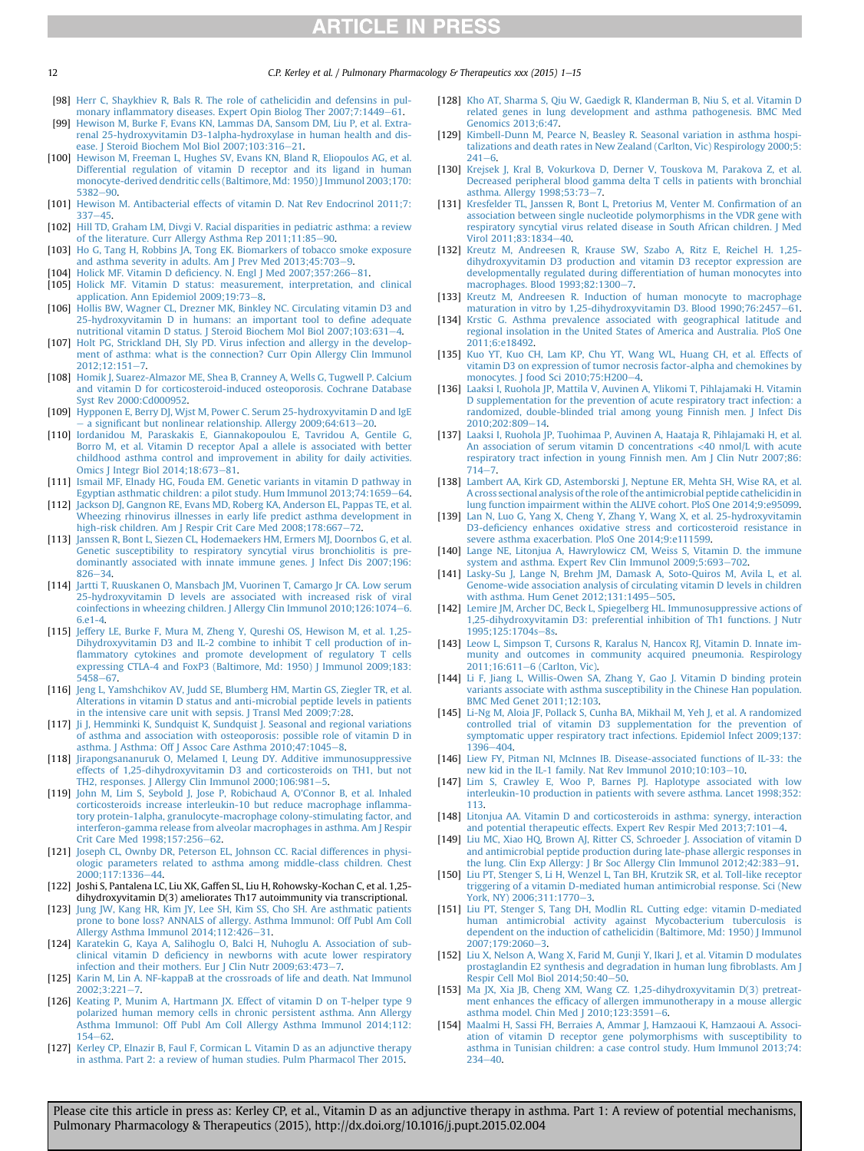<span id="page-11-0"></span>12 C.P. Kerley et al. / Pulmonary Pharmacology & Therapeutics xxx (2015) 1–15

- [98] [Herr C, Shaykhiev R, Bals R. The role of cathelicidin and defensins in pul](http://refhub.elsevier.com/S1094-5539(15)00023-1/sref98)monary infl[ammatory diseases. Expert Opin Biolog Ther 2007;7:1449](http://refhub.elsevier.com/S1094-5539(15)00023-1/sref98)-[61.](http://refhub.elsevier.com/S1094-5539(15)00023-1/sref98)
- [99] [Hewison M, Burke F, Evans KN, Lammas DA, Sansom DM, Liu P, et al. Extra](http://refhub.elsevier.com/S1094-5539(15)00023-1/sref99)[renal 25-hydroxyvitamin D3-1alpha-hydroxylase in human health and dis](http://refhub.elsevier.com/S1094-5539(15)00023-1/sref99)[ease. J Steroid Biochem Mol Biol 2007;103:316](http://refhub.elsevier.com/S1094-5539(15)00023-1/sref99)-[21.](http://refhub.elsevier.com/S1094-5539(15)00023-1/sref99)
- [100] [Hewison M, Freeman L, Hughes SV, Evans KN, Bland R, Eliopoulos AG, et al.](http://refhub.elsevier.com/S1094-5539(15)00023-1/sref100) [Differential regulation of vitamin D receptor and its ligand in human](http://refhub.elsevier.com/S1094-5539(15)00023-1/sref100) [monocyte-derived dendritic cells \(Baltimore, Md: 1950\) J Immunol 2003;170:](http://refhub.elsevier.com/S1094-5539(15)00023-1/sref100)  $5382 - 90$  $5382 - 90$
- [101] [Hewison M. Antibacterial effects of vitamin D. Nat Rev Endocrinol 2011;7:](http://refhub.elsevier.com/S1094-5539(15)00023-1/sref101)  $337 - 45.$  $337 - 45.$  $337 - 45.$
- [102] [Hill TD, Graham LM, Divgi V. Racial disparities in pediatric asthma: a review](http://refhub.elsevier.com/S1094-5539(15)00023-1/sref102) [of the literature. Curr Allergy Asthma Rep 2011;11:85](http://refhub.elsevier.com/S1094-5539(15)00023-1/sref102)-[90.](http://refhub.elsevier.com/S1094-5539(15)00023-1/sref102)
- [103] [Ho G, Tang H, Robbins JA, Tong EK. Biomarkers of tobacco smoke exposure](http://refhub.elsevier.com/S1094-5539(15)00023-1/sref103) and asthma severity in adults. Am J Prev Med  $2013;45:703-9$  $2013;45:703-9$ .
- [104] Holick MF. Vitamin D defi[ciency. N. Engl J Med 2007;357:266](http://refhub.elsevier.com/S1094-5539(15)00023-1/sref104)-[81](http://refhub.elsevier.com/S1094-5539(15)00023-1/sref104).
- [105] [Holick MF. Vitamin D status: measurement, interpretation, and clinical](http://refhub.elsevier.com/S1094-5539(15)00023-1/sref105) [application. Ann Epidemiol 2009;19:73](http://refhub.elsevier.com/S1094-5539(15)00023-1/sref105)-[8](http://refhub.elsevier.com/S1094-5539(15)00023-1/sref105).
- [106] [Hollis BW, Wagner CL, Drezner MK, Binkley NC. Circulating vitamin D3 and](http://refhub.elsevier.com/S1094-5539(15)00023-1/sref106) [25-hydroxyvitamin D in humans: an important tool to de](http://refhub.elsevier.com/S1094-5539(15)00023-1/sref106)fine adequate [nutritional vitamin D status. J Steroid Biochem Mol Biol 2007;103:631](http://refhub.elsevier.com/S1094-5539(15)00023-1/sref106)-[4](http://refhub.elsevier.com/S1094-5539(15)00023-1/sref106).
- [107] [Holt PG, Strickland DH, Sly PD. Virus infection and allergy in the develop](http://refhub.elsevier.com/S1094-5539(15)00023-1/sref107)[ment of asthma: what is the connection? Curr Opin Allergy Clin Immunol](http://refhub.elsevier.com/S1094-5539(15)00023-1/sref107)  $2012:12:151 - 7$  $2012:12:151 - 7$ .
- [108] [Homik J, Suarez-Almazor ME, Shea B, Cranney A, Wells G, Tugwell P. Calcium](http://refhub.elsevier.com/S1094-5539(15)00023-1/sref108) [and vitamin D for corticosteroid-induced osteoporosis. Cochrane Database](http://refhub.elsevier.com/S1094-5539(15)00023-1/sref108) [Syst Rev 2000:Cd000952.](http://refhub.elsevier.com/S1094-5539(15)00023-1/sref108)
- [109] [Hypponen E, Berry DJ, Wjst M, Power C. Serum 25-hydroxyvitamin D and IgE](http://refhub.elsevier.com/S1094-5539(15)00023-1/sref109) a signifi[cant but nonlinear relationship. Allergy 2009;64:613](http://refhub.elsevier.com/S1094-5539(15)00023-1/sref109)-[20](http://refhub.elsevier.com/S1094-5539(15)00023-1/sref109).
- [110] [Iordanidou M, Paraskakis E, Giannakopoulou E, Tavridou A, Gentile G,](http://refhub.elsevier.com/S1094-5539(15)00023-1/sref110) [Borro M, et al. Vitamin D receptor ApaI a allele is associated with better](http://refhub.elsevier.com/S1094-5539(15)00023-1/sref110) [childhood asthma control and improvement in ability for daily activities.](http://refhub.elsevier.com/S1094-5539(15)00023-1/sref110) [Omics J Integr Biol 2014;18:673](http://refhub.elsevier.com/S1094-5539(15)00023-1/sref110)-[81](http://refhub.elsevier.com/S1094-5539(15)00023-1/sref110).
- [111] [Ismail MF, Elnady HG, Fouda EM. Genetic variants in vitamin D pathway in](http://refhub.elsevier.com/S1094-5539(15)00023-1/sref111) [Egyptian asthmatic children: a pilot study. Hum Immunol 2013;74:1659](http://refhub.elsevier.com/S1094-5539(15)00023-1/sref111)-[64](http://refhub.elsevier.com/S1094-5539(15)00023-1/sref111).
- [112] [Jackson DJ, Gangnon RE, Evans MD, Roberg KA, Anderson EL, Pappas TE, et al.](http://refhub.elsevier.com/S1094-5539(15)00023-1/sref112) [Wheezing rhinovirus illnesses in early life predict asthma development in](http://refhub.elsevier.com/S1094-5539(15)00023-1/sref112) [high-risk children. Am J Respir Crit Care Med 2008;178:667](http://refhub.elsevier.com/S1094-5539(15)00023-1/sref112)-[72.](http://refhub.elsevier.com/S1094-5539(15)00023-1/sref112)
- [113] [Janssen R, Bont L, Siezen CL, Hodemaekers HM, Ermers MJ, Doornbos G, et al.](http://refhub.elsevier.com/S1094-5539(15)00023-1/sref113) [Genetic susceptibility to respiratory syncytial virus bronchiolitis is pre](http://refhub.elsevier.com/S1094-5539(15)00023-1/sref113)[dominantly associated with innate immune genes. J Infect Dis 2007;196:](http://refhub.elsevier.com/S1094-5539(15)00023-1/sref113)  $826 - 34$  $826 - 34$
- [114] [Jartti T, Ruuskanen O, Mansbach JM, Vuorinen T, Camargo Jr CA. Low serum](http://refhub.elsevier.com/S1094-5539(15)00023-1/sref114) [25-hydroxyvitamin D levels are associated with increased risk of viral](http://refhub.elsevier.com/S1094-5539(15)00023-1/sref114) [coinfections in wheezing children. J Allergy Clin Immunol 2010;126:1074](http://refhub.elsevier.com/S1094-5539(15)00023-1/sref114)-[6.](http://refhub.elsevier.com/S1094-5539(15)00023-1/sref114) [6.e1-4.](http://refhub.elsevier.com/S1094-5539(15)00023-1/sref114)
- [115] [Jeffery LE, Burke F, Mura M, Zheng Y, Qureshi OS, Hewison M, et al. 1,25-](http://refhub.elsevier.com/S1094-5539(15)00023-1/sref115) [Dihydroxyvitamin D3 and IL-2 combine to inhibit T cell production of in](http://refhub.elsevier.com/S1094-5539(15)00023-1/sref115)fl[ammatory cytokines and promote development of regulatory T cells](http://refhub.elsevier.com/S1094-5539(15)00023-1/sref115) [expressing CTLA-4 and FoxP3 \(Baltimore, Md: 1950\) J Immunol 2009;183:](http://refhub.elsevier.com/S1094-5539(15)00023-1/sref115) [5458](http://refhub.elsevier.com/S1094-5539(15)00023-1/sref115)-[67.](http://refhub.elsevier.com/S1094-5539(15)00023-1/sref115)
- [116] [Jeng L, Yamshchikov AV, Judd SE, Blumberg HM, Martin GS, Ziegler TR, et al.](http://refhub.elsevier.com/S1094-5539(15)00023-1/sref116) [Alterations in vitamin D status and anti-microbial peptide levels in patients](http://refhub.elsevier.com/S1094-5539(15)00023-1/sref116) [in the intensive care unit with sepsis. J Transl Med 2009;7:28](http://refhub.elsevier.com/S1094-5539(15)00023-1/sref116).
- [117] [Ji J, Hemminki K, Sundquist K, Sundquist J. Seasonal and regional variations](http://refhub.elsevier.com/S1094-5539(15)00023-1/sref117) [of asthma and association with osteoporosis: possible role of vitamin D in](http://refhub.elsevier.com/S1094-5539(15)00023-1/sref117) [asthma. J Asthma: Off J Assoc Care Asthma 2010;47:1045](http://refhub.elsevier.com/S1094-5539(15)00023-1/sref117)-[8](http://refhub.elsevier.com/S1094-5539(15)00023-1/sref117).
- [118] [Jirapongsananuruk O, Melamed I, Leung DY. Additive immunosuppressive](http://refhub.elsevier.com/S1094-5539(15)00023-1/sref118) [effects of 1,25-dihydroxyvitamin D3 and corticosteroids on TH1, but not](http://refhub.elsevier.com/S1094-5539(15)00023-1/sref118) [TH2, responses. J Allergy Clin Immunol 2000;106:981](http://refhub.elsevier.com/S1094-5539(15)00023-1/sref118)-[5.](http://refhub.elsevier.com/S1094-5539(15)00023-1/sref118)
- [119] [John M, Lim S, Seybold J, Jose P, Robichaud A, O'Connor B, et al. Inhaled](http://refhub.elsevier.com/S1094-5539(15)00023-1/sref119) [corticosteroids increase interleukin-10 but reduce macrophage in](http://refhub.elsevier.com/S1094-5539(15)00023-1/sref119)flamma[tory protein-1alpha, granulocyte-macrophage colony-stimulating factor, and](http://refhub.elsevier.com/S1094-5539(15)00023-1/sref119) [interferon-gamma release from alveolar macrophages in asthma. Am J Respir](http://refhub.elsevier.com/S1094-5539(15)00023-1/sref119) Crit Care Med 1998:157:256-[62.](http://refhub.elsevier.com/S1094-5539(15)00023-1/sref119)
- [121] [Joseph CL, Ownby DR, Peterson EL, Johnson CC. Racial differences in physi](http://refhub.elsevier.com/S1094-5539(15)00023-1/sref120)[ologic parameters related to asthma among middle-class children. Chest](http://refhub.elsevier.com/S1094-5539(15)00023-1/sref120) 2000:117:1336-44
- [122] Joshi S, Pantalena LC, Liu XK, Gaffen SL, Liu H, Rohowsky-Kochan C, et al. 1,25 dihydroxyvitamin D(3) ameliorates Th17 autoimmunity via transcriptional.
- [123] [Jung JW, Kang HR, Kim JY, Lee SH, Kim SS, Cho SH. Are asthmatic patients](http://refhub.elsevier.com/S1094-5539(15)00023-1/sref121) [prone to bone loss? ANNALS of allergy. Asthma Immunol: Off Publ Am Coll](http://refhub.elsevier.com/S1094-5539(15)00023-1/sref121) [Allergy Asthma Immunol 2014;112:426](http://refhub.elsevier.com/S1094-5539(15)00023-1/sref121)-[31](http://refhub.elsevier.com/S1094-5539(15)00023-1/sref121).
- [124] [Karatekin G, Kaya A, Salihoglu O, Balci H, Nuhoglu A. Association of sub](http://refhub.elsevier.com/S1094-5539(15)00023-1/sref122)clinical vitamin D defi[ciency in newborns with acute lower respiratory](http://refhub.elsevier.com/S1094-5539(15)00023-1/sref122) [infection and their mothers. Eur J Clin Nutr 2009;63:473](http://refhub.elsevier.com/S1094-5539(15)00023-1/sref122)-[7](http://refhub.elsevier.com/S1094-5539(15)00023-1/sref122).
- [125] [Karin M, Lin A. NF-kappaB at the crossroads of life and death. Nat Immunol](http://refhub.elsevier.com/S1094-5539(15)00023-1/sref123) [2002;3:221](http://refhub.elsevier.com/S1094-5539(15)00023-1/sref123)e[7.](http://refhub.elsevier.com/S1094-5539(15)00023-1/sref123)
- [126] [Keating P, Munim A, Hartmann JX. Effect of vitamin D on T-helper type 9](http://refhub.elsevier.com/S1094-5539(15)00023-1/sref124) [polarized human memory cells in chronic persistent asthma. Ann Allergy](http://refhub.elsevier.com/S1094-5539(15)00023-1/sref124) [Asthma Immunol: Off Publ Am Coll Allergy Asthma Immunol 2014;112:](http://refhub.elsevier.com/S1094-5539(15)00023-1/sref124)  $154 - 62$  $154 - 62$
- [127] Kerley CP, Elnazir B, Faul F, Cormican L, Vitamin D as an adjunctive therapy [in asthma. Part 2: a review of human studies. Pulm Pharmacol Ther 2015](http://refhub.elsevier.com/S1094-5539(15)00023-1/sref125).
- [128] [Kho AT, Sharma S, Qiu W, Gaedigk R, Klanderman B, Niu S, et al. Vitamin D](http://refhub.elsevier.com/S1094-5539(15)00023-1/sref126) [related genes in lung development and asthma pathogenesis. BMC Med](http://refhub.elsevier.com/S1094-5539(15)00023-1/sref126) [Genomics 2013;6:47](http://refhub.elsevier.com/S1094-5539(15)00023-1/sref126).
- [129] [Kimbell-Dunn M, Pearce N, Beasley R. Seasonal variation in asthma hospi](http://refhub.elsevier.com/S1094-5539(15)00023-1/sref127)[talizations and death rates in New Zealand \(Carlton, Vic\) Respirology 2000;5:](http://refhub.elsevier.com/S1094-5539(15)00023-1/sref127)  $241 - 6$  $241 - 6$  $241 - 6$
- [130] [Krejsek J, Kral B, Vokurkova D, Derner V, Touskova M, Parakova Z, et al.](http://refhub.elsevier.com/S1094-5539(15)00023-1/sref128) [Decreased peripheral blood gamma delta T cells in patients with bronchial](http://refhub.elsevier.com/S1094-5539(15)00023-1/sref128) asthma. Allergy 1998:53:[7](http://refhub.elsevier.com/S1094-5539(15)00023-1/sref128)3-7.
- [131] [Kresfelder TL, Janssen R, Bont L, Pretorius M, Venter M. Con](http://refhub.elsevier.com/S1094-5539(15)00023-1/sref129)firmation of an [association between single nucleotide polymorphisms in the VDR gene with](http://refhub.elsevier.com/S1094-5539(15)00023-1/sref129) [respiratory syncytial virus related disease in South African children. J Med](http://refhub.elsevier.com/S1094-5539(15)00023-1/sref129) Virol 2011:83:1834-[40.](http://refhub.elsevier.com/S1094-5539(15)00023-1/sref129)
- [132] [Kreutz M, Andreesen R, Krause SW, Szabo A, Ritz E, Reichel H. 1,25](http://refhub.elsevier.com/S1094-5539(15)00023-1/sref130) [dihydroxyvitamin D3 production and vitamin D3 receptor expression are](http://refhub.elsevier.com/S1094-5539(15)00023-1/sref130) [developmentally regulated during differentiation of human monocytes into](http://refhub.elsevier.com/S1094-5539(15)00023-1/sref130) macrophages. Blood  $1993:82:1300-7$
- [133] [Kreutz M, Andreesen R. Induction of human monocyte to macrophage](http://refhub.elsevier.com/S1094-5539(15)00023-1/sref131) [maturation in vitro by 1,25-dihydroxyvitamin D3. Blood 1990;76:2457](http://refhub.elsevier.com/S1094-5539(15)00023-1/sref131)-[61](http://refhub.elsevier.com/S1094-5539(15)00023-1/sref131).
- [134] [Krstic G. Asthma prevalence associated with geographical latitude and](http://refhub.elsevier.com/S1094-5539(15)00023-1/sref132) [regional insolation in the United States of America and Australia. PloS One](http://refhub.elsevier.com/S1094-5539(15)00023-1/sref132) [2011;6:e18492.](http://refhub.elsevier.com/S1094-5539(15)00023-1/sref132)
- [135] [Kuo YT, Kuo CH, Lam KP, Chu YT, Wang WL, Huang CH, et al. Effects of](http://refhub.elsevier.com/S1094-5539(15)00023-1/sref133) [vitamin D3 on expression of tumor necrosis factor-alpha and chemokines by](http://refhub.elsevier.com/S1094-5539(15)00023-1/sref133) [monocytes. J food Sci 2010;75:H200](http://refhub.elsevier.com/S1094-5539(15)00023-1/sref133)-[4.](http://refhub.elsevier.com/S1094-5539(15)00023-1/sref133)
- [136] [Laaksi I, Ruohola JP, Mattila V, Auvinen A, Ylikomi T, Pihlajamaki H. Vitamin](http://refhub.elsevier.com/S1094-5539(15)00023-1/sref134) [D supplementation for the prevention of acute respiratory tract infection: a](http://refhub.elsevier.com/S1094-5539(15)00023-1/sref134) [randomized, double-blinded trial among young Finnish men. J Infect Dis](http://refhub.elsevier.com/S1094-5539(15)00023-1/sref134) 2010:202:809-[14.](http://refhub.elsevier.com/S1094-5539(15)00023-1/sref134)
- [137] [Laaksi I, Ruohola JP, Tuohimaa P, Auvinen A, Haataja R, Pihlajamaki H, et al.](http://refhub.elsevier.com/S1094-5539(15)00023-1/sref135) [An association of serum vitamin D concentrations](http://refhub.elsevier.com/S1094-5539(15)00023-1/sref135) <40 nmol/L with acute [respiratory tract infection in young Finnish men. Am J Clin Nutr 2007;86:](http://refhub.elsevier.com/S1094-5539(15)00023-1/sref135)  $714 - 7.$  $714 - 7.$  $714 - 7.$  $714 - 7.$
- [138] [Lambert AA, Kirk GD, Astemborski J, Neptune ER, Mehta SH, Wise RA, et al.](http://refhub.elsevier.com/S1094-5539(15)00023-1/sref136) [A cross sectional analysis of the role of the antimicrobial peptide cathelicidin in](http://refhub.elsevier.com/S1094-5539(15)00023-1/sref136) [lung function impairment within the ALIVE cohort. PloS One 2014;9:e95099](http://refhub.elsevier.com/S1094-5539(15)00023-1/sref136).
- [139] [Lan N, Luo G, Yang X, Cheng Y, Zhang Y, Wang X, et al. 25-hydroxyvitamin](http://refhub.elsevier.com/S1094-5539(15)00023-1/sref137) D3-defi[ciency enhances oxidative stress and corticosteroid resistance in](http://refhub.elsevier.com/S1094-5539(15)00023-1/sref137) [severe asthma exacerbation. PloS One 2014;9:e111599.](http://refhub.elsevier.com/S1094-5539(15)00023-1/sref137)
- [140] [Lange NE, Litonjua A, Hawrylowicz CM, Weiss S, Vitamin D. the immune](http://refhub.elsevier.com/S1094-5539(15)00023-1/sref138) [system and asthma. Expert Rev Clin Immunol 2009;5:693](http://refhub.elsevier.com/S1094-5539(15)00023-1/sref138)-[702.](http://refhub.elsevier.com/S1094-5539(15)00023-1/sref138)
- [141] [Lasky-Su J, Lange N, Brehm JM, Damask A, Soto-Quiros M, Avila L, et al.](http://refhub.elsevier.com/S1094-5539(15)00023-1/sref139) [Genome-wide association analysis of circulating vitamin D levels in children](http://refhub.elsevier.com/S1094-5539(15)00023-1/sref139) [with asthma. Hum Genet 2012;131:1495](http://refhub.elsevier.com/S1094-5539(15)00023-1/sref139)-[505.](http://refhub.elsevier.com/S1094-5539(15)00023-1/sref139)
- [142] [Lemire JM, Archer DC, Beck L, Spiegelberg HL. Immunosuppressive actions of](http://refhub.elsevier.com/S1094-5539(15)00023-1/sref140) [1,25-dihydroxyvitamin D3: preferential inhibition of Th1 functions. J Nutr](http://refhub.elsevier.com/S1094-5539(15)00023-1/sref140) [1995;125:1704s](http://refhub.elsevier.com/S1094-5539(15)00023-1/sref140)-[8s.](http://refhub.elsevier.com/S1094-5539(15)00023-1/sref140)
- [143] [Leow L, Simpson T, Cursons R, Karalus N, Hancox RJ, Vitamin D. Innate im](http://refhub.elsevier.com/S1094-5539(15)00023-1/sref141)[munity and outcomes in community acquired pneumonia. Respirology](http://refhub.elsevier.com/S1094-5539(15)00023-1/sref141)  $2011;16:611-6$  $2011;16:611-6$  (Carlton, Vic).
- [144] [Li F, Jiang L, Willis-Owen SA, Zhang Y, Gao J. Vitamin D binding protein](http://refhub.elsevier.com/S1094-5539(15)00023-1/sref142) [variants associate with asthma susceptibility in the Chinese Han population.](http://refhub.elsevier.com/S1094-5539(15)00023-1/sref142) [BMC Med Genet 2011;12:103.](http://refhub.elsevier.com/S1094-5539(15)00023-1/sref142)
- [145] [Li-Ng M, Aloia JF, Pollack S, Cunha BA, Mikhail M, Yeh J, et al. A randomized](http://refhub.elsevier.com/S1094-5539(15)00023-1/sref143) [controlled trial of vitamin D3 supplementation for the prevention of](http://refhub.elsevier.com/S1094-5539(15)00023-1/sref143) [symptomatic upper respiratory tract infections. Epidemiol Infect 2009;137:](http://refhub.elsevier.com/S1094-5539(15)00023-1/sref143) [1396](http://refhub.elsevier.com/S1094-5539(15)00023-1/sref143)-[404](http://refhub.elsevier.com/S1094-5539(15)00023-1/sref143).
- [146] [Liew FY, Pitman NI, McInnes IB. Disease-associated functions of IL-33: the](http://refhub.elsevier.com/S1094-5539(15)00023-1/sref144) [new kid in the IL-1 family. Nat Rev Immunol 2010;10:103](http://refhub.elsevier.com/S1094-5539(15)00023-1/sref144)-[10](http://refhub.elsevier.com/S1094-5539(15)00023-1/sref144).
- [147] [Lim S, Crawley E, Woo P, Barnes PJ. Haplotype associated with low](http://refhub.elsevier.com/S1094-5539(15)00023-1/sref145) [interleukin-10 production in patients with severe asthma. Lancet 1998;352:](http://refhub.elsevier.com/S1094-5539(15)00023-1/sref145) [113](http://refhub.elsevier.com/S1094-5539(15)00023-1/sref145).
- [148] [Litonjua AA. Vitamin D and corticosteroids in asthma: synergy, interaction](http://refhub.elsevier.com/S1094-5539(15)00023-1/sref146) and potential therapeutic effects. Expert Rev Respir Med  $2013;7:101-4$  $2013;7:101-4$ .
- [149] [Liu MC, Xiao HQ, Brown AJ, Ritter CS, Schroeder J. Association of vitamin D](http://refhub.elsevier.com/S1094-5539(15)00023-1/sref147) [and antimicrobial peptide production during late-phase allergic responses in](http://refhub.elsevier.com/S1094-5539(15)00023-1/sref147) the lung. Clin Exp Allergy: J Br Soc Allergy Clin Immunol  $2012;42:383-91$  $2012;42:383-91$ .
- [150] [Liu PT, Stenger S, Li H, Wenzel L, Tan BH, Krutzik SR, et al. Toll-like receptor](http://refhub.elsevier.com/S1094-5539(15)00023-1/sref148) [triggering of a vitamin D-mediated human antimicrobial response. Sci \(New](http://refhub.elsevier.com/S1094-5539(15)00023-1/sref148) [York, NY\) 2006;311:1770](http://refhub.elsevier.com/S1094-5539(15)00023-1/sref148)-[3](http://refhub.elsevier.com/S1094-5539(15)00023-1/sref148).
- [151] [Liu PT, Stenger S, Tang DH, Modlin RL. Cutting edge: vitamin D-mediated](http://refhub.elsevier.com/S1094-5539(15)00023-1/sref149) [human antimicrobial activity against Mycobacterium tuberculosis is](http://refhub.elsevier.com/S1094-5539(15)00023-1/sref149) [dependent on the induction of cathelicidin \(Baltimore, Md: 1950\) J Immunol](http://refhub.elsevier.com/S1094-5539(15)00023-1/sref149) [2007;179:2060](http://refhub.elsevier.com/S1094-5539(15)00023-1/sref149)-[3.](http://refhub.elsevier.com/S1094-5539(15)00023-1/sref149)
- [152] [Liu X, Nelson A, Wang X, Farid M, Gunji Y, Ikari J, et al. Vitamin D modulates](http://refhub.elsevier.com/S1094-5539(15)00023-1/sref150) [prostaglandin E2 synthesis and degradation in human lung](http://refhub.elsevier.com/S1094-5539(15)00023-1/sref150) fibroblasts. Am J Respir Cell Mol Biol  $2014;50:40-50$ .
- [153] [Ma JX, Xia JB, Cheng XM, Wang CZ. 1,25-dihydroxyvitamin D\(3\) pretreat](http://refhub.elsevier.com/S1094-5539(15)00023-1/sref151)ment enhances the effi[cacy of allergen immunotherapy in a mouse allergic](http://refhub.elsevier.com/S1094-5539(15)00023-1/sref151) asthma model. Chin Med J  $2010;123:3591-6$  $2010;123:3591-6$ .
- [154] [Maalmi H, Sassi FH, Berraies A, Ammar J, Hamzaoui K, Hamzaoui A. Associ](http://refhub.elsevier.com/S1094-5539(15)00023-1/sref152)[ation of vitamin D receptor gene polymorphisms with susceptibility to](http://refhub.elsevier.com/S1094-5539(15)00023-1/sref152) [asthma in Tunisian children: a case control study. Hum Immunol 2013;74:](http://refhub.elsevier.com/S1094-5539(15)00023-1/sref152)  $234 - 40$  $234 - 40$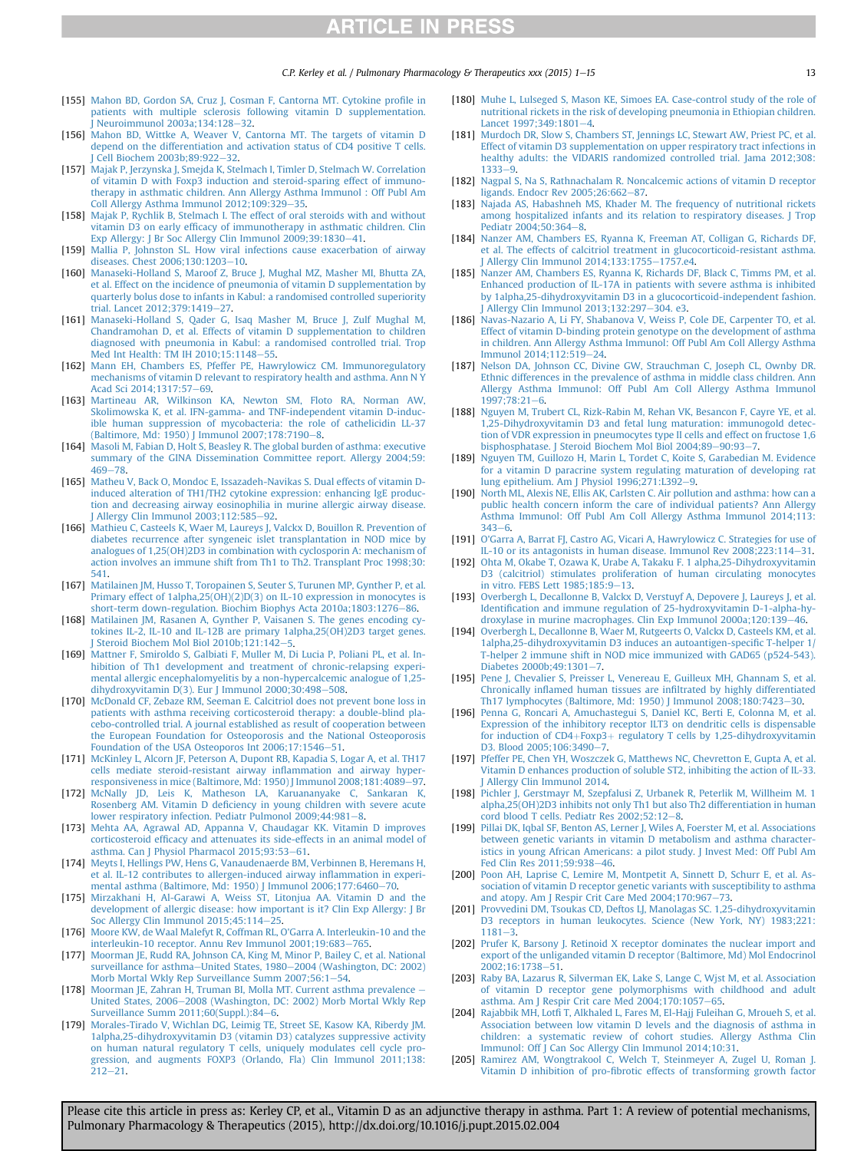$C.P.$  Kerley et al. / Pulmonary Pharmacology & Therapeutics xxx (2015) 1–15

- <span id="page-12-0"></span>[155] [Mahon BD, Gordon SA, Cruz J, Cosman F, Cantorna MT. Cytokine pro](http://refhub.elsevier.com/S1094-5539(15)00023-1/sref153)file in [patients with multiple sclerosis following vitamin D supplementation.](http://refhub.elsevier.com/S1094-5539(15)00023-1/sref153) Neuroimmunol 2003a:134:128-[32.](http://refhub.elsevier.com/S1094-5539(15)00023-1/sref153)
- [156] [Mahon BD, Wittke A, Weaver V, Cantorna MT. The targets of vitamin D](http://refhub.elsevier.com/S1094-5539(15)00023-1/sref154) [depend on the differentiation and activation status of CD4 positive T cells.](http://refhub.elsevier.com/S1094-5539(15)00023-1/sref154) [J Cell Biochem 2003b;89:922](http://refhub.elsevier.com/S1094-5539(15)00023-1/sref154)-[32.](http://refhub.elsevier.com/S1094-5539(15)00023-1/sref154)
- [157] [Majak P, Jerzynska J, Smejda K, Stelmach I, Timler D, Stelmach W. Correlation](http://refhub.elsevier.com/S1094-5539(15)00023-1/sref155) [of vitamin D with Foxp3 induction and steroid-sparing effect of immuno](http://refhub.elsevier.com/S1094-5539(15)00023-1/sref155)[therapy in asthmatic children. Ann Allergy Asthma Immunol : Off Publ Am](http://refhub.elsevier.com/S1094-5539(15)00023-1/sref155) Coll Allergy Asthma Immunol  $2012;109;329-35$  $2012;109;329-35$ .
- [158] [Majak P, Rychlik B, Stelmach I. The effect of oral steroids with and without](http://refhub.elsevier.com/S1094-5539(15)00023-1/sref156) vitamin D3 on early effi[cacy of immunotherapy in asthmatic children. Clin](http://refhub.elsevier.com/S1094-5539(15)00023-1/sref156) [Exp Allergy: J Br Soc Allergy Clin Immunol 2009;39:1830](http://refhub.elsevier.com/S1094-5539(15)00023-1/sref156)-[41.](http://refhub.elsevier.com/S1094-5539(15)00023-1/sref156)
- [159] [Mallia P, Johnston SL. How viral infections cause exacerbation of airway](http://refhub.elsevier.com/S1094-5539(15)00023-1/sref157) [diseases. Chest 2006;130:1203](http://refhub.elsevier.com/S1094-5539(15)00023-1/sref157)-[10.](http://refhub.elsevier.com/S1094-5539(15)00023-1/sref157)
- [160] [Manaseki-Holland S, Maroof Z, Bruce J, Mughal MZ, Masher MI, Bhutta ZA,](http://refhub.elsevier.com/S1094-5539(15)00023-1/sref158) [et al. Effect on the incidence of pneumonia of vitamin D supplementation by](http://refhub.elsevier.com/S1094-5539(15)00023-1/sref158) [quarterly bolus dose to infants in Kabul: a randomised controlled superiority](http://refhub.elsevier.com/S1094-5539(15)00023-1/sref158) trial. Lancet 2012:379:1419-[27](http://refhub.elsevier.com/S1094-5539(15)00023-1/sref158).
- [161] [Manaseki-Holland S, Qader G, Isaq Masher M, Bruce J, Zulf Mughal M,](http://refhub.elsevier.com/S1094-5539(15)00023-1/sref159) [Chandramohan D, et al. Effects of vitamin D supplementation to children](http://refhub.elsevier.com/S1094-5539(15)00023-1/sref159) [diagnosed with pneumonia in Kabul: a randomised controlled trial. Trop](http://refhub.elsevier.com/S1094-5539(15)00023-1/sref159) Med Int Health: TM IH 2010:15:1148-[55.](http://refhub.elsevier.com/S1094-5539(15)00023-1/sref159)
- [162] [Mann EH, Chambers ES, Pfeffer PE, Hawrylowicz CM. Immunoregulatory](http://refhub.elsevier.com/S1094-5539(15)00023-1/sref160) [mechanisms of vitamin D relevant to respiratory health and asthma. Ann N Y](http://refhub.elsevier.com/S1094-5539(15)00023-1/sref160) Acad Sci 2014:1317:57-[69](http://refhub.elsevier.com/S1094-5539(15)00023-1/sref160).
- [163] [Martineau AR, Wilkinson KA, Newton SM, Floto RA, Norman AW,](http://refhub.elsevier.com/S1094-5539(15)00023-1/sref161) [Skolimowska K, et al. IFN-gamma- and TNF-independent vitamin D-induc](http://refhub.elsevier.com/S1094-5539(15)00023-1/sref161)[ible human suppression of mycobacteria: the role of cathelicidin LL-37](http://refhub.elsevier.com/S1094-5539(15)00023-1/sref161) [\(Baltimore, Md: 1950\) J Immunol 2007;178:7190](http://refhub.elsevier.com/S1094-5539(15)00023-1/sref161)-[8.](http://refhub.elsevier.com/S1094-5539(15)00023-1/sref161)
- [164] [Masoli M, Fabian D, Holt S, Beasley R. The global burden of asthma: executive](http://refhub.elsevier.com/S1094-5539(15)00023-1/sref162) [summary of the GINA Dissemination Committee report. Allergy 2004;59:](http://refhub.elsevier.com/S1094-5539(15)00023-1/sref162) [469](http://refhub.elsevier.com/S1094-5539(15)00023-1/sref162)-[78.](http://refhub.elsevier.com/S1094-5539(15)00023-1/sref162)
- [165] [Matheu V, Back O, Mondoc E, Issazadeh-Navikas S. Dual effects of vitamin D](http://refhub.elsevier.com/S1094-5539(15)00023-1/sref163)[induced alteration of TH1/TH2 cytokine expression: enhancing IgE produc](http://refhub.elsevier.com/S1094-5539(15)00023-1/sref163)[tion and decreasing airway eosinophilia in murine allergic airway disease.](http://refhub.elsevier.com/S1094-5539(15)00023-1/sref163) [J Allergy Clin Immunol 2003;112:585](http://refhub.elsevier.com/S1094-5539(15)00023-1/sref163)-[92.](http://refhub.elsevier.com/S1094-5539(15)00023-1/sref163)
- [166] [Mathieu C, Casteels K, Waer M, Laureys J, Valckx D, Bouillon R. Prevention of](http://refhub.elsevier.com/S1094-5539(15)00023-1/sref164) [diabetes recurrence after syngeneic islet transplantation in NOD mice by](http://refhub.elsevier.com/S1094-5539(15)00023-1/sref164) [analogues of 1,25\(OH\)2D3 in combination with cyclosporin A: mechanism of](http://refhub.elsevier.com/S1094-5539(15)00023-1/sref164) [action involves an immune shift from Th1 to Th2. Transplant Proc 1998;30:](http://refhub.elsevier.com/S1094-5539(15)00023-1/sref164) [541.](http://refhub.elsevier.com/S1094-5539(15)00023-1/sref164)
- [167] [Matilainen JM, Husso T, Toropainen S, Seuter S, Turunen MP, Gynther P, et al.](http://refhub.elsevier.com/S1094-5539(15)00023-1/sref165) [Primary effect of 1alpha,25\(OH\)\(2\)D\(3\) on IL-10 expression in monocytes is](http://refhub.elsevier.com/S1094-5539(15)00023-1/sref165) [short-term down-regulation. Biochim Biophys Acta 2010a;1803:1276](http://refhub.elsevier.com/S1094-5539(15)00023-1/sref165)-[86](http://refhub.elsevier.com/S1094-5539(15)00023-1/sref165).
- [168] [Matilainen JM, Rasanen A, Gynther P, Vaisanen S. The genes encoding cy](http://refhub.elsevier.com/S1094-5539(15)00023-1/sref166)[tokines IL-2, IL-10 and IL-12B are primary 1alpha,25\(OH\)2D3 target genes.](http://refhub.elsevier.com/S1094-5539(15)00023-1/sref166) [J Steroid Biochem Mol Biol 2010b;121:142](http://refhub.elsevier.com/S1094-5539(15)00023-1/sref166)-[5.](http://refhub.elsevier.com/S1094-5539(15)00023-1/sref166)
- [169] [Mattner F, Smiroldo S, Galbiati F, Muller M, Di Lucia P, Poliani PL, et al. In](http://refhub.elsevier.com/S1094-5539(15)00023-1/sref167)[hibition of Th1 development and treatment of chronic-relapsing experi](http://refhub.elsevier.com/S1094-5539(15)00023-1/sref167)[mental allergic encephalomyelitis by a non-hypercalcemic analogue of 1,25](http://refhub.elsevier.com/S1094-5539(15)00023-1/sref167) dihydroxyvitamin  $D(3)$ . Eur J Immunol 2000;30:498-[508](http://refhub.elsevier.com/S1094-5539(15)00023-1/sref167).
- [170] [McDonald CF, Zebaze RM, Seeman E. Calcitriol does not prevent bone loss in](http://refhub.elsevier.com/S1094-5539(15)00023-1/sref168) [patients with asthma receiving corticosteroid therapy: a double-blind pla](http://refhub.elsevier.com/S1094-5539(15)00023-1/sref168)[cebo-controlled trial. A journal established as result of cooperation between](http://refhub.elsevier.com/S1094-5539(15)00023-1/sref168) [the European Foundation for Osteoporosis and the National Osteoporosis](http://refhub.elsevier.com/S1094-5539(15)00023-1/sref168) [Foundation of the USA Osteoporos Int 2006;17:1546](http://refhub.elsevier.com/S1094-5539(15)00023-1/sref168)-[51](http://refhub.elsevier.com/S1094-5539(15)00023-1/sref168).
- [171] [McKinley L, Alcorn JF, Peterson A, Dupont RB, Kapadia S, Logar A, et al. TH17](http://refhub.elsevier.com/S1094-5539(15)00023-1/sref169) [cells mediate steroid-resistant airway in](http://refhub.elsevier.com/S1094-5539(15)00023-1/sref169)flammation and airway hyper[responsiveness in mice \(Baltimore, Md: 1950\) J Immunol 2008;181:4089](http://refhub.elsevier.com/S1094-5539(15)00023-1/sref169)–[97](http://refhub.elsevier.com/S1094-5539(15)00023-1/sref169).
- [172] [McNally JD, Leis K, Matheson LA, Karuananyake C, Sankaran K,](http://refhub.elsevier.com/S1094-5539(15)00023-1/sref170) Rosenberg AM. Vitamin D defi[ciency in young children with severe acute](http://refhub.elsevier.com/S1094-5539(15)00023-1/sref170) [lower respiratory infection. Pediatr Pulmonol 2009;44:981](http://refhub.elsevier.com/S1094-5539(15)00023-1/sref170)-[8.](http://refhub.elsevier.com/S1094-5539(15)00023-1/sref170)
- [173] [Mehta AA, Agrawal AD, Appanna V, Chaudagar KK. Vitamin D improves](http://refhub.elsevier.com/S1094-5539(15)00023-1/sref171) corticosteroid effi[cacy and attenuates its side-effects in an animal model of](http://refhub.elsevier.com/S1094-5539(15)00023-1/sref171) [asthma. Can J Physiol Pharmacol 2015;93:53](http://refhub.elsevier.com/S1094-5539(15)00023-1/sref171)-[61.](http://refhub.elsevier.com/S1094-5539(15)00023-1/sref171)
- [174] [Meyts I, Hellings PW, Hens G, Vanaudenaerde BM, Verbinnen B, Heremans H,](http://refhub.elsevier.com/S1094-5539(15)00023-1/sref172) [et al. IL-12 contributes to allergen-induced airway in](http://refhub.elsevier.com/S1094-5539(15)00023-1/sref172)flammation in experi[mental asthma \(Baltimore, Md: 1950\) J Immunol 2006;177:6460](http://refhub.elsevier.com/S1094-5539(15)00023-1/sref172)-[70.](http://refhub.elsevier.com/S1094-5539(15)00023-1/sref172)
- [175] [Mirzakhani H, Al-Garawi A, Weiss ST, Litonjua AA. Vitamin D and the](http://refhub.elsevier.com/S1094-5539(15)00023-1/sref173) [development of allergic disease: how important is it? Clin Exp Allergy: J Br](http://refhub.elsevier.com/S1094-5539(15)00023-1/sref173) oc Allergy Clin Immunol 2015;45:114 $-25$  $-25$ .
- [176] [Moore KW, de Waal Malefyt R, Coffman RL, O'Garra A. Interleukin-10 and the](http://refhub.elsevier.com/S1094-5539(15)00023-1/sref174) [interleukin-10 receptor. Annu Rev Immunol 2001;19:683](http://refhub.elsevier.com/S1094-5539(15)00023-1/sref174)-[765.](http://refhub.elsevier.com/S1094-5539(15)00023-1/sref174)
- [177] [Moorman JE, Rudd RA, Johnson CA, King M, Minor P, Bailey C, et al. National](http://refhub.elsevier.com/S1094-5539(15)00023-1/sref175) [surveillance for asthma](http://refhub.elsevier.com/S1094-5539(15)00023-1/sref175)-[United States, 1980](http://refhub.elsevier.com/S1094-5539(15)00023-1/sref175)-[2004 \(Washington, DC: 2002\)](http://refhub.elsevier.com/S1094-5539(15)00023-1/sref175) [Morb Mortal Wkly Rep Surveillance Summ 2007;56:1](http://refhub.elsevier.com/S1094-5539(15)00023-1/sref175)-[54](http://refhub.elsevier.com/S1094-5539(15)00023-1/sref175).
- [178] [Moorman JE, Zahran H, Truman BI, Molla MT. Current asthma prevalence](http://refhub.elsevier.com/S1094-5539(15)00023-1/sref176) -[United States, 2006](http://refhub.elsevier.com/S1094-5539(15)00023-1/sref176)-[2008 \(Washington, DC: 2002\) Morb Mortal Wkly Rep](http://refhub.elsevier.com/S1094-5539(15)00023-1/sref176) Surveillance Summ  $2011;60(Suppl.):84-6$ .
- [179] [Morales-Tirado V, Wichlan DG, Leimig TE, Street SE, Kasow KA, Riberdy JM.](http://refhub.elsevier.com/S1094-5539(15)00023-1/sref177) [1alpha,25-dihydroxyvitamin D3 \(vitamin D3\) catalyzes suppressive activity](http://refhub.elsevier.com/S1094-5539(15)00023-1/sref177) [on human natural regulatory T cells, uniquely modulates cell cycle pro](http://refhub.elsevier.com/S1094-5539(15)00023-1/sref177)[gression, and augments FOXP3 \(Orlando, Fla\) Clin Immunol 2011;138:](http://refhub.elsevier.com/S1094-5539(15)00023-1/sref177)  $212 - 21$  $212 - 21$ .
- [180] [Muhe L, Lulseged S, Mason KE, Simoes EA. Case-control study of the role of](http://refhub.elsevier.com/S1094-5539(15)00023-1/sref178) [nutritional rickets in the risk of developing pneumonia in Ethiopian children.](http://refhub.elsevier.com/S1094-5539(15)00023-1/sref178) Lancet 1997:3[4](http://refhub.elsevier.com/S1094-5539(15)00023-1/sref178)9:1801-4.
- [181] [Murdoch DR, Slow S, Chambers ST, Jennings LC, Stewart AW, Priest PC, et al.](http://refhub.elsevier.com/S1094-5539(15)00023-1/sref179) [Effect of vitamin D3 supplementation on upper respiratory tract infections in](http://refhub.elsevier.com/S1094-5539(15)00023-1/sref179) [healthy adults: the VIDARIS randomized controlled trial. Jama 2012;308:](http://refhub.elsevier.com/S1094-5539(15)00023-1/sref179)  $1333 - 9.$  $1333 - 9.$  $1333 - 9.$
- [182] [Nagpal S, Na S, Rathnachalam R. Noncalcemic actions of vitamin D receptor](http://refhub.elsevier.com/S1094-5539(15)00023-1/sref180) [ligands. Endocr Rev 2005;26:662](http://refhub.elsevier.com/S1094-5539(15)00023-1/sref180)-[87.](http://refhub.elsevier.com/S1094-5539(15)00023-1/sref180)
- [183] [Najada AS, Habashneh MS, Khader M. The frequency of nutritional rickets](http://refhub.elsevier.com/S1094-5539(15)00023-1/sref181) [among hospitalized infants and its relation to respiratory diseases. J Trop](http://refhub.elsevier.com/S1094-5539(15)00023-1/sref181) [Pediatr 2004;50:364](http://refhub.elsevier.com/S1094-5539(15)00023-1/sref181)-[8.](http://refhub.elsevier.com/S1094-5539(15)00023-1/sref181)
- [184] [Nanzer AM, Chambers ES, Ryanna K, Freeman AT, Colligan G, Richards DF,](http://refhub.elsevier.com/S1094-5539(15)00023-1/sref182) [et al. The effects of calcitriol treatment in glucocorticoid-resistant asthma.](http://refhub.elsevier.com/S1094-5539(15)00023-1/sref182) [J Allergy Clin Immunol 2014;133:1755](http://refhub.elsevier.com/S1094-5539(15)00023-1/sref182)-[1757.e4.](http://refhub.elsevier.com/S1094-5539(15)00023-1/sref182)
- [185] [Nanzer AM, Chambers ES, Ryanna K, Richards DF, Black C, Timms PM, et al.](http://refhub.elsevier.com/S1094-5539(15)00023-1/sref183) [Enhanced production of IL-17A in patients with severe asthma is inhibited](http://refhub.elsevier.com/S1094-5539(15)00023-1/sref183) [by 1alpha,25-dihydroxyvitamin D3 in a glucocorticoid-independent fashion.](http://refhub.elsevier.com/S1094-5539(15)00023-1/sref183)
- [J Allergy Clin Immunol 2013;132:297](http://refhub.elsevier.com/S1094-5539(15)00023-1/sref183)–[304. e3](http://refhub.elsevier.com/S1094-5539(15)00023-1/sref183).<br>[1**86**] [Navas-Nazario A, Li FY, Shabanova V, Weiss P, Cole DE, Carpenter TO, et al.](http://refhub.elsevier.com/S1094-5539(15)00023-1/sref184) [Effect of vitamin D-binding protein genotype on the development of asthma](http://refhub.elsevier.com/S1094-5539(15)00023-1/sref184) [in children. Ann Allergy Asthma Immunol: Off Publ Am Coll Allergy Asthma](http://refhub.elsevier.com/S1094-5539(15)00023-1/sref184) Immunol 2014:112:519-[24.](http://refhub.elsevier.com/S1094-5539(15)00023-1/sref184)
- [187] [Nelson DA, Johnson CC, Divine GW, Strauchman C, Joseph CL, Ownby DR.](http://refhub.elsevier.com/S1094-5539(15)00023-1/sref185) [Ethnic differences in the prevalence of asthma in middle class children. Ann](http://refhub.elsevier.com/S1094-5539(15)00023-1/sref185) [Allergy Asthma Immunol: Off Publ Am Coll Allergy Asthma Immunol](http://refhub.elsevier.com/S1094-5539(15)00023-1/sref185) [1997;78:21](http://refhub.elsevier.com/S1094-5539(15)00023-1/sref185)-[6](http://refhub.elsevier.com/S1094-5539(15)00023-1/sref185).
- [188] [Nguyen M, Trubert CL, Rizk-Rabin M, Rehan VK, Besancon F, Cayre YE, et al.](http://refhub.elsevier.com/S1094-5539(15)00023-1/sref186) [1,25-Dihydroxyvitamin D3 and fetal lung maturation: immunogold detec](http://refhub.elsevier.com/S1094-5539(15)00023-1/sref186)[tion of VDR expression in pneumocytes type II cells and effect on fructose 1,6](http://refhub.elsevier.com/S1094-5539(15)00023-1/sref186) [bisphosphatase. J Steroid Biochem Mol Biol 2004;89](http://refhub.elsevier.com/S1094-5539(15)00023-1/sref186)-[90:93](http://refhub.elsevier.com/S1094-5539(15)00023-1/sref186)-[7](http://refhub.elsevier.com/S1094-5539(15)00023-1/sref186).
- [189] [Nguyen TM, Guillozo H, Marin L, Tordet C, Koite S, Garabedian M. Evidence](http://refhub.elsevier.com/S1094-5539(15)00023-1/sref187) [for a vitamin D paracrine system regulating maturation of developing rat](http://refhub.elsevier.com/S1094-5539(15)00023-1/sref187) [lung epithelium. Am J Physiol 1996;271:L392](http://refhub.elsevier.com/S1094-5539(15)00023-1/sref187)-[9](http://refhub.elsevier.com/S1094-5539(15)00023-1/sref187).
- [190] [North ML, Alexis NE, Ellis AK, Carlsten C. Air pollution and asthma: how can a](http://refhub.elsevier.com/S1094-5539(15)00023-1/sref188) [public health concern inform the care of individual patients? Ann Allergy](http://refhub.elsevier.com/S1094-5539(15)00023-1/sref188) [Asthma Immunol: Off Publ Am Coll Allergy Asthma Immunol 2014;113:](http://refhub.elsevier.com/S1094-5539(15)00023-1/sref188)  $343 - 6$  $343 - 6$
- [191] [O'Garra A, Barrat FJ, Castro AG, Vicari A, Hawrylowicz C. Strategies for use of](http://refhub.elsevier.com/S1094-5539(15)00023-1/sref189) [IL-10 or its antagonists in human disease. Immunol Rev 2008;223:114](http://refhub.elsevier.com/S1094-5539(15)00023-1/sref189)-[31](http://refhub.elsevier.com/S1094-5539(15)00023-1/sref189).
- [192] [Ohta M, Okabe T, Ozawa K, Urabe A, Takaku F. 1 alpha,25-Dihydroxyvitamin](http://refhub.elsevier.com/S1094-5539(15)00023-1/sref190) [D3 \(calcitriol\) stimulates proliferation of human circulating monocytes](http://refhub.elsevier.com/S1094-5539(15)00023-1/sref190) [in vitro. FEBS Lett 1985;185:9](http://refhub.elsevier.com/S1094-5539(15)00023-1/sref190)-[13.](http://refhub.elsevier.com/S1094-5539(15)00023-1/sref190)
- [193] [Overbergh L, Decallonne B, Valckx D, Verstuyf A, Depovere J, Laureys J, et al.](http://refhub.elsevier.com/S1094-5539(15)00023-1/sref191) Identifi[cation and immune regulation of 25-hydroxyvitamin D-1-alpha-hy](http://refhub.elsevier.com/S1094-5539(15)00023-1/sref191)[droxylase in murine macrophages. Clin Exp Immunol 2000a;120:139](http://refhub.elsevier.com/S1094-5539(15)00023-1/sref191)-[46](http://refhub.elsevier.com/S1094-5539(15)00023-1/sref191)
- [194] [Overbergh L, Decallonne B, Waer M, Rutgeerts O, Valckx D, Casteels KM, et al.](http://refhub.elsevier.com/S1094-5539(15)00023-1/sref192) [1alpha,25-dihydroxyvitamin D3 induces an autoantigen-speci](http://refhub.elsevier.com/S1094-5539(15)00023-1/sref192)fic T-helper 1/ [T-helper 2 immune shift in NOD mice immunized with GAD65 \(p524-543\).](http://refhub.elsevier.com/S1094-5539(15)00023-1/sref192) [Diabetes 2000b;49:1301](http://refhub.elsevier.com/S1094-5539(15)00023-1/sref192)-[7.](http://refhub.elsevier.com/S1094-5539(15)00023-1/sref192)
- [195] [Pene J, Chevalier S, Preisser L, Venereau E, Guilleux MH, Ghannam S, et al.](http://refhub.elsevier.com/S1094-5539(15)00023-1/sref193) Chronically inflamed human tissues are infi[ltrated by highly differentiated](http://refhub.elsevier.com/S1094-5539(15)00023-1/sref193) [Th17 lymphocytes \(Baltimore, Md: 1950\) J Immunol 2008;180:7423](http://refhub.elsevier.com/S1094-5539(15)00023-1/sref193)-[30](http://refhub.elsevier.com/S1094-5539(15)00023-1/sref193).
- [196] [Penna G, Roncari A, Amuchastegui S, Daniel KC, Berti E, Colonna M, et al.](http://refhub.elsevier.com/S1094-5539(15)00023-1/sref194) [Expression of the inhibitory receptor ILT3 on dendritic cells is dispensable](http://refhub.elsevier.com/S1094-5539(15)00023-1/sref194) for induction of  $CD4+Foxp3+$  $CD4+Foxp3+$  $CD4+Foxp3+$  [regulatory T cells by 1,25-dihydroxyvitamin](http://refhub.elsevier.com/S1094-5539(15)00023-1/sref194) [D3. Blood 2005;106:3490](http://refhub.elsevier.com/S1094-5539(15)00023-1/sref194)-[7](http://refhub.elsevier.com/S1094-5539(15)00023-1/sref194).
- [197] [Pfeffer PE, Chen YH, Woszczek G, Matthews NC, Chevretton E, Gupta A, et al.](http://refhub.elsevier.com/S1094-5539(15)00023-1/sref195) [Vitamin D enhances production of soluble ST2, inhibiting the action of IL-33.](http://refhub.elsevier.com/S1094-5539(15)00023-1/sref195) Allergy Clin Immunol 2014.
- [198] [Pichler J, Gerstmayr M, Szepfalusi Z, Urbanek R, Peterlik M, Willheim M. 1](http://refhub.elsevier.com/S1094-5539(15)00023-1/sref196) [alpha,25\(OH\)2D3 inhibits not only Th1 but also Th2 differentiation in human](http://refhub.elsevier.com/S1094-5539(15)00023-1/sref196) cord blood T cells. Pediatr Res  $2002;52:12-8$ .
- [199] [Pillai DK, Iqbal SF, Benton AS, Lerner J, Wiles A, Foerster M, et al. Associations](http://refhub.elsevier.com/S1094-5539(15)00023-1/sref197) [between genetic variants in vitamin D metabolism and asthma character](http://refhub.elsevier.com/S1094-5539(15)00023-1/sref197)[istics in young African Americans: a pilot study. J Invest Med: Off Publ Am](http://refhub.elsevier.com/S1094-5539(15)00023-1/sref197) [Fed Clin Res 2011;59:938](http://refhub.elsevier.com/S1094-5539(15)00023-1/sref197)-[46](http://refhub.elsevier.com/S1094-5539(15)00023-1/sref197).
- [200] [Poon AH, Laprise C, Lemire M, Montpetit A, Sinnett D, Schurr E, et al. As](http://refhub.elsevier.com/S1094-5539(15)00023-1/sref198)[sociation of vitamin D receptor genetic variants with susceptibility to asthma](http://refhub.elsevier.com/S1094-5539(15)00023-1/sref198) [and atopy. Am J Respir Crit Care Med 2004;170:967](http://refhub.elsevier.com/S1094-5539(15)00023-1/sref198)-[73.](http://refhub.elsevier.com/S1094-5539(15)00023-1/sref198)
- [201] [Provvedini DM, Tsoukas CD, Deftos LJ, Manolagas SC. 1,25-dihydroxyvitamin](http://refhub.elsevier.com/S1094-5539(15)00023-1/sref199) [D3 receptors in human leukocytes. Science \(New York, NY\) 1983;221:](http://refhub.elsevier.com/S1094-5539(15)00023-1/sref199)  $1181 - 3.$  $1181 - 3.$  $1181 - 3.$
- [202] [Prufer K, Barsony J. Retinoid X receptor dominates the nuclear import and](http://refhub.elsevier.com/S1094-5539(15)00023-1/sref200) [export of the unliganded vitamin D receptor \(Baltimore, Md\) Mol Endocrinol](http://refhub.elsevier.com/S1094-5539(15)00023-1/sref200) [2002;16:1738](http://refhub.elsevier.com/S1094-5539(15)00023-1/sref200)-[51.](http://refhub.elsevier.com/S1094-5539(15)00023-1/sref200)
- [203] [Raby BA, Lazarus R, Silverman EK, Lake S, Lange C, Wjst M, et al. Association](http://refhub.elsevier.com/S1094-5539(15)00023-1/sref201) [of vitamin D receptor gene polymorphisms with childhood and adult](http://refhub.elsevier.com/S1094-5539(15)00023-1/sref201) asthma. Am J Respir Crit care Med  $2004;170:1057-65$  $2004;170:1057-65$ .
- [204] Rajabbik MH, Lotfi [T, Alkhaled L, Fares M, El-Hajj Fuleihan G, Mroueh S, et al.](http://refhub.elsevier.com/S1094-5539(15)00023-1/sref202) [Association between low vitamin D levels and the diagnosis of asthma in](http://refhub.elsevier.com/S1094-5539(15)00023-1/sref202) [children: a systematic review of cohort studies. Allergy Asthma Clin](http://refhub.elsevier.com/S1094-5539(15)00023-1/sref202) [Immunol: Off J Can Soc Allergy Clin Immunol 2014;10:31.](http://refhub.elsevier.com/S1094-5539(15)00023-1/sref202)
- [205] [Ramirez AM, Wongtrakool C, Welch T, Steinmeyer A, Zugel U, Roman J.](http://refhub.elsevier.com/S1094-5539(15)00023-1/sref203) Vitamin D inhibition of pro-fi[brotic effects of transforming growth factor](http://refhub.elsevier.com/S1094-5539(15)00023-1/sref203)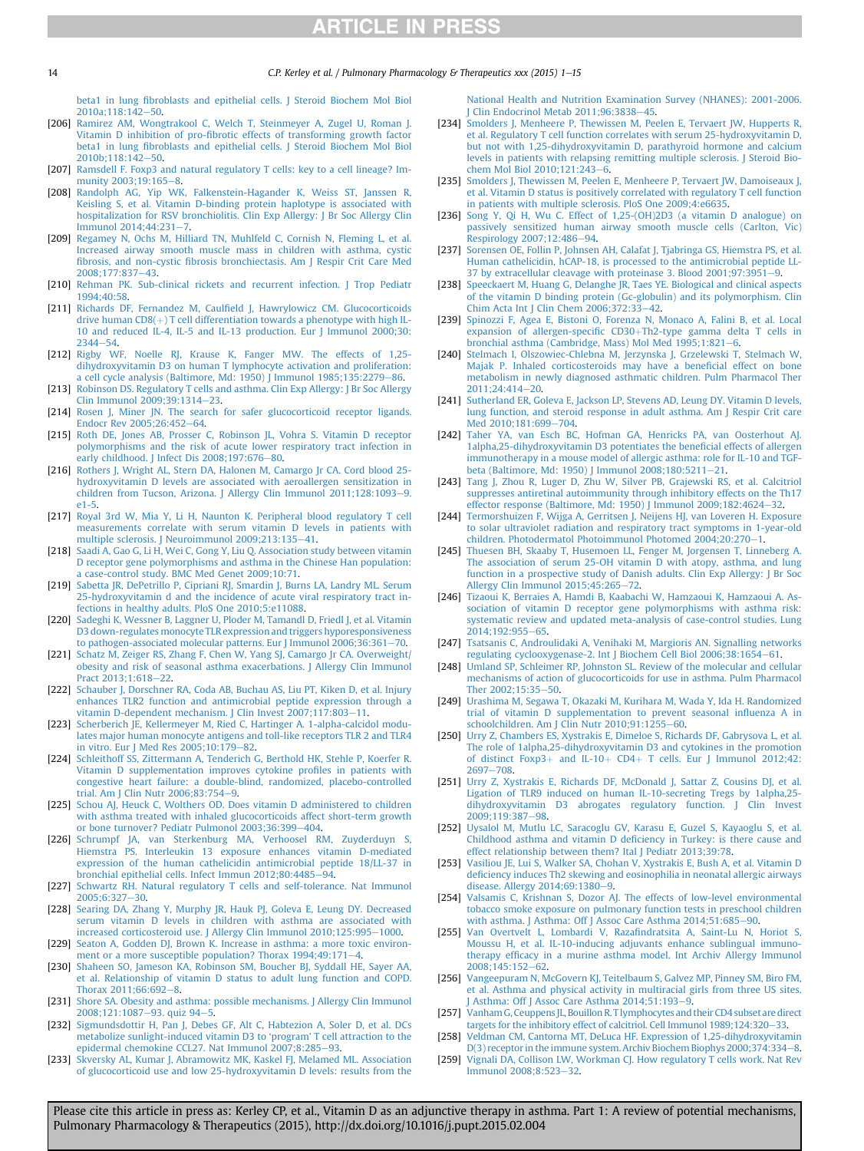<span id="page-13-0"></span>14 C.P. Kerley et al. / Pulmonary Pharmacology & Therapeutics xxx (2015) 1–15

beta1 in lung fi[broblasts and epithelial cells. J Steroid Biochem Mol Biol](http://refhub.elsevier.com/S1094-5539(15)00023-1/sref203) [2010a;118:142](http://refhub.elsevier.com/S1094-5539(15)00023-1/sref203)-[50](http://refhub.elsevier.com/S1094-5539(15)00023-1/sref203).

- [206] [Ramirez AM, Wongtrakool C, Welch T, Steinmeyer A, Zugel U, Roman J.](http://refhub.elsevier.com/S1094-5539(15)00023-1/sref204) Vitamin D inhibition of pro-fi[brotic effects of transforming growth factor](http://refhub.elsevier.com/S1094-5539(15)00023-1/sref204) beta1 in lung fi[broblasts and epithelial cells. J Steroid Biochem Mol Biol](http://refhub.elsevier.com/S1094-5539(15)00023-1/sref204) [2010b;118:142](http://refhub.elsevier.com/S1094-5539(15)00023-1/sref204)-[50.](http://refhub.elsevier.com/S1094-5539(15)00023-1/sref204)
- [207] [Ramsdell F. Foxp3 and natural regulatory T cells: key to a cell lineage? Im-](http://refhub.elsevier.com/S1094-5539(15)00023-1/sref205)munity 2003:19:165-[8.](http://refhub.elsevier.com/S1094-5539(15)00023-1/sref205)
- [208] [Randolph AG, Yip WK, Falkenstein-Hagander K, Weiss ST, Janssen R,](http://refhub.elsevier.com/S1094-5539(15)00023-1/sref206) [Keisling S, et al. Vitamin D-binding protein haplotype is associated with](http://refhub.elsevier.com/S1094-5539(15)00023-1/sref206) [hospitalization for RSV bronchiolitis. Clin Exp Allergy: J Br Soc Allergy Clin](http://refhub.elsevier.com/S1094-5539(15)00023-1/sref206) Immunol 2014:44:231-[7](http://refhub.elsevier.com/S1094-5539(15)00023-1/sref206).
- [209] [Regamey N, Ochs M, Hilliard TN, Muhlfeld C, Cornish N, Fleming L, et al.](http://refhub.elsevier.com/S1094-5539(15)00023-1/sref207) [Increased airway smooth muscle mass in children with asthma, cystic](http://refhub.elsevier.com/S1094-5539(15)00023-1/sref207) fibrosis, and non-cystic fi[brosis bronchiectasis. Am J Respir Crit Care Med](http://refhub.elsevier.com/S1094-5539(15)00023-1/sref207) 2008:177:837-[43.](http://refhub.elsevier.com/S1094-5539(15)00023-1/sref207)
- [210] [Rehman PK. Sub-clinical rickets and recurrent infection. J Trop Pediatr](http://refhub.elsevier.com/S1094-5539(15)00023-1/sref208) [1994;40:58.](http://refhub.elsevier.com/S1094-5539(15)00023-1/sref208)
- [211] Richards DF, Fernandez M, Caulfi[eld J, Hawrylowicz CM. Glucocorticoids](http://refhub.elsevier.com/S1094-5539(15)00023-1/sref209) drive human  $CDS(+)$  T cell differentiation towards a phenotype with high IL-[10 and reduced IL-4, IL-5 and IL-13 production. Eur J Immunol 2000;30:](http://refhub.elsevier.com/S1094-5539(15)00023-1/sref209) [2344](http://refhub.elsevier.com/S1094-5539(15)00023-1/sref209)-54
- [212] [Rigby WF, Noelle RJ, Krause K, Fanger MW. The effects of 1,25](http://refhub.elsevier.com/S1094-5539(15)00023-1/sref210) [dihydroxyvitamin D3 on human T lymphocyte activation and proliferation:](http://refhub.elsevier.com/S1094-5539(15)00023-1/sref210) [a cell cycle analysis \(Baltimore, Md: 1950\) J Immunol 1985;135:2279](http://refhub.elsevier.com/S1094-5539(15)00023-1/sref210)-[86.](http://refhub.elsevier.com/S1094-5539(15)00023-1/sref210)
- [213] [Robinson DS. Regulatory T cells and asthma. Clin Exp Allergy: J Br Soc Allergy](http://refhub.elsevier.com/S1094-5539(15)00023-1/sref211) [Clin Immunol 2009;39:1314](http://refhub.elsevier.com/S1094-5539(15)00023-1/sref211)-[23.](http://refhub.elsevier.com/S1094-5539(15)00023-1/sref211)
- [214] [Rosen J, Miner JN. The search for safer glucocorticoid receptor ligands.](http://refhub.elsevier.com/S1094-5539(15)00023-1/sref212) [Endocr Rev 2005;26:452](http://refhub.elsevier.com/S1094-5539(15)00023-1/sref212)-[64.](http://refhub.elsevier.com/S1094-5539(15)00023-1/sref212)
- [215] [Roth DE, Jones AB, Prosser C, Robinson JL, Vohra S. Vitamin D receptor](http://refhub.elsevier.com/S1094-5539(15)00023-1/sref213) [polymorphisms and the risk of acute lower respiratory tract infection in](http://refhub.elsevier.com/S1094-5539(15)00023-1/sref213) [early childhood. J Infect Dis 2008;197:676](http://refhub.elsevier.com/S1094-5539(15)00023-1/sref213)-[80.](http://refhub.elsevier.com/S1094-5539(15)00023-1/sref213)
- [216] [Rothers J, Wright AL, Stern DA, Halonen M, Camargo Jr CA. Cord blood 25](http://refhub.elsevier.com/S1094-5539(15)00023-1/sref214) [hydroxyvitamin D levels are associated with aeroallergen sensitization in](http://refhub.elsevier.com/S1094-5539(15)00023-1/sref214) [children from Tucson, Arizona. J Allergy Clin Immunol 2011;128:1093](http://refhub.elsevier.com/S1094-5539(15)00023-1/sref214)-[9.](http://refhub.elsevier.com/S1094-5539(15)00023-1/sref214) [e1-5.](http://refhub.elsevier.com/S1094-5539(15)00023-1/sref214)
- [217] [Royal 3rd W, Mia Y, Li H, Naunton K. Peripheral blood regulatory T cell](http://refhub.elsevier.com/S1094-5539(15)00023-1/sref215) [measurements correlate with serum vitamin D levels in patients with](http://refhub.elsevier.com/S1094-5539(15)00023-1/sref215) [multiple sclerosis. J Neuroimmunol 2009;213:135](http://refhub.elsevier.com/S1094-5539(15)00023-1/sref215)-[41.](http://refhub.elsevier.com/S1094-5539(15)00023-1/sref215)
- [218] [Saadi A, Gao G, Li H, Wei C, Gong Y, Liu Q. Association study between vitamin](http://refhub.elsevier.com/S1094-5539(15)00023-1/sref216) [D receptor gene polymorphisms and asthma in the Chinese Han population:](http://refhub.elsevier.com/S1094-5539(15)00023-1/sref216) [a case-control study. BMC Med Genet 2009;10:71](http://refhub.elsevier.com/S1094-5539(15)00023-1/sref216).
- [219] [Sabetta JR, DePetrillo P, Cipriani RJ, Smardin J, Burns LA, Landry ML. Serum](http://refhub.elsevier.com/S1094-5539(15)00023-1/sref217) [25-hydroxyvitamin d and the incidence of acute viral respiratory tract in](http://refhub.elsevier.com/S1094-5539(15)00023-1/sref217)[fections in healthy adults. PloS One 2010;5:e11088.](http://refhub.elsevier.com/S1094-5539(15)00023-1/sref217)
- [220] [Sadeghi K, Wessner B, Laggner U, Ploder M, Tamandl D, Friedl J, et al. Vitamin](http://refhub.elsevier.com/S1094-5539(15)00023-1/sref218) [D3 down-regulates monocyte TLR expression and triggers hyporesponsiveness](http://refhub.elsevier.com/S1094-5539(15)00023-1/sref218) [to pathogen-associated molecular patterns. Eur J Immunol 2006;36:361](http://refhub.elsevier.com/S1094-5539(15)00023-1/sref218)-[70.](http://refhub.elsevier.com/S1094-5539(15)00023-1/sref218)
- [221] [Schatz M, Zeiger RS, Zhang F, Chen W, Yang SJ, Camargo Jr CA. Overweight/](http://refhub.elsevier.com/S1094-5539(15)00023-1/sref219) [obesity and risk of seasonal asthma exacerbations. J Allergy Clin Immunol](http://refhub.elsevier.com/S1094-5539(15)00023-1/sref219) [Pract 2013;1:618](http://refhub.elsevier.com/S1094-5539(15)00023-1/sref219)-[22.](http://refhub.elsevier.com/S1094-5539(15)00023-1/sref219)
- [222] [Schauber J, Dorschner RA, Coda AB, Buchau AS, Liu PT, Kiken D, et al. Injury](http://refhub.elsevier.com/S1094-5539(15)00023-1/sref220) [enhances TLR2 function and antimicrobial peptide expression through a](http://refhub.elsevier.com/S1094-5539(15)00023-1/sref220) [vitamin D-dependent mechanism. J Clin Invest 2007;117:803](http://refhub.elsevier.com/S1094-5539(15)00023-1/sref220)-[11](http://refhub.elsevier.com/S1094-5539(15)00023-1/sref220)
- [223] [Scherberich JE, Kellermeyer M, Ried C, Hartinger A. 1-alpha-calcidol modu](http://refhub.elsevier.com/S1094-5539(15)00023-1/sref221)[lates major human monocyte antigens and toll-like receptors TLR 2 and TLR4](http://refhub.elsevier.com/S1094-5539(15)00023-1/sref221) [in vitro. Eur J Med Res 2005;10:179](http://refhub.elsevier.com/S1094-5539(15)00023-1/sref221)-[82.](http://refhub.elsevier.com/S1094-5539(15)00023-1/sref221)
- [224] [Schleithoff SS, Zittermann A, Tenderich G, Berthold HK, Stehle P, Koerfer R.](http://refhub.elsevier.com/S1094-5539(15)00023-1/sref222) [Vitamin D supplementation improves cytokine pro](http://refhub.elsevier.com/S1094-5539(15)00023-1/sref222)files in patients with [congestive heart failure: a double-blind, randomized, placebo-controlled](http://refhub.elsevier.com/S1094-5539(15)00023-1/sref222) [trial. Am J Clin Nutr 2006;83:754](http://refhub.elsevier.com/S1094-5539(15)00023-1/sref222)-[9](http://refhub.elsevier.com/S1094-5539(15)00023-1/sref222).
- [225] [Schou AJ, Heuck C, Wolthers OD. Does vitamin D administered to children](http://refhub.elsevier.com/S1094-5539(15)00023-1/sref223) [with asthma treated with inhaled glucocorticoids affect short-term growth](http://refhub.elsevier.com/S1094-5539(15)00023-1/sref223) [or bone turnover? Pediatr Pulmonol 2003;36:399](http://refhub.elsevier.com/S1094-5539(15)00023-1/sref223)-[404](http://refhub.elsevier.com/S1094-5539(15)00023-1/sref223).
- [226] [Schrumpf JA, van Sterkenburg MA, Verhoosel RM, Zuyderduyn S,](http://refhub.elsevier.com/S1094-5539(15)00023-1/sref224) [Hiemstra PS. Interleukin 13 exposure enhances vitamin D-mediated](http://refhub.elsevier.com/S1094-5539(15)00023-1/sref224) [expression of the human cathelicidin antimicrobial peptide 18/LL-37 in](http://refhub.elsevier.com/S1094-5539(15)00023-1/sref224) [bronchial epithelial cells. Infect Immun 2012;80:4485](http://refhub.elsevier.com/S1094-5539(15)00023-1/sref224)-[94](http://refhub.elsevier.com/S1094-5539(15)00023-1/sref224).
- [227] [Schwartz RH. Natural regulatory T cells and self-tolerance. Nat Immunol](http://refhub.elsevier.com/S1094-5539(15)00023-1/sref225) 2005:6:327-[30](http://refhub.elsevier.com/S1094-5539(15)00023-1/sref225).
- [228] [Searing DA, Zhang Y, Murphy JR, Hauk PJ, Goleva E, Leung DY. Decreased](http://refhub.elsevier.com/S1094-5539(15)00023-1/sref226) [serum vitamin D levels in children with asthma are associated with](http://refhub.elsevier.com/S1094-5539(15)00023-1/sref226) [increased corticosteroid use. J Allergy Clin Immunol 2010;125:995](http://refhub.elsevier.com/S1094-5539(15)00023-1/sref226)-[1000.](http://refhub.elsevier.com/S1094-5539(15)00023-1/sref226)
- [229] [Seaton A, Godden DJ, Brown K. Increase in asthma: a more toxic environ](http://refhub.elsevier.com/S1094-5539(15)00023-1/sref227)ment or a more susceptible population? Thorax  $1994;49:171-4$ .
- [230] [Shaheen SO, Jameson KA, Robinson SM, Boucher BJ, Syddall HE, Sayer AA,](http://refhub.elsevier.com/S1094-5539(15)00023-1/sref228) [et al. Relationship of vitamin D status to adult lung function and COPD.](http://refhub.elsevier.com/S1094-5539(15)00023-1/sref228) [Thorax 2011;66:692](http://refhub.elsevier.com/S1094-5539(15)00023-1/sref228)-[8.](http://refhub.elsevier.com/S1094-5539(15)00023-1/sref228)
- [231] [Shore SA. Obesity and asthma: possible mechanisms. J Allergy Clin Immunol](http://refhub.elsevier.com/S1094-5539(15)00023-1/sref229) [2008;121:1087](http://refhub.elsevier.com/S1094-5539(15)00023-1/sref229)-[93. quiz 94](http://refhub.elsevier.com/S1094-5539(15)00023-1/sref229)-[5](http://refhub.elsevier.com/S1094-5539(15)00023-1/sref229).
- [232] [Sigmundsdottir H, Pan J, Debes GF, Alt C, Habtezion A, Soler D, et al. DCs](http://refhub.elsevier.com/S1094-5539(15)00023-1/sref230) [metabolize sunlight-induced vitamin D3 to](http://refhub.elsevier.com/S1094-5539(15)00023-1/sref230) 'program' T cell attraction to the epidermal chemokine CCL27. Nat Immunol  $2007;8:285-93$  $2007;8:285-93$ .
- [233] Skversky AL, Kumar J, Abramowitz MK, Kaskel FJ, Melamed ML, Association [of glucocorticoid use and low 25-hydroxyvitamin D levels: results from the](http://refhub.elsevier.com/S1094-5539(15)00023-1/sref231)

[National Health and Nutrition Examination Survey \(NHANES\): 2001-2006.](http://refhub.elsevier.com/S1094-5539(15)00023-1/sref231) J Clin Endocrinol Metab  $2011;96:3838-45$ .

- [234] [Smolders J, Menheere P, Thewissen M, Peelen E, Tervaert JW, Hupperts R,](http://refhub.elsevier.com/S1094-5539(15)00023-1/sref232) [et al. Regulatory T cell function correlates with serum 25-hydroxyvitamin D,](http://refhub.elsevier.com/S1094-5539(15)00023-1/sref232) [but not with 1,25-dihydroxyvitamin D, parathyroid hormone and calcium](http://refhub.elsevier.com/S1094-5539(15)00023-1/sref232) [levels in patients with relapsing remitting multiple sclerosis. J Steroid Bio](http://refhub.elsevier.com/S1094-5539(15)00023-1/sref232)[chem Mol Biol 2010;121:243](http://refhub.elsevier.com/S1094-5539(15)00023-1/sref232)-[6.](http://refhub.elsevier.com/S1094-5539(15)00023-1/sref232)
- [235] [Smolders J, Thewissen M, Peelen E, Menheere P, Tervaert JW, Damoiseaux J,](http://refhub.elsevier.com/S1094-5539(15)00023-1/sref233) [et al. Vitamin D status is positively correlated with regulatory T cell function](http://refhub.elsevier.com/S1094-5539(15)00023-1/sref233) [in patients with multiple sclerosis. PloS One 2009;4:e6635.](http://refhub.elsevier.com/S1094-5539(15)00023-1/sref233)
- [236] [Song Y, Qi H, Wu C. Effect of 1,25-\(OH\)2D3 \(a vitamin D analogue\) on](http://refhub.elsevier.com/S1094-5539(15)00023-1/sref234) [passively sensitized human airway smooth muscle cells \(Carlton, Vic\)](http://refhub.elsevier.com/S1094-5539(15)00023-1/sref234) [Respirology 2007;12:486](http://refhub.elsevier.com/S1094-5539(15)00023-1/sref234)-[94.](http://refhub.elsevier.com/S1094-5539(15)00023-1/sref234)
- [237] [Sorensen OE, Follin P, Johnsen AH, Calafat J, Tjabringa GS, Hiemstra PS, et al.](http://refhub.elsevier.com/S1094-5539(15)00023-1/sref235) [Human cathelicidin, hCAP-18, is processed to the antimicrobial peptide LL-](http://refhub.elsevier.com/S1094-5539(15)00023-1/sref235)37 by extracellular cleavage with proteinase 3. Blood  $2001:97:3951-9$  $2001:97:3951-9$  $2001:97:3951-9$ .
- [238] [Speeckaert M, Huang G, Delanghe JR, Taes YE. Biological and clinical aspects](http://refhub.elsevier.com/S1094-5539(15)00023-1/sref236) [of the vitamin D binding protein \(Gc-globulin\) and its polymorphism. Clin](http://refhub.elsevier.com/S1094-5539(15)00023-1/sref236) Chim Acta Int J Clin Chem  $2006;372:33-42$  $2006;372:33-42$ .
- [239] [Spinozzi F, Agea E, Bistoni O, Forenza N, Monaco A, Falini B, et al. Local](http://refhub.elsevier.com/S1094-5539(15)00023-1/sref237) [expansion of allergen-speci](http://refhub.elsevier.com/S1094-5539(15)00023-1/sref237)fic CD30+[Th2-type gamma delta T cells in](http://refhub.elsevier.com/S1094-5539(15)00023-1/sref237) [bronchial asthma \(Cambridge, Mass\) Mol Med 1995;1:821](http://refhub.elsevier.com/S1094-5539(15)00023-1/sref237)-[6](http://refhub.elsevier.com/S1094-5539(15)00023-1/sref237).
- [240] [Stelmach I, Olszowiec-Chlebna M, Jerzynska J, Grzelewski T, Stelmach W,](http://refhub.elsevier.com/S1094-5539(15)00023-1/sref238) [Majak P. Inhaled corticosteroids may have a bene](http://refhub.elsevier.com/S1094-5539(15)00023-1/sref238)ficial effect on bone [metabolism in newly diagnosed asthmatic children. Pulm Pharmacol Ther](http://refhub.elsevier.com/S1094-5539(15)00023-1/sref238)  $2011:24:414-20$  $2011:24:414-20$
- [241] [Sutherland ER, Goleva E, Jackson LP, Stevens AD, Leung DY. Vitamin D levels,](http://refhub.elsevier.com/S1094-5539(15)00023-1/sref239) [lung function, and steroid response in adult asthma. Am J Respir Crit care](http://refhub.elsevier.com/S1094-5539(15)00023-1/sref239) Med 2010:181:699-[704.](http://refhub.elsevier.com/S1094-5539(15)00023-1/sref239)
- [242] [Taher YA, van Esch BC, Hofman GA, Henricks PA, van Oosterhout AJ.](http://refhub.elsevier.com/S1094-5539(15)00023-1/sref240) [1alpha,25-dihydroxyvitamin D3 potentiates the bene](http://refhub.elsevier.com/S1094-5539(15)00023-1/sref240)ficial effects of allergen [immunotherapy in a mouse model of allergic asthma: role for IL-10 and TGF](http://refhub.elsevier.com/S1094-5539(15)00023-1/sref240)[beta \(Baltimore, Md: 1950\) J Immunol 2008;180:5211](http://refhub.elsevier.com/S1094-5539(15)00023-1/sref240)-[21](http://refhub.elsevier.com/S1094-5539(15)00023-1/sref240).
- [243] [Tang J, Zhou R, Luger D, Zhu W, Silver PB, Grajewski RS, et al. Calcitriol](http://refhub.elsevier.com/S1094-5539(15)00023-1/sref241) [suppresses antiretinal autoimmunity through inhibitory effects on the Th17](http://refhub.elsevier.com/S1094-5539(15)00023-1/sref241) [effector response \(Baltimore, Md: 1950\) J Immunol 2009;182:4624](http://refhub.elsevier.com/S1094-5539(15)00023-1/sref241)-[32.](http://refhub.elsevier.com/S1094-5539(15)00023-1/sref241)
- [244] [Termorshuizen F, Wijga A, Gerritsen J, Neijens HJ, van Loveren H. Exposure](http://refhub.elsevier.com/S1094-5539(15)00023-1/sref242) [to solar ultraviolet radiation and respiratory tract symptoms in 1-year-old](http://refhub.elsevier.com/S1094-5539(15)00023-1/sref242) [children. Photodermatol Photoimmunol Photomed 2004;20:270](http://refhub.elsevier.com/S1094-5539(15)00023-1/sref242)-[1](http://refhub.elsevier.com/S1094-5539(15)00023-1/sref242).
- [245] [Thuesen BH, Skaaby T, Husemoen LL, Fenger M, Jorgensen T, Linneberg A.](http://refhub.elsevier.com/S1094-5539(15)00023-1/sref243) [The association of serum 25-OH vitamin D with atopy, asthma, and lung](http://refhub.elsevier.com/S1094-5539(15)00023-1/sref243) [function in a prospective study of Danish adults. Clin Exp Allergy: J Br Soc](http://refhub.elsevier.com/S1094-5539(15)00023-1/sref243) [Allergy Clin Immunol 2015;45:265](http://refhub.elsevier.com/S1094-5539(15)00023-1/sref243)-[72.](http://refhub.elsevier.com/S1094-5539(15)00023-1/sref243)
- [246] [Tizaoui K, Berraies A, Hamdi B, Kaabachi W, Hamzaoui K, Hamzaoui A. As](http://refhub.elsevier.com/S1094-5539(15)00023-1/sref244)[sociation of vitamin D receptor gene polymorphisms with asthma risk:](http://refhub.elsevier.com/S1094-5539(15)00023-1/sref244) [systematic review and updated meta-analysis of case-control studies. Lung](http://refhub.elsevier.com/S1094-5539(15)00023-1/sref244) [2014;192:955](http://refhub.elsevier.com/S1094-5539(15)00023-1/sref244)-[65.](http://refhub.elsevier.com/S1094-5539(15)00023-1/sref244)
- [247] [Tsatsanis C, Androulidaki A, Venihaki M, Margioris AN. Signalling networks](http://refhub.elsevier.com/S1094-5539(15)00023-1/sref245) [regulating cyclooxygenase-2. Int J Biochem Cell Biol 2006;38:1654](http://refhub.elsevier.com/S1094-5539(15)00023-1/sref245)-[61](http://refhub.elsevier.com/S1094-5539(15)00023-1/sref245).
- [248] [Umland SP, Schleimer RP, Johnston SL. Review of the molecular and cellular](http://refhub.elsevier.com/S1094-5539(15)00023-1/sref246) [mechanisms of action of glucocorticoids for use in asthma. Pulm Pharmacol](http://refhub.elsevier.com/S1094-5539(15)00023-1/sref246) Ther 2002:15:35-[50](http://refhub.elsevier.com/S1094-5539(15)00023-1/sref246).
- [249] [Urashima M, Segawa T, Okazaki M, Kurihara M, Wada Y, Ida H. Randomized](http://refhub.elsevier.com/S1094-5539(15)00023-1/sref247) [trial of vitamin D supplementation to prevent seasonal in](http://refhub.elsevier.com/S1094-5539(15)00023-1/sref247)fluenza A in [schoolchildren. Am J Clin Nutr 2010;91:1255](http://refhub.elsevier.com/S1094-5539(15)00023-1/sref247)-[60](http://refhub.elsevier.com/S1094-5539(15)00023-1/sref247).
- [250] [Urry Z, Chambers ES, Xystrakis E, Dimeloe S, Richards DF, Gabrysova L, et al.](http://refhub.elsevier.com/S1094-5539(15)00023-1/sref248) [The role of 1alpha,25-dihydroxyvitamin D3 and cytokines in the promotion](http://refhub.elsevier.com/S1094-5539(15)00023-1/sref248) [of distinct Foxp3](http://refhub.elsevier.com/S1094-5539(15)00023-1/sref248)+ [and IL-10](http://refhub.elsevier.com/S1094-5539(15)00023-1/sref248)+ [CD4](http://refhub.elsevier.com/S1094-5539(15)00023-1/sref248)+ [T cells. Eur J Immunol 2012;42:](http://refhub.elsevier.com/S1094-5539(15)00023-1/sref248) [2697](http://refhub.elsevier.com/S1094-5539(15)00023-1/sref248)-[708](http://refhub.elsevier.com/S1094-5539(15)00023-1/sref248).
- [251] [Urry Z, Xystrakis E, Richards DF, McDonald J, Sattar Z, Cousins DJ, et al.](http://refhub.elsevier.com/S1094-5539(15)00023-1/sref249) [Ligation of TLR9 induced on human IL-10-secreting Tregs by 1alpha,25](http://refhub.elsevier.com/S1094-5539(15)00023-1/sref249) [dihydroxyvitamin D3 abrogates regulatory function. J Clin Invest](http://refhub.elsevier.com/S1094-5539(15)00023-1/sref249) 2009:119:387-[98.](http://refhub.elsevier.com/S1094-5539(15)00023-1/sref249)
- [252] [Uysalol M, Mutlu LC, Saracoglu GV, Karasu E, Guzel S, Kayaoglu S, et al.](http://refhub.elsevier.com/S1094-5539(15)00023-1/sref250) Childhood asthma and vitamin D defi[ciency in Turkey: is there cause and](http://refhub.elsevier.com/S1094-5539(15)00023-1/sref250) [effect relationship between them? Ital J Pediatr 2013;39:78](http://refhub.elsevier.com/S1094-5539(15)00023-1/sref250).
- [253] [Vasiliou JE, Lui S, Walker SA, Chohan V, Xystrakis E, Bush A, et al. Vitamin D](http://refhub.elsevier.com/S1094-5539(15)00023-1/sref251) defi[ciency induces Th2 skewing and eosinophilia in neonatal allergic airways](http://refhub.elsevier.com/S1094-5539(15)00023-1/sref251) [disease. Allergy 2014;69:1380](http://refhub.elsevier.com/S1094-5539(15)00023-1/sref251)-[9.](http://refhub.elsevier.com/S1094-5539(15)00023-1/sref251)
- [254] [Valsamis C, Krishnan S, Dozor AJ. The effects of low-level environmental](http://refhub.elsevier.com/S1094-5539(15)00023-1/sref252) [tobacco smoke exposure on pulmonary function tests in preschool children](http://refhub.elsevier.com/S1094-5539(15)00023-1/sref252) with asthma. J Asthma: Off J Assoc Care Asthma  $2014;51:685-90$ .
- [255] [Van Overtvelt L, Lombardi V, Raza](http://refhub.elsevier.com/S1094-5539(15)00023-1/sref253)findratsita A, Saint-Lu N, Horiot S, [Moussu H, et al. IL-10-inducing adjuvants enhance sublingual immuno](http://refhub.elsevier.com/S1094-5539(15)00023-1/sref253)therapy effi[cacy in a murine asthma model. Int Archiv Allergy Immunol](http://refhub.elsevier.com/S1094-5539(15)00023-1/sref253) [2008;145:152](http://refhub.elsevier.com/S1094-5539(15)00023-1/sref253)-[62.](http://refhub.elsevier.com/S1094-5539(15)00023-1/sref253)
- [256] [Vangeepuram N, McGovern KJ, Teitelbaum S, Galvez MP, Pinney SM, Biro FM,](http://refhub.elsevier.com/S1094-5539(15)00023-1/sref254) [et al. Asthma and physical activity in multiracial girls from three US sites.](http://refhub.elsevier.com/S1094-5539(15)00023-1/sref254) [J Asthma: Off J Assoc Care Asthma 2014;51:193](http://refhub.elsevier.com/S1094-5539(15)00023-1/sref254)-[9.](http://refhub.elsevier.com/S1094-5539(15)00023-1/sref254)
- [257] [Vanham G, Ceuppens JL, Bouillon R. Tlymphocytes and their CD4 subset are direct](http://refhub.elsevier.com/S1094-5539(15)00023-1/sref255) [targets for the inhibitory effect of calcitriol. Cell Immunol 1989;124:320](http://refhub.elsevier.com/S1094-5539(15)00023-1/sref255)-[33](http://refhub.elsevier.com/S1094-5539(15)00023-1/sref255).
- [258] [Veldman CM, Cantorna MT, DeLuca HF. Expression of 1,25-dihydroxyvitamin](http://refhub.elsevier.com/S1094-5539(15)00023-1/sref256)  $D(3)$  receptor in the immune system. Archiv Biochem Biophys 2000;374:334-[8](http://refhub.elsevier.com/S1094-5539(15)00023-1/sref256).
- [259] [Vignali DA, Collison LW, Workman CJ. How regulatory T cells work. Nat Rev](http://refhub.elsevier.com/S1094-5539(15)00023-1/sref257) [Immunol 2008;8:523](http://refhub.elsevier.com/S1094-5539(15)00023-1/sref257)-[32](http://refhub.elsevier.com/S1094-5539(15)00023-1/sref257).